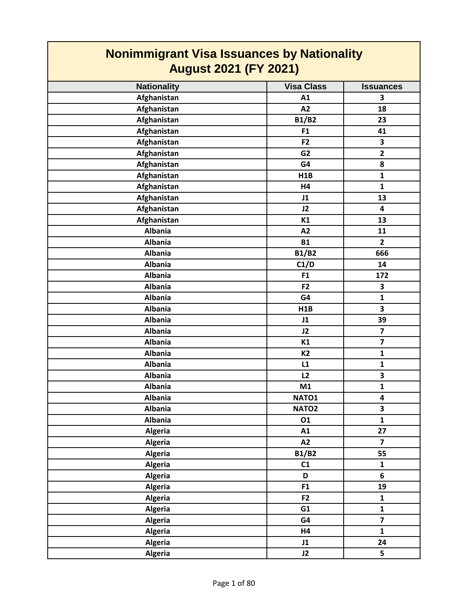| <b>Nonimmigrant Visa Issuances by Nationality</b><br><b>August 2021 (FY 2021)</b> |                   |                         |
|-----------------------------------------------------------------------------------|-------------------|-------------------------|
| <b>Nationality</b>                                                                | <b>Visa Class</b> | <b>Issuances</b>        |
| Afghanistan                                                                       | A1                | 3                       |
| Afghanistan                                                                       | A2                | 18                      |
| Afghanistan                                                                       | <b>B1/B2</b>      | 23                      |
| Afghanistan                                                                       | F1                | 41                      |
| Afghanistan                                                                       | F <sub>2</sub>    | 3                       |
| Afghanistan                                                                       | G <sub>2</sub>    | $\overline{2}$          |
| Afghanistan                                                                       | G4                | 8                       |
| Afghanistan                                                                       | H1B               | $\mathbf{1}$            |
| Afghanistan                                                                       | H4                | $\mathbf{1}$            |
| Afghanistan                                                                       | J1                | 13                      |
| Afghanistan                                                                       | J2                | 4                       |
| Afghanistan                                                                       | K1                | 13                      |
| <b>Albania</b>                                                                    | A2                | 11                      |
| <b>Albania</b>                                                                    | <b>B1</b>         | $\overline{2}$          |
| <b>Albania</b>                                                                    | <b>B1/B2</b>      | 666                     |
| <b>Albania</b>                                                                    | C1/D              | 14                      |
| <b>Albania</b>                                                                    | F <sub>1</sub>    | 172                     |
| <b>Albania</b>                                                                    | F <sub>2</sub>    | 3                       |
| <b>Albania</b>                                                                    | G4                | $\mathbf{1}$            |
| <b>Albania</b>                                                                    | H <sub>1</sub> B  | 3                       |
| <b>Albania</b>                                                                    | J1                | 39                      |
| <b>Albania</b>                                                                    | J2                | $\overline{\mathbf{z}}$ |
| <b>Albania</b>                                                                    | K1                | $\overline{7}$          |
| <b>Albania</b>                                                                    | K <sub>2</sub>    | $\mathbf{1}$            |
| <b>Albania</b>                                                                    | L1                | $\mathbf{1}$            |
| <b>Albania</b>                                                                    | L2                | 3                       |
| <b>Albania</b>                                                                    | M1                | $\mathbf{1}$            |
| <b>Albania</b>                                                                    | NATO1             | 4                       |
| <b>Albania</b>                                                                    | NATO <sub>2</sub> | 3                       |
| <b>Albania</b>                                                                    | 01                | $\mathbf{1}$            |
| Algeria                                                                           | A1                | 27                      |
| <b>Algeria</b>                                                                    | A2                | $\overline{\mathbf{z}}$ |
| Algeria                                                                           | <b>B1/B2</b>      | 55                      |
| Algeria                                                                           | C1                | $\mathbf{1}$            |
| <b>Algeria</b>                                                                    | D                 | 6                       |
| <b>Algeria</b>                                                                    | F1                | 19                      |
| <b>Algeria</b>                                                                    | F <sub>2</sub>    | $\mathbf{1}$            |
| <b>Algeria</b>                                                                    | G1                | $\mathbf{1}$            |
| <b>Algeria</b>                                                                    | G4                | $\overline{\mathbf{z}}$ |
| <b>Algeria</b>                                                                    | H4                | $\mathbf{1}$            |
| <b>Algeria</b>                                                                    | J1                | 24                      |
| <b>Algeria</b>                                                                    | J2                | 5                       |

Г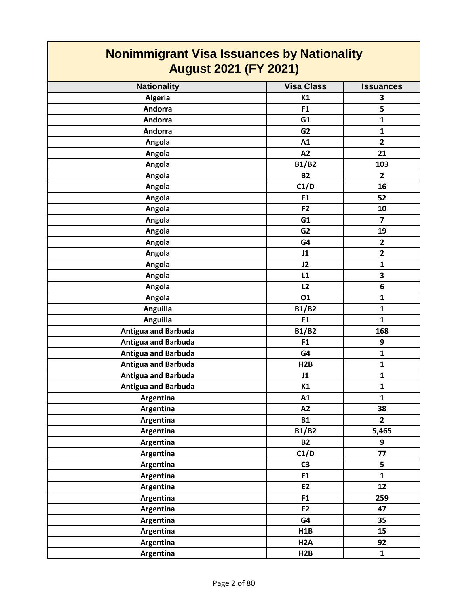| <b>Nonimmigrant Visa Issuances by Nationality</b> |                   |                         |
|---------------------------------------------------|-------------------|-------------------------|
| <b>August 2021 (FY 2021)</b>                      |                   |                         |
| <b>Nationality</b>                                | <b>Visa Class</b> | <b>Issuances</b>        |
| Algeria                                           | K1                | 3                       |
| Andorra                                           | F <sub>1</sub>    | 5                       |
| Andorra                                           | G1                | $\mathbf{1}$            |
| Andorra                                           | G <sub>2</sub>    | $\mathbf{1}$            |
| Angola                                            | A1                | $\overline{2}$          |
| Angola                                            | A2                | 21                      |
| Angola                                            | <b>B1/B2</b>      | 103                     |
| Angola                                            | <b>B2</b>         | $\mathbf{2}$            |
| Angola                                            | C1/D              | 16                      |
| Angola                                            | F <sub>1</sub>    | 52                      |
| Angola                                            | F <sub>2</sub>    | 10                      |
| Angola                                            | G1                | $\overline{\mathbf{z}}$ |
| Angola                                            | G <sub>2</sub>    | 19                      |
| Angola                                            | G4                | $\overline{2}$          |
| Angola                                            | J1                | $\overline{2}$          |
| Angola                                            | J2                | 1                       |
| Angola                                            | L1                | 3                       |
| Angola                                            | L2                | 6                       |
| Angola                                            | 01                | $\mathbf{1}$            |
| Anguilla                                          | <b>B1/B2</b>      | $\mathbf{1}$            |
| <b>Anguilla</b>                                   | F1                | $\mathbf{1}$            |
| <b>Antigua and Barbuda</b>                        | <b>B1/B2</b>      | 168                     |
| <b>Antigua and Barbuda</b>                        | F <sub>1</sub>    | 9                       |
| <b>Antigua and Barbuda</b>                        | G4                | $\mathbf{1}$            |
| <b>Antigua and Barbuda</b>                        | H2B               | $\mathbf 1$             |
| <b>Antigua and Barbuda</b>                        | J1                | $\mathbf{1}$            |
| <b>Antigua and Barbuda</b>                        | K1                | $\mathbf{1}$            |
| Argentina                                         | A1                | $\mathbf{1}$            |
| Argentina                                         | A2                | 38                      |
| Argentina                                         | <b>B1</b>         | $\overline{2}$          |
| Argentina                                         | <b>B1/B2</b>      | 5,465                   |
| Argentina                                         | <b>B2</b>         | 9                       |
| Argentina                                         | C1/D              | 77                      |
| Argentina                                         | C <sub>3</sub>    | 5                       |
| Argentina                                         | E1                | $\mathbf{1}$            |
| Argentina                                         | E2                | 12                      |
| Argentina                                         | F <sub>1</sub>    | 259                     |
| Argentina                                         | F2                | 47                      |
| Argentina                                         | G4                | 35                      |
| Argentina                                         | H1B               | 15                      |
| Argentina                                         | H <sub>2</sub> A  | 92                      |
| Argentina                                         | H2B               | $\mathbf{1}$            |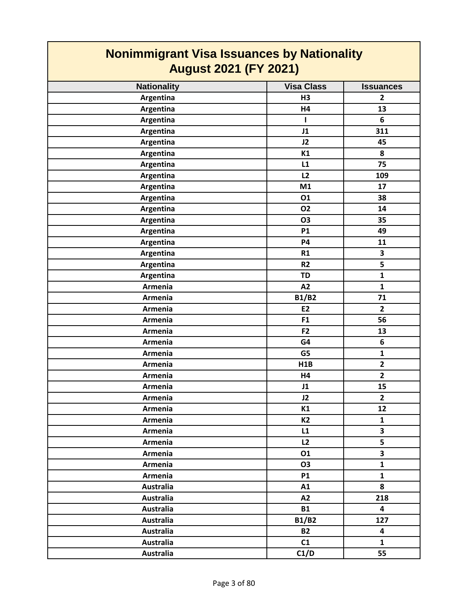| <b>Nonimmigrant Visa Issuances by Nationality</b><br><b>August 2021 (FY 2021)</b> |                   |                         |
|-----------------------------------------------------------------------------------|-------------------|-------------------------|
| <b>Nationality</b>                                                                | <b>Visa Class</b> | <b>Issuances</b>        |
| Argentina                                                                         | H3                | $\overline{2}$          |
| Argentina                                                                         | H4                | 13                      |
| Argentina                                                                         | L                 | 6                       |
| Argentina                                                                         | J1                | 311                     |
| Argentina                                                                         | J2                | 45                      |
| Argentina                                                                         | K1                | 8                       |
| Argentina                                                                         | L1                | 75                      |
| Argentina                                                                         | L2                | 109                     |
| Argentina                                                                         | M1                | 17                      |
| Argentina                                                                         | 01                | 38                      |
| Argentina                                                                         | 02                | 14                      |
| Argentina                                                                         | <b>O3</b>         | 35                      |
| Argentina                                                                         | <b>P1</b>         | 49                      |
| Argentina                                                                         | <b>P4</b>         | 11                      |
| Argentina                                                                         | R1                | 3                       |
| Argentina                                                                         | R <sub>2</sub>    | 5                       |
| Argentina                                                                         | <b>TD</b>         | $\mathbf{1}$            |
| Armenia                                                                           | A2                | $\mathbf{1}$            |
| Armenia                                                                           | <b>B1/B2</b>      | 71                      |
| Armenia                                                                           | <b>E2</b>         | $\overline{2}$          |
| Armenia                                                                           | F1                | 56                      |
| Armenia                                                                           | F <sub>2</sub>    | 13                      |
| Armenia                                                                           | G4                | 6                       |
| Armenia                                                                           | G5                | $\mathbf{1}$            |
| Armenia                                                                           | H1B               | $\mathbf{2}$            |
| Armenia                                                                           | H4                | $\overline{2}$          |
| Armenia                                                                           | J1                | 15                      |
| Armenia                                                                           | J2                | $\overline{2}$          |
| Armenia                                                                           | K1                | 12                      |
| Armenia                                                                           | <b>K2</b>         | $\mathbf{1}$            |
| Armenia                                                                           | L1                | $\overline{\mathbf{3}}$ |
| Armenia                                                                           | L2                | 5                       |
| Armenia                                                                           | 01                | $\overline{\mathbf{3}}$ |
| Armenia                                                                           | <b>O3</b>         | $\mathbf{1}$            |
| Armenia                                                                           | <b>P1</b>         | $\mathbf{1}$            |
| <b>Australia</b>                                                                  | A1                | 8                       |
| <b>Australia</b>                                                                  | A2                | 218                     |
| <b>Australia</b>                                                                  | <b>B1</b>         | $\overline{\mathbf{4}}$ |
| <b>Australia</b>                                                                  | <b>B1/B2</b>      | 127                     |
| <b>Australia</b>                                                                  | <b>B2</b>         | $\overline{\mathbf{4}}$ |
| <b>Australia</b>                                                                  | C1                | $\mathbf{1}$            |
| <b>Australia</b>                                                                  | C1/D              | 55                      |

┑

Г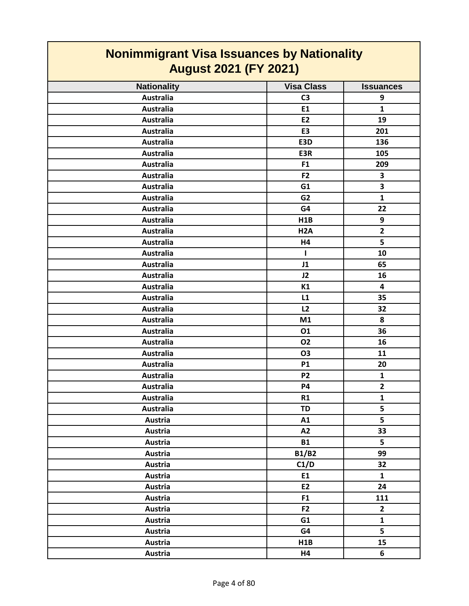| <b>Nonimmigrant Visa Issuances by Nationality</b><br><b>August 2021 (FY 2021)</b> |                   |                         |
|-----------------------------------------------------------------------------------|-------------------|-------------------------|
| <b>Nationality</b>                                                                | <b>Visa Class</b> | <b>Issuances</b>        |
| <b>Australia</b>                                                                  | C <sub>3</sub>    | 9                       |
| <b>Australia</b>                                                                  | E1                | $\mathbf{1}$            |
| <b>Australia</b>                                                                  | <b>E2</b>         | 19                      |
| <b>Australia</b>                                                                  | E <sub>3</sub>    | 201                     |
| <b>Australia</b>                                                                  | E3D               | 136                     |
| <b>Australia</b>                                                                  | E3R               | 105                     |
| <b>Australia</b>                                                                  | F <sub>1</sub>    | 209                     |
| <b>Australia</b>                                                                  | F2                | 3                       |
| <b>Australia</b>                                                                  | G1                | 3                       |
| <b>Australia</b>                                                                  | G <sub>2</sub>    | $\mathbf{1}$            |
| <b>Australia</b>                                                                  | G4                | 22                      |
| <b>Australia</b>                                                                  | H1B               | 9                       |
| <b>Australia</b>                                                                  | H <sub>2</sub> A  | $\overline{2}$          |
| <b>Australia</b>                                                                  | H4                | 5                       |
| <b>Australia</b>                                                                  | $\mathbf{I}$      | 10                      |
| <b>Australia</b>                                                                  | J1                | 65                      |
| <b>Australia</b>                                                                  | J2                | 16                      |
| <b>Australia</b>                                                                  | K1                | $\overline{\mathbf{4}}$ |
| <b>Australia</b>                                                                  | L1                | 35                      |
| <b>Australia</b>                                                                  | L2                | 32                      |
| <b>Australia</b>                                                                  | M1                | 8                       |
| <b>Australia</b>                                                                  | 01                | 36                      |
| <b>Australia</b>                                                                  | <b>O2</b>         | 16                      |
| <b>Australia</b>                                                                  | <b>O3</b>         | 11                      |
| <b>Australia</b>                                                                  | <b>P1</b>         | 20                      |
| <b>Australia</b>                                                                  | P <sub>2</sub>    | 1                       |
| <b>Australia</b>                                                                  | <b>P4</b>         | $\overline{2}$          |
| <b>Australia</b>                                                                  | R1                | $\mathbf{1}$            |
| <b>Australia</b>                                                                  | <b>TD</b>         | 5                       |
| Austria                                                                           | A1                | 5                       |
| Austria                                                                           | A2                | 33                      |
| Austria                                                                           | <b>B1</b>         | 5                       |
| Austria                                                                           | <b>B1/B2</b>      | 99                      |
| Austria                                                                           | C1/D              | 32                      |
| Austria                                                                           | E1                | $\mathbf{1}$            |
| Austria                                                                           | E2                | 24                      |
| <b>Austria</b>                                                                    | F <sub>1</sub>    | 111                     |
| Austria                                                                           | F <sub>2</sub>    | $\mathbf{2}$            |
| Austria                                                                           | G1                | $\mathbf{1}$            |
| Austria                                                                           | G4                | 5                       |
| Austria                                                                           | H1B               | 15                      |
| <b>Austria</b>                                                                    | H4                | 6                       |

┑

 $\Gamma$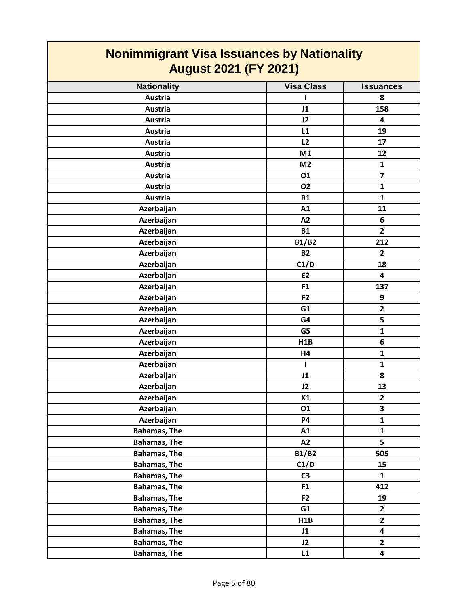| Nonimmigrant Visa Issuances by Nationality |                   |                         |
|--------------------------------------------|-------------------|-------------------------|
| <b>August 2021 (FY 2021)</b>               |                   |                         |
| <b>Nationality</b>                         | <b>Visa Class</b> | <b>Issuances</b>        |
| <b>Austria</b>                             |                   | 8                       |
| <b>Austria</b>                             | J1                | 158                     |
| Austria                                    | J2                | $\overline{\mathbf{4}}$ |
| Austria                                    | L1                | 19                      |
| Austria                                    | L2                | 17                      |
| Austria                                    | M1                | 12                      |
| Austria                                    | M <sub>2</sub>    | $\mathbf{1}$            |
| <b>Austria</b>                             | 01                | $\overline{\mathbf{z}}$ |
| Austria                                    | <b>O2</b>         | $\mathbf{1}$            |
| Austria                                    | R1                | $\mathbf{1}$            |
| Azerbaijan                                 | A1                | 11                      |
| Azerbaijan                                 | A2                | 6                       |
| Azerbaijan                                 | <b>B1</b>         | $\overline{\mathbf{2}}$ |
| Azerbaijan                                 | <b>B1/B2</b>      | 212                     |
| Azerbaijan                                 | <b>B2</b>         | $\overline{2}$          |
| Azerbaijan                                 | C1/D              | 18                      |
| Azerbaijan                                 | E2                | 4                       |
| Azerbaijan                                 | F <sub>1</sub>    | 137                     |
| Azerbaijan                                 | F <sub>2</sub>    | 9                       |
| Azerbaijan                                 | G1                | $\overline{2}$          |
| Azerbaijan                                 | G4                | 5                       |
| Azerbaijan                                 | G5                | $\mathbf{1}$            |
| Azerbaijan                                 | H1B               | 6                       |
| Azerbaijan                                 | H4                | $\mathbf{1}$            |
| Azerbaijan                                 | L                 | $\mathbf 1$             |
| Azerbaijan                                 | J1                | 8                       |
| Azerbaijan                                 | J2                | 13                      |
| Azerbaijan                                 | K1                | $\overline{\mathbf{c}}$ |
| Azerbaijan                                 | 01                | 3                       |
| Azerbaijan                                 | <b>P4</b>         | $\mathbf 1$             |
| <b>Bahamas, The</b>                        | A1                | $\mathbf{1}$            |
| <b>Bahamas, The</b>                        | A2                | 5                       |
| <b>Bahamas, The</b>                        | <b>B1/B2</b>      | 505                     |
| <b>Bahamas, The</b>                        | C1/D              | 15                      |
| <b>Bahamas, The</b>                        | C <sub>3</sub>    | $\mathbf{1}$            |
| <b>Bahamas, The</b>                        | F <sub>1</sub>    | 412                     |
| <b>Bahamas, The</b>                        | F <sub>2</sub>    | 19                      |
| <b>Bahamas, The</b>                        | G1                | $\overline{2}$          |
| <b>Bahamas, The</b>                        | H1B               | $\mathbf{2}$            |
| <b>Bahamas, The</b>                        | J1                | $\overline{\mathbf{4}}$ |
| <b>Bahamas, The</b>                        | J2                | $\overline{2}$          |
| <b>Bahamas, The</b>                        | L1                | $\overline{\mathbf{4}}$ |

 $\overline{\phantom{0}}$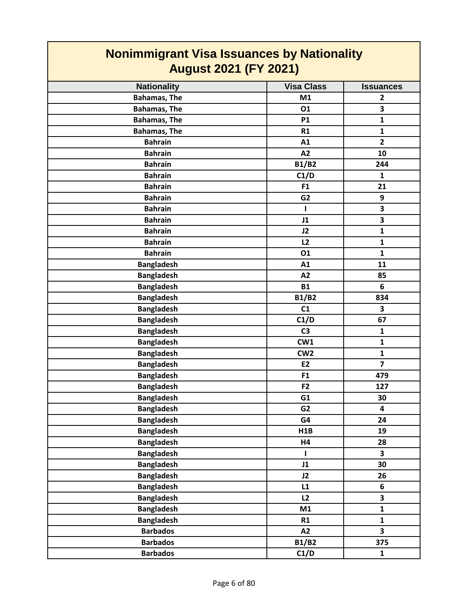| <b>Nonimmigrant Visa Issuances by Nationality</b> |                   |                         |
|---------------------------------------------------|-------------------|-------------------------|
| <b>August 2021 (FY 2021)</b>                      |                   |                         |
| <b>Nationality</b>                                | <b>Visa Class</b> | <b>Issuances</b>        |
| <b>Bahamas, The</b>                               | M1                | $\mathbf{2}$            |
| <b>Bahamas, The</b>                               | 01                | 3                       |
| <b>Bahamas, The</b>                               | <b>P1</b>         | $\mathbf{1}$            |
| <b>Bahamas, The</b>                               | R1                | $\mathbf{1}$            |
| <b>Bahrain</b>                                    | A1                | $\overline{2}$          |
| <b>Bahrain</b>                                    | A2                | 10                      |
| <b>Bahrain</b>                                    | <b>B1/B2</b>      | 244                     |
| <b>Bahrain</b>                                    | C1/D              | $\mathbf{1}$            |
| <b>Bahrain</b>                                    | F <sub>1</sub>    | 21                      |
| <b>Bahrain</b>                                    | G <sub>2</sub>    | 9                       |
| <b>Bahrain</b>                                    | ш                 | 3                       |
| <b>Bahrain</b>                                    | J1                | $\overline{\mathbf{3}}$ |
| <b>Bahrain</b>                                    | J2                | $\mathbf{1}$            |
| <b>Bahrain</b>                                    | L2                | $\mathbf{1}$            |
| <b>Bahrain</b>                                    | 01                | $\mathbf{1}$            |
| <b>Bangladesh</b>                                 | A1                | 11                      |
| <b>Bangladesh</b>                                 | A2                | 85                      |
| <b>Bangladesh</b>                                 | <b>B1</b>         | 6                       |
| <b>Bangladesh</b>                                 | <b>B1/B2</b>      | 834                     |
| <b>Bangladesh</b>                                 | C1                | 3                       |
| <b>Bangladesh</b>                                 | C1/D              | 67                      |
| <b>Bangladesh</b>                                 | C <sub>3</sub>    | $\mathbf{1}$            |
| <b>Bangladesh</b>                                 | CW1               | $\mathbf{1}$            |
| <b>Bangladesh</b>                                 | CW <sub>2</sub>   | $\mathbf{1}$            |
| <b>Bangladesh</b>                                 | E <sub>2</sub>    | $\overline{\mathbf{z}}$ |
| <b>Bangladesh</b>                                 | F <sub>1</sub>    | 479                     |
| <b>Bangladesh</b>                                 | F <sub>2</sub>    | 127                     |
| <b>Bangladesh</b>                                 | G1                | 30                      |
| <b>Bangladesh</b>                                 | G <sub>2</sub>    | 4                       |
| <b>Bangladesh</b>                                 | G4                | 24                      |
| <b>Bangladesh</b>                                 | H1B               | 19                      |
| <b>Bangladesh</b>                                 | Н4                | 28                      |
| <b>Bangladesh</b>                                 | $\mathbf{I}$      | 3                       |
| <b>Bangladesh</b>                                 | J1                | 30                      |
| <b>Bangladesh</b>                                 | J2                | 26                      |
| <b>Bangladesh</b>                                 | L1                | 6                       |
| <b>Bangladesh</b>                                 | L2                | $\overline{\mathbf{3}}$ |
| <b>Bangladesh</b>                                 | M1                | $\mathbf{1}$            |
| <b>Bangladesh</b>                                 | R1                | $\mathbf{1}$            |
| <b>Barbados</b>                                   | A2                | $\overline{\mathbf{3}}$ |
| <b>Barbados</b>                                   | <b>B1/B2</b>      | 375                     |
| <b>Barbados</b>                                   | C1/D              | $\mathbf{1}$            |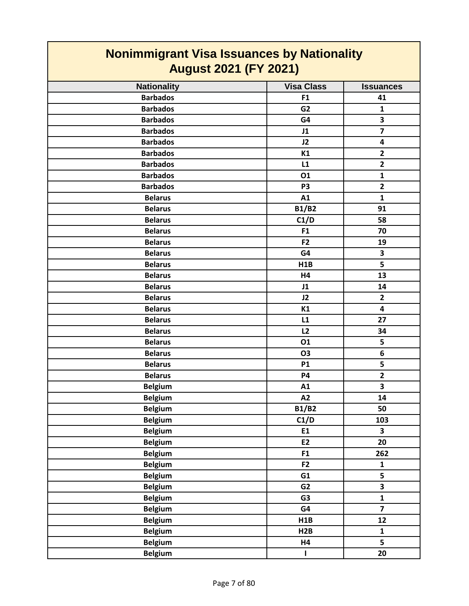| <b>Visa Class</b><br><b>Nationality</b><br><b>Issuances</b><br><b>Barbados</b><br>F <sub>1</sub><br>41<br><b>Barbados</b><br>G <sub>2</sub><br>$\mathbf{1}$<br>3<br><b>Barbados</b><br>G4<br>$\overline{\mathbf{z}}$<br><b>Barbados</b><br>J1<br><b>Barbados</b><br>J2<br>4<br>$\overline{2}$<br><b>Barbados</b><br>K1<br>$\overline{2}$<br><b>Barbados</b><br>L1<br><b>Barbados</b><br>01<br>$\mathbf{1}$<br>$\mathbf{2}$<br><b>Barbados</b><br>P <sub>3</sub><br>A1<br><b>Belarus</b><br>$\mathbf{1}$<br><b>B1/B2</b><br>91<br><b>Belarus</b><br><b>Belarus</b><br>C1/D<br>58<br><b>Belarus</b><br>F <sub>1</sub><br>70<br>F <sub>2</sub><br><b>Belarus</b><br>19<br>3<br><b>Belarus</b><br>G4<br>5<br>H1B<br><b>Belarus</b><br><b>Belarus</b><br>13<br>H4<br><b>Belarus</b><br>14<br>J1<br>$\overline{2}$<br>J2<br><b>Belarus</b><br><b>Belarus</b><br>K1<br>$\overline{\mathbf{4}}$<br><b>Belarus</b><br>L1<br>27<br>L2<br><b>Belarus</b><br>34<br>5<br>01<br><b>Belarus</b><br>6<br><b>Belarus</b><br>O3<br>5<br><b>Belarus</b><br><b>P1</b><br>$\mathbf{2}$<br><b>Belarus</b><br>P4<br>$\overline{\mathbf{3}}$<br><b>Belgium</b><br>A1<br><b>Belgium</b><br>A2<br>14<br><b>Belgium</b><br><b>B1/B2</b><br>50<br><b>Belgium</b><br>C1/D<br>103<br><b>Belgium</b><br>E1<br>3<br>20<br><b>Belgium</b><br>E2<br><b>Belgium</b><br>F1<br>262<br><b>Belgium</b><br>F2<br>$\mathbf{1}$<br>$\overline{\mathbf{5}}$<br><b>Belgium</b><br>G1<br>$\overline{\mathbf{3}}$<br><b>Belgium</b><br>G2<br>$\mathbf{1}$<br><b>Belgium</b><br>G <sub>3</sub> | <b>Nonimmigrant Visa Issuances by Nationality</b><br><b>August 2021 (FY 2021)</b> |  |  |
|-------------------------------------------------------------------------------------------------------------------------------------------------------------------------------------------------------------------------------------------------------------------------------------------------------------------------------------------------------------------------------------------------------------------------------------------------------------------------------------------------------------------------------------------------------------------------------------------------------------------------------------------------------------------------------------------------------------------------------------------------------------------------------------------------------------------------------------------------------------------------------------------------------------------------------------------------------------------------------------------------------------------------------------------------------------------------------------------------------------------------------------------------------------------------------------------------------------------------------------------------------------------------------------------------------------------------------------------------------------------------------------------------------------------------------------------------------------------------------------------------------------------------------------------------|-----------------------------------------------------------------------------------|--|--|
|                                                                                                                                                                                                                                                                                                                                                                                                                                                                                                                                                                                                                                                                                                                                                                                                                                                                                                                                                                                                                                                                                                                                                                                                                                                                                                                                                                                                                                                                                                                                                 |                                                                                   |  |  |
|                                                                                                                                                                                                                                                                                                                                                                                                                                                                                                                                                                                                                                                                                                                                                                                                                                                                                                                                                                                                                                                                                                                                                                                                                                                                                                                                                                                                                                                                                                                                                 |                                                                                   |  |  |
|                                                                                                                                                                                                                                                                                                                                                                                                                                                                                                                                                                                                                                                                                                                                                                                                                                                                                                                                                                                                                                                                                                                                                                                                                                                                                                                                                                                                                                                                                                                                                 |                                                                                   |  |  |
|                                                                                                                                                                                                                                                                                                                                                                                                                                                                                                                                                                                                                                                                                                                                                                                                                                                                                                                                                                                                                                                                                                                                                                                                                                                                                                                                                                                                                                                                                                                                                 |                                                                                   |  |  |
|                                                                                                                                                                                                                                                                                                                                                                                                                                                                                                                                                                                                                                                                                                                                                                                                                                                                                                                                                                                                                                                                                                                                                                                                                                                                                                                                                                                                                                                                                                                                                 |                                                                                   |  |  |
|                                                                                                                                                                                                                                                                                                                                                                                                                                                                                                                                                                                                                                                                                                                                                                                                                                                                                                                                                                                                                                                                                                                                                                                                                                                                                                                                                                                                                                                                                                                                                 |                                                                                   |  |  |
|                                                                                                                                                                                                                                                                                                                                                                                                                                                                                                                                                                                                                                                                                                                                                                                                                                                                                                                                                                                                                                                                                                                                                                                                                                                                                                                                                                                                                                                                                                                                                 |                                                                                   |  |  |
|                                                                                                                                                                                                                                                                                                                                                                                                                                                                                                                                                                                                                                                                                                                                                                                                                                                                                                                                                                                                                                                                                                                                                                                                                                                                                                                                                                                                                                                                                                                                                 |                                                                                   |  |  |
|                                                                                                                                                                                                                                                                                                                                                                                                                                                                                                                                                                                                                                                                                                                                                                                                                                                                                                                                                                                                                                                                                                                                                                                                                                                                                                                                                                                                                                                                                                                                                 |                                                                                   |  |  |
|                                                                                                                                                                                                                                                                                                                                                                                                                                                                                                                                                                                                                                                                                                                                                                                                                                                                                                                                                                                                                                                                                                                                                                                                                                                                                                                                                                                                                                                                                                                                                 |                                                                                   |  |  |
|                                                                                                                                                                                                                                                                                                                                                                                                                                                                                                                                                                                                                                                                                                                                                                                                                                                                                                                                                                                                                                                                                                                                                                                                                                                                                                                                                                                                                                                                                                                                                 |                                                                                   |  |  |
|                                                                                                                                                                                                                                                                                                                                                                                                                                                                                                                                                                                                                                                                                                                                                                                                                                                                                                                                                                                                                                                                                                                                                                                                                                                                                                                                                                                                                                                                                                                                                 |                                                                                   |  |  |
|                                                                                                                                                                                                                                                                                                                                                                                                                                                                                                                                                                                                                                                                                                                                                                                                                                                                                                                                                                                                                                                                                                                                                                                                                                                                                                                                                                                                                                                                                                                                                 |                                                                                   |  |  |
|                                                                                                                                                                                                                                                                                                                                                                                                                                                                                                                                                                                                                                                                                                                                                                                                                                                                                                                                                                                                                                                                                                                                                                                                                                                                                                                                                                                                                                                                                                                                                 |                                                                                   |  |  |
|                                                                                                                                                                                                                                                                                                                                                                                                                                                                                                                                                                                                                                                                                                                                                                                                                                                                                                                                                                                                                                                                                                                                                                                                                                                                                                                                                                                                                                                                                                                                                 |                                                                                   |  |  |
|                                                                                                                                                                                                                                                                                                                                                                                                                                                                                                                                                                                                                                                                                                                                                                                                                                                                                                                                                                                                                                                                                                                                                                                                                                                                                                                                                                                                                                                                                                                                                 |                                                                                   |  |  |
|                                                                                                                                                                                                                                                                                                                                                                                                                                                                                                                                                                                                                                                                                                                                                                                                                                                                                                                                                                                                                                                                                                                                                                                                                                                                                                                                                                                                                                                                                                                                                 |                                                                                   |  |  |
|                                                                                                                                                                                                                                                                                                                                                                                                                                                                                                                                                                                                                                                                                                                                                                                                                                                                                                                                                                                                                                                                                                                                                                                                                                                                                                                                                                                                                                                                                                                                                 |                                                                                   |  |  |
|                                                                                                                                                                                                                                                                                                                                                                                                                                                                                                                                                                                                                                                                                                                                                                                                                                                                                                                                                                                                                                                                                                                                                                                                                                                                                                                                                                                                                                                                                                                                                 |                                                                                   |  |  |
|                                                                                                                                                                                                                                                                                                                                                                                                                                                                                                                                                                                                                                                                                                                                                                                                                                                                                                                                                                                                                                                                                                                                                                                                                                                                                                                                                                                                                                                                                                                                                 |                                                                                   |  |  |
|                                                                                                                                                                                                                                                                                                                                                                                                                                                                                                                                                                                                                                                                                                                                                                                                                                                                                                                                                                                                                                                                                                                                                                                                                                                                                                                                                                                                                                                                                                                                                 |                                                                                   |  |  |
|                                                                                                                                                                                                                                                                                                                                                                                                                                                                                                                                                                                                                                                                                                                                                                                                                                                                                                                                                                                                                                                                                                                                                                                                                                                                                                                                                                                                                                                                                                                                                 |                                                                                   |  |  |
|                                                                                                                                                                                                                                                                                                                                                                                                                                                                                                                                                                                                                                                                                                                                                                                                                                                                                                                                                                                                                                                                                                                                                                                                                                                                                                                                                                                                                                                                                                                                                 |                                                                                   |  |  |
|                                                                                                                                                                                                                                                                                                                                                                                                                                                                                                                                                                                                                                                                                                                                                                                                                                                                                                                                                                                                                                                                                                                                                                                                                                                                                                                                                                                                                                                                                                                                                 |                                                                                   |  |  |
|                                                                                                                                                                                                                                                                                                                                                                                                                                                                                                                                                                                                                                                                                                                                                                                                                                                                                                                                                                                                                                                                                                                                                                                                                                                                                                                                                                                                                                                                                                                                                 |                                                                                   |  |  |
|                                                                                                                                                                                                                                                                                                                                                                                                                                                                                                                                                                                                                                                                                                                                                                                                                                                                                                                                                                                                                                                                                                                                                                                                                                                                                                                                                                                                                                                                                                                                                 |                                                                                   |  |  |
|                                                                                                                                                                                                                                                                                                                                                                                                                                                                                                                                                                                                                                                                                                                                                                                                                                                                                                                                                                                                                                                                                                                                                                                                                                                                                                                                                                                                                                                                                                                                                 |                                                                                   |  |  |
|                                                                                                                                                                                                                                                                                                                                                                                                                                                                                                                                                                                                                                                                                                                                                                                                                                                                                                                                                                                                                                                                                                                                                                                                                                                                                                                                                                                                                                                                                                                                                 |                                                                                   |  |  |
|                                                                                                                                                                                                                                                                                                                                                                                                                                                                                                                                                                                                                                                                                                                                                                                                                                                                                                                                                                                                                                                                                                                                                                                                                                                                                                                                                                                                                                                                                                                                                 |                                                                                   |  |  |
|                                                                                                                                                                                                                                                                                                                                                                                                                                                                                                                                                                                                                                                                                                                                                                                                                                                                                                                                                                                                                                                                                                                                                                                                                                                                                                                                                                                                                                                                                                                                                 |                                                                                   |  |  |
|                                                                                                                                                                                                                                                                                                                                                                                                                                                                                                                                                                                                                                                                                                                                                                                                                                                                                                                                                                                                                                                                                                                                                                                                                                                                                                                                                                                                                                                                                                                                                 |                                                                                   |  |  |
|                                                                                                                                                                                                                                                                                                                                                                                                                                                                                                                                                                                                                                                                                                                                                                                                                                                                                                                                                                                                                                                                                                                                                                                                                                                                                                                                                                                                                                                                                                                                                 |                                                                                   |  |  |
|                                                                                                                                                                                                                                                                                                                                                                                                                                                                                                                                                                                                                                                                                                                                                                                                                                                                                                                                                                                                                                                                                                                                                                                                                                                                                                                                                                                                                                                                                                                                                 |                                                                                   |  |  |
|                                                                                                                                                                                                                                                                                                                                                                                                                                                                                                                                                                                                                                                                                                                                                                                                                                                                                                                                                                                                                                                                                                                                                                                                                                                                                                                                                                                                                                                                                                                                                 |                                                                                   |  |  |
|                                                                                                                                                                                                                                                                                                                                                                                                                                                                                                                                                                                                                                                                                                                                                                                                                                                                                                                                                                                                                                                                                                                                                                                                                                                                                                                                                                                                                                                                                                                                                 |                                                                                   |  |  |
|                                                                                                                                                                                                                                                                                                                                                                                                                                                                                                                                                                                                                                                                                                                                                                                                                                                                                                                                                                                                                                                                                                                                                                                                                                                                                                                                                                                                                                                                                                                                                 |                                                                                   |  |  |
|                                                                                                                                                                                                                                                                                                                                                                                                                                                                                                                                                                                                                                                                                                                                                                                                                                                                                                                                                                                                                                                                                                                                                                                                                                                                                                                                                                                                                                                                                                                                                 |                                                                                   |  |  |
|                                                                                                                                                                                                                                                                                                                                                                                                                                                                                                                                                                                                                                                                                                                                                                                                                                                                                                                                                                                                                                                                                                                                                                                                                                                                                                                                                                                                                                                                                                                                                 |                                                                                   |  |  |
| <b>Belgium</b><br>$\overline{\mathbf{z}}$<br>G4                                                                                                                                                                                                                                                                                                                                                                                                                                                                                                                                                                                                                                                                                                                                                                                                                                                                                                                                                                                                                                                                                                                                                                                                                                                                                                                                                                                                                                                                                                 |                                                                                   |  |  |
| <b>Belgium</b><br>H1B<br>12                                                                                                                                                                                                                                                                                                                                                                                                                                                                                                                                                                                                                                                                                                                                                                                                                                                                                                                                                                                                                                                                                                                                                                                                                                                                                                                                                                                                                                                                                                                     |                                                                                   |  |  |
| <b>Belgium</b><br>H2B<br>$\mathbf 1$                                                                                                                                                                                                                                                                                                                                                                                                                                                                                                                                                                                                                                                                                                                                                                                                                                                                                                                                                                                                                                                                                                                                                                                                                                                                                                                                                                                                                                                                                                            |                                                                                   |  |  |
| $\overline{\mathbf{5}}$<br><b>Belgium</b><br>H4                                                                                                                                                                                                                                                                                                                                                                                                                                                                                                                                                                                                                                                                                                                                                                                                                                                                                                                                                                                                                                                                                                                                                                                                                                                                                                                                                                                                                                                                                                 |                                                                                   |  |  |
| <b>Belgium</b><br>20<br>$\mathbf{I}$                                                                                                                                                                                                                                                                                                                                                                                                                                                                                                                                                                                                                                                                                                                                                                                                                                                                                                                                                                                                                                                                                                                                                                                                                                                                                                                                                                                                                                                                                                            |                                                                                   |  |  |

┓

 $\mathcal{L}^{\text{max}}_{\text{max}}$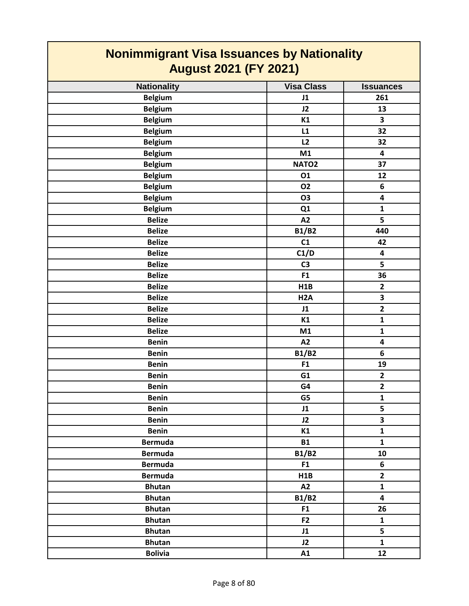| <u>Noniminigrant visa issuances by Nationality</u><br><b>August 2021 (FY 2021)</b> |                   |                         |
|------------------------------------------------------------------------------------|-------------------|-------------------------|
| <b>Nationality</b>                                                                 | <b>Visa Class</b> | <b>Issuances</b>        |
| <b>Belgium</b>                                                                     | J1                | 261                     |
| <b>Belgium</b>                                                                     | J2                | 13                      |
| <b>Belgium</b>                                                                     | K1                | 3                       |
| <b>Belgium</b>                                                                     | L1                | 32                      |
| <b>Belgium</b>                                                                     | L2                | 32                      |
| <b>Belgium</b>                                                                     | M1                | $\overline{\mathbf{4}}$ |
| <b>Belgium</b>                                                                     | NATO <sub>2</sub> | 37                      |
| <b>Belgium</b>                                                                     | 01                | 12                      |
| <b>Belgium</b>                                                                     | <b>O2</b>         | 6                       |
| <b>Belgium</b>                                                                     | <b>O3</b>         | 4                       |
| <b>Belgium</b>                                                                     | Q1                | $\mathbf{1}$            |
| <b>Belize</b>                                                                      | A2                | $\overline{\mathbf{5}}$ |
| <b>Belize</b>                                                                      | <b>B1/B2</b>      | 440                     |
| <b>Belize</b>                                                                      | C1                | 42                      |
| <b>Belize</b>                                                                      | C1/D              | 4                       |
| <b>Belize</b>                                                                      | C <sub>3</sub>    | 5                       |
| <b>Belize</b>                                                                      | F <sub>1</sub>    | 36                      |
| <b>Belize</b>                                                                      | H1B               | $\overline{\mathbf{2}}$ |
| <b>Belize</b>                                                                      | H <sub>2</sub> A  | 3                       |
| <b>Belize</b>                                                                      | J1                | $\overline{\mathbf{2}}$ |
| <b>Belize</b>                                                                      | K1                | $\mathbf{1}$            |
| <b>Belize</b>                                                                      | M1                | $\mathbf 1$             |
| <b>Benin</b>                                                                       | A2                | 4                       |
| <b>Benin</b>                                                                       | <b>B1/B2</b>      | 6                       |
| <b>Benin</b>                                                                       | F1                | 19                      |
| <b>Benin</b>                                                                       | G1                | $\mathbf{2}$            |
| <b>Benin</b>                                                                       | G4                | $\mathbf{2}$            |
| <b>Benin</b>                                                                       | G5                | $\mathbf 1$             |
| <b>Benin</b>                                                                       | J1                | 5                       |
| <b>Benin</b>                                                                       | J2                | $\overline{\mathbf{3}}$ |
| <b>Benin</b>                                                                       | K1                | $\mathbf{1}$            |
| <b>Bermuda</b>                                                                     | <b>B1</b>         | $\mathbf{1}$            |
| <b>Bermuda</b>                                                                     | <b>B1/B2</b>      | 10                      |
| <b>Bermuda</b>                                                                     | F <sub>1</sub>    | 6                       |
| <b>Bermuda</b>                                                                     | H1B               | $\overline{2}$          |
| <b>Bhutan</b>                                                                      | A2                | $\mathbf{1}$            |
| <b>Bhutan</b>                                                                      | <b>B1/B2</b>      | $\overline{\mathbf{4}}$ |
| <b>Bhutan</b>                                                                      | F <sub>1</sub>    | 26                      |
| <b>Bhutan</b>                                                                      | F <sub>2</sub>    | $\mathbf{1}$            |
| <b>Bhutan</b>                                                                      | J1                | 5                       |
| <b>Bhutan</b>                                                                      | J2                | $\mathbf{1}$            |
| <b>Bolivia</b>                                                                     | A1                | 12                      |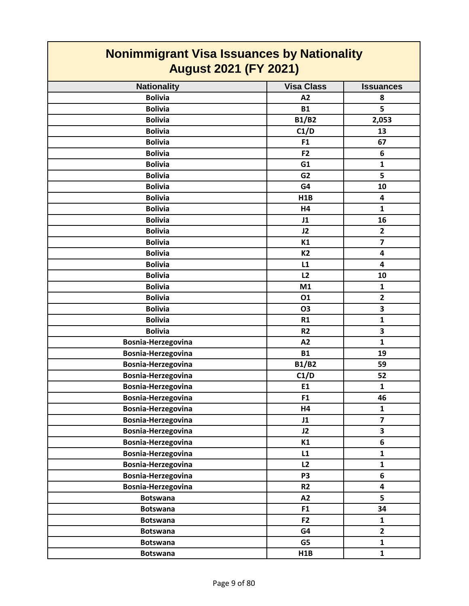| <u>nommungram visa issuanoos by nauonally</u><br><b>August 2021 (FY 2021)</b> |                   |                         |
|-------------------------------------------------------------------------------|-------------------|-------------------------|
| <b>Nationality</b>                                                            | <b>Visa Class</b> | <b>Issuances</b>        |
| <b>Bolivia</b>                                                                | A2                | 8                       |
| <b>Bolivia</b>                                                                | <b>B1</b>         | 5                       |
| <b>Bolivia</b>                                                                | <b>B1/B2</b>      | 2,053                   |
| <b>Bolivia</b>                                                                | C1/D              | 13                      |
| <b>Bolivia</b>                                                                | F1                | 67                      |
| <b>Bolivia</b>                                                                | F <sub>2</sub>    | 6                       |
| <b>Bolivia</b>                                                                | G1                | $\mathbf{1}$            |
| <b>Bolivia</b>                                                                | G <sub>2</sub>    | 5                       |
| <b>Bolivia</b>                                                                | G4                | 10                      |
| <b>Bolivia</b>                                                                | H1B               | 4                       |
| <b>Bolivia</b>                                                                | H4                | 1                       |
| <b>Bolivia</b>                                                                | J1                | 16                      |
| <b>Bolivia</b>                                                                | J2                | $\mathbf{2}$            |
| <b>Bolivia</b>                                                                | K1                | $\overline{7}$          |
| <b>Bolivia</b>                                                                | <b>K2</b>         | 4                       |
| <b>Bolivia</b>                                                                | L1                | 4                       |
| <b>Bolivia</b>                                                                | L2                | 10                      |
| <b>Bolivia</b>                                                                | M1                | $\mathbf{1}$            |
| <b>Bolivia</b>                                                                | 01                | $\overline{2}$          |
| <b>Bolivia</b>                                                                | <b>O3</b>         | 3                       |
| <b>Bolivia</b>                                                                | R1                | $\mathbf{1}$            |
| <b>Bolivia</b>                                                                | R <sub>2</sub>    | 3                       |
| Bosnia-Herzegovina                                                            | A2                | $\mathbf{1}$            |
| Bosnia-Herzegovina                                                            | <b>B1</b>         | 19                      |
| Bosnia-Herzegovina                                                            | <b>B1/B2</b>      | 59                      |
| Bosnia-Herzegovina                                                            | C1/D              | 52                      |
| Bosnia-Herzegovina                                                            | E1                | 1                       |
| Bosnia-Herzegovina                                                            | F1                | 46                      |
| Bosnia-Herzegovina                                                            | H4                | $\mathbf{1}$            |
| Bosnia-Herzegovina                                                            | J1                | $\overline{\mathbf{z}}$ |
| Bosnia-Herzegovina                                                            | J2                | $\overline{\mathbf{3}}$ |
| Bosnia-Herzegovina                                                            | K1                | 6                       |
| Bosnia-Herzegovina                                                            | L1                | $\mathbf{1}$            |
| Bosnia-Herzegovina                                                            | L2                | $\mathbf{1}$            |
| Bosnia-Herzegovina                                                            | P <sub>3</sub>    | 6                       |
| Bosnia-Herzegovina                                                            | R2                | 4                       |
| <b>Botswana</b>                                                               | A2                | 5                       |
| <b>Botswana</b>                                                               | F1                | 34                      |
| <b>Botswana</b>                                                               | F <sub>2</sub>    | $\mathbf{1}$            |
| <b>Botswana</b>                                                               | G4                | $\overline{\mathbf{2}}$ |
| <b>Botswana</b>                                                               | G5                | $\mathbf{1}$            |
| <b>Botswana</b>                                                               | H1B               | $\mathbf{1}$            |

L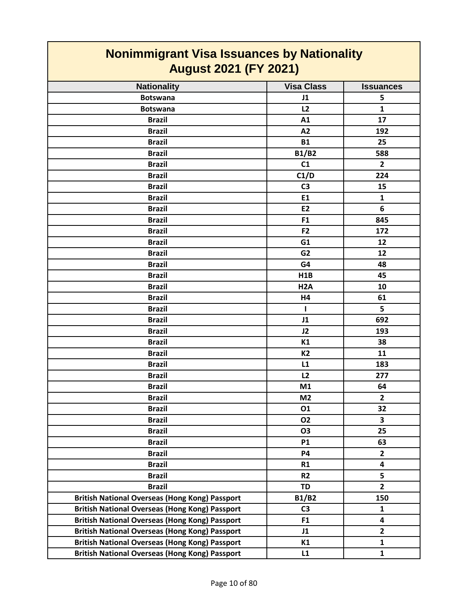| <b>Nonimmigrant Visa Issuances by Nationality</b><br><b>August 2021 (FY 2021)</b> |                   |                         |
|-----------------------------------------------------------------------------------|-------------------|-------------------------|
| <b>Nationality</b>                                                                | <b>Visa Class</b> | <b>Issuances</b>        |
| <b>Botswana</b>                                                                   | J1                | 5                       |
| <b>Botswana</b>                                                                   | L2                | 1                       |
| <b>Brazil</b>                                                                     | A1                | 17                      |
| <b>Brazil</b>                                                                     | A2                | 192                     |
| <b>Brazil</b>                                                                     | <b>B1</b>         | 25                      |
| <b>Brazil</b>                                                                     | <b>B1/B2</b>      | 588                     |
| <b>Brazil</b>                                                                     | C1                | $\overline{2}$          |
| <b>Brazil</b>                                                                     | C1/D              | 224                     |
| <b>Brazil</b>                                                                     | C <sub>3</sub>    | 15                      |
| <b>Brazil</b>                                                                     | E <sub>1</sub>    | $\mathbf{1}$            |
| <b>Brazil</b>                                                                     | E <sub>2</sub>    | 6                       |
| <b>Brazil</b>                                                                     | F <sub>1</sub>    | 845                     |
| <b>Brazil</b>                                                                     | F <sub>2</sub>    | 172                     |
| <b>Brazil</b>                                                                     | G1                | 12                      |
| <b>Brazil</b>                                                                     | G <sub>2</sub>    | 12                      |
| <b>Brazil</b>                                                                     | G4                | 48                      |
| <b>Brazil</b>                                                                     | H1B               | 45                      |
| <b>Brazil</b>                                                                     | H <sub>2</sub> A  | 10                      |
| <b>Brazil</b>                                                                     | H4                | 61                      |
| <b>Brazil</b>                                                                     | $\mathbf{I}$      | 5                       |
| <b>Brazil</b>                                                                     | J1                | 692                     |
| <b>Brazil</b>                                                                     | J2                | 193                     |
| <b>Brazil</b>                                                                     | K1                | 38                      |
| <b>Brazil</b>                                                                     | K2                | 11                      |
| <b>Brazil</b>                                                                     | L1                | 183                     |
| <b>Brazil</b>                                                                     | L2                | 277                     |
| <b>Brazil</b>                                                                     | M1                | 64                      |
| <b>Brazil</b>                                                                     | M <sub>2</sub>    | $\overline{2}$          |
| <b>Brazil</b>                                                                     | 01                | 32                      |
| <b>Brazil</b>                                                                     | <b>O2</b>         | 3                       |
| <b>Brazil</b>                                                                     | <b>O3</b>         | 25                      |
| <b>Brazil</b>                                                                     | <b>P1</b>         | 63                      |
| <b>Brazil</b>                                                                     | <b>P4</b>         | $\mathbf{2}$            |
| <b>Brazil</b>                                                                     | R1                | $\overline{\mathbf{4}}$ |
| <b>Brazil</b>                                                                     | R <sub>2</sub>    | 5                       |
| <b>Brazil</b>                                                                     | <b>TD</b>         | $\overline{2}$          |
| <b>British National Overseas (Hong Kong) Passport</b>                             | <b>B1/B2</b>      | 150                     |
| <b>British National Overseas (Hong Kong) Passport</b>                             | C <sub>3</sub>    | $\mathbf{1}$            |
| <b>British National Overseas (Hong Kong) Passport</b>                             | F1                | $\overline{\mathbf{4}}$ |
| <b>British National Overseas (Hong Kong) Passport</b>                             | J1                | $\mathbf{2}$            |
| <b>British National Overseas (Hong Kong) Passport</b>                             | K1                | $\mathbf{1}$            |
| <b>British National Overseas (Hong Kong) Passport</b>                             | L1                | $\mathbf{1}$            |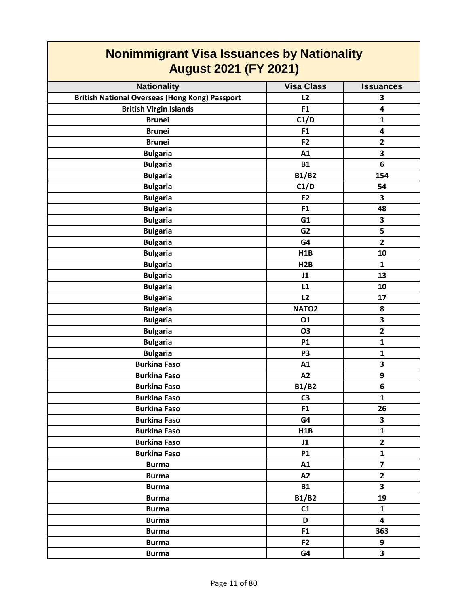| <b>August 2021 (FY 2021)</b>                          |                   |                         |
|-------------------------------------------------------|-------------------|-------------------------|
| <b>Nationality</b>                                    | <b>Visa Class</b> | <b>Issuances</b>        |
| <b>British National Overseas (Hong Kong) Passport</b> | L2                | 3                       |
| <b>British Virgin Islands</b>                         | F1                | 4                       |
| <b>Brunei</b>                                         | C1/D              | $\mathbf{1}$            |
| <b>Brunei</b>                                         | F <sub>1</sub>    | 4                       |
| <b>Brunei</b>                                         | F <sub>2</sub>    | $\overline{2}$          |
| <b>Bulgaria</b>                                       | A1                | 3                       |
| <b>Bulgaria</b>                                       | <b>B1</b>         | 6                       |
| <b>Bulgaria</b>                                       | <b>B1/B2</b>      | 154                     |
| <b>Bulgaria</b>                                       | C1/D              | 54                      |
| <b>Bulgaria</b>                                       | <b>E2</b>         | 3                       |
| <b>Bulgaria</b>                                       | F <sub>1</sub>    | 48                      |
| <b>Bulgaria</b>                                       | G1                | 3                       |
| <b>Bulgaria</b>                                       | G <sub>2</sub>    | 5                       |
| <b>Bulgaria</b>                                       | G4                | $\overline{\mathbf{2}}$ |
| <b>Bulgaria</b>                                       | H1B               | 10                      |
| <b>Bulgaria</b>                                       | H2B               | $\mathbf{1}$            |
| <b>Bulgaria</b>                                       | J1                | 13                      |
| <b>Bulgaria</b>                                       | L1                | 10                      |
| <b>Bulgaria</b>                                       | L2                | 17                      |
| <b>Bulgaria</b>                                       | NATO <sub>2</sub> | 8                       |
| <b>Bulgaria</b>                                       | 01                | 3                       |
| <b>Bulgaria</b>                                       | <b>O3</b>         | $\overline{2}$          |
| <b>Bulgaria</b>                                       | <b>P1</b>         | $\mathbf{1}$            |
| <b>Bulgaria</b>                                       | P <sub>3</sub>    | $\mathbf{1}$            |
| <b>Burkina Faso</b>                                   | A1                | 3                       |
| <b>Burkina Faso</b>                                   | A2                | 9                       |
| <b>Burkina Faso</b>                                   | <b>B1/B2</b>      | 6                       |
| <b>Burkina Faso</b>                                   | C <sub>3</sub>    | 1                       |
| <b>Burkina Faso</b>                                   | F <sub>1</sub>    | 26                      |
| <b>Burkina Faso</b>                                   | G4                | 3                       |
| <b>Burkina Faso</b>                                   | H <sub>1</sub> B  | $\mathbf{1}$            |
| <b>Burkina Faso</b>                                   | J1                | $\overline{2}$          |
| <b>Burkina Faso</b>                                   | <b>P1</b>         | $\mathbf{1}$            |
| <b>Burma</b>                                          | A1                | $\overline{7}$          |
| <b>Burma</b>                                          | A2                | $\overline{2}$          |
| <b>Burma</b>                                          | <b>B1</b>         | 3                       |
| <b>Burma</b>                                          | <b>B1/B2</b>      | 19                      |
| <b>Burma</b>                                          | C1                | $\mathbf{1}$            |
| <b>Burma</b>                                          | D                 | $\overline{\mathbf{4}}$ |
| <b>Burma</b>                                          | F1                | 363                     |
| <b>Burma</b>                                          | F <sub>2</sub>    | 9                       |
| <b>Burma</b>                                          | G4                | $\overline{\mathbf{3}}$ |

#### **Nonimmigrant Visa Issuances by Nationality August 2021 (FY 2021)**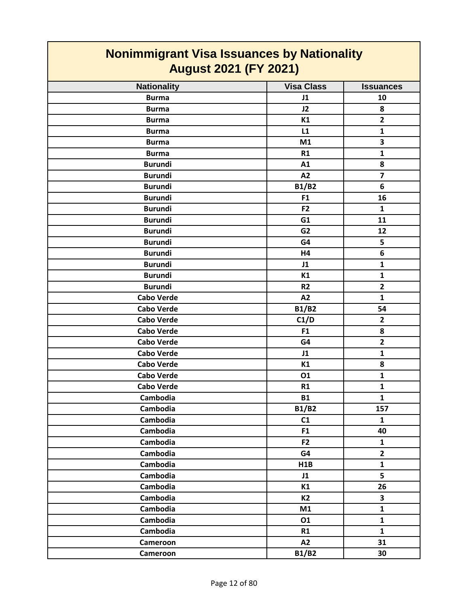| <u>Noniminigrant visa issuances by Nationality</u><br><b>August 2021 (FY 2021)</b> |                   |                         |
|------------------------------------------------------------------------------------|-------------------|-------------------------|
| <b>Nationality</b>                                                                 | <b>Visa Class</b> | <b>Issuances</b>        |
| <b>Burma</b>                                                                       | J1                | 10                      |
| <b>Burma</b>                                                                       | J2                | 8                       |
| <b>Burma</b>                                                                       | K1                | $\overline{2}$          |
| <b>Burma</b>                                                                       | L1                | 1                       |
| <b>Burma</b>                                                                       | M1                | $\overline{\mathbf{3}}$ |
| <b>Burma</b>                                                                       | R1                | $\mathbf{1}$            |
| <b>Burundi</b>                                                                     | A1                | 8                       |
| <b>Burundi</b>                                                                     | A2                | $\overline{7}$          |
| <b>Burundi</b>                                                                     | <b>B1/B2</b>      | 6                       |
| <b>Burundi</b>                                                                     | F1                | 16                      |
| <b>Burundi</b>                                                                     | F <sub>2</sub>    | $\mathbf{1}$            |
| <b>Burundi</b>                                                                     | G <sub>1</sub>    | 11                      |
| <b>Burundi</b>                                                                     | G <sub>2</sub>    | 12                      |
| <b>Burundi</b>                                                                     | G4                | 5                       |
| <b>Burundi</b>                                                                     | H4                | 6                       |
| <b>Burundi</b>                                                                     | J1                | $\mathbf{1}$            |
| <b>Burundi</b>                                                                     | K1                | $\mathbf{1}$            |
| <b>Burundi</b>                                                                     | R <sub>2</sub>    | $\overline{\mathbf{2}}$ |
| <b>Cabo Verde</b>                                                                  | A2                | $\mathbf{1}$            |
| <b>Cabo Verde</b>                                                                  | <b>B1/B2</b>      | 54                      |
| <b>Cabo Verde</b>                                                                  | C1/D              | $\overline{2}$          |
| <b>Cabo Verde</b>                                                                  | F1                | 8                       |
| <b>Cabo Verde</b>                                                                  | G4                | $\overline{\mathbf{2}}$ |
| <b>Cabo Verde</b>                                                                  | J1                | 1                       |
| <b>Cabo Verde</b>                                                                  | K1                | 8                       |
| <b>Cabo Verde</b>                                                                  | 01                | $\mathbf{1}$            |
| <b>Cabo Verde</b>                                                                  | R1                | 1                       |
| Cambodia                                                                           | <b>B1</b>         | $\mathbf{1}$            |
| Cambodia                                                                           | <b>B1/B2</b>      | 157                     |
| Cambodia                                                                           | C1                | $\mathbf{1}$            |
| Cambodia                                                                           | F <sub>1</sub>    | 40                      |
| Cambodia                                                                           | F2                | $\mathbf{1}$            |
| Cambodia                                                                           | G4                | $\overline{2}$          |
| Cambodia                                                                           | H1B               | $\mathbf{1}$            |
| Cambodia                                                                           | J1                | 5                       |
| Cambodia                                                                           | K1                | 26                      |
| Cambodia                                                                           | <b>K2</b>         | 3                       |
| Cambodia                                                                           | M1                | $\mathbf{1}$            |
| Cambodia                                                                           | 01                | $\mathbf{1}$            |
| Cambodia                                                                           | R1                | $\mathbf{1}$            |
| Cameroon                                                                           | A2                | 31                      |
| Cameroon                                                                           | <b>B1/B2</b>      | 30                      |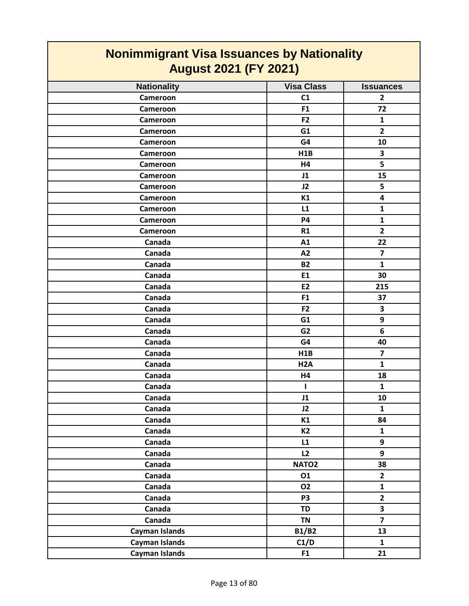| <b>Nonimmigrant Visa Issuances by Nationality</b><br><b>August 2021 (FY 2021)</b> |                   |                         |
|-----------------------------------------------------------------------------------|-------------------|-------------------------|
| <b>Nationality</b>                                                                | <b>Visa Class</b> | <b>Issuances</b>        |
| Cameroon                                                                          | C <sub>1</sub>    | $\overline{2}$          |
| Cameroon                                                                          | F1                | 72                      |
| Cameroon                                                                          | F2                | $\mathbf{1}$            |
| Cameroon                                                                          | G1                | $\overline{2}$          |
| Cameroon                                                                          | G4                | 10                      |
| Cameroon                                                                          | H1B               | 3                       |
| Cameroon                                                                          | H4                | 5                       |
| Cameroon                                                                          | J1                | 15                      |
| Cameroon                                                                          | J2                | 5                       |
| Cameroon                                                                          | K1                | 4                       |
| Cameroon                                                                          | L1                | $\mathbf{1}$            |
| Cameroon                                                                          | <b>P4</b>         | 1                       |
| Cameroon                                                                          | R1                | $\overline{2}$          |
| Canada                                                                            | A1                | 22                      |
| Canada                                                                            | A2                | $\overline{\mathbf{z}}$ |
| Canada                                                                            | <b>B2</b>         | $\mathbf{1}$            |
| Canada                                                                            | E1                | 30                      |
| Canada                                                                            | <b>E2</b>         | 215                     |
| Canada                                                                            | F <sub>1</sub>    | 37                      |
| Canada                                                                            | F <sub>2</sub>    | 3                       |
| Canada                                                                            | G1                | 9                       |
| Canada                                                                            | G <sub>2</sub>    | 6                       |
| Canada                                                                            | G4                | 40                      |
| Canada                                                                            | H1B               | $\overline{\mathbf{z}}$ |
| Canada                                                                            | H <sub>2</sub> A  | $\mathbf{1}$            |
| Canada                                                                            | Η4                | 18                      |
| Canada                                                                            | $\mathbf{I}$      | $\mathbf{1}$            |
| Canada                                                                            | J1                | 10                      |
| Canada                                                                            | J2                | $\mathbf{1}$            |
| Canada                                                                            | K1                | 84                      |
| Canada                                                                            | <b>K2</b>         | $\mathbf{1}$            |
| Canada                                                                            | L1                | 9                       |
| Canada                                                                            | L2                | 9                       |
| Canada                                                                            | NATO <sub>2</sub> | 38                      |
| Canada                                                                            | 01                | $\overline{\mathbf{2}}$ |
| Canada                                                                            | 02                | $\mathbf{1}$            |
| Canada                                                                            | P <sub>3</sub>    | $\overline{2}$          |
| Canada                                                                            | <b>TD</b>         | $\overline{\mathbf{3}}$ |
| Canada                                                                            | <b>TN</b>         | $\overline{7}$          |
| Cayman Islands                                                                    | <b>B1/B2</b>      | 13                      |
| Cayman Islands                                                                    | C1/D              | $\mathbf{1}$            |
| Cayman Islands                                                                    | F1                | 21                      |

**The Co**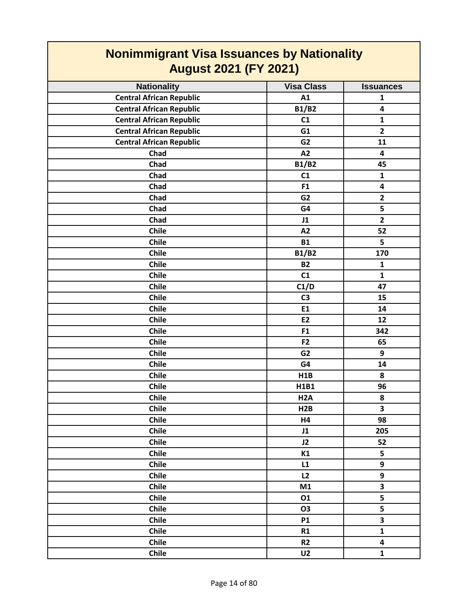| <b>August 2021 (FY 2021)</b>    |                   |                         |
|---------------------------------|-------------------|-------------------------|
| <b>Nationality</b>              | <b>Visa Class</b> | <b>Issuances</b>        |
| <b>Central African Republic</b> | A1                | $\mathbf{1}$            |
| <b>Central African Republic</b> | <b>B1/B2</b>      | 4                       |
| <b>Central African Republic</b> | C1                | $\mathbf{1}$            |
| <b>Central African Republic</b> | G1                | $\overline{2}$          |
| <b>Central African Republic</b> | G <sub>2</sub>    | 11                      |
| Chad                            | A2                | $\overline{\mathbf{4}}$ |
| Chad                            | <b>B1/B2</b>      | 45                      |
| Chad                            | C1                | $\mathbf{1}$            |
| Chad                            | F <sub>1</sub>    | 4                       |
| Chad                            | G <sub>2</sub>    | $\overline{2}$          |
| Chad                            | G4                | 5                       |
| Chad                            | J1                | $\overline{2}$          |
| <b>Chile</b>                    | A2                | 52                      |
| <b>Chile</b>                    | <b>B1</b>         | 5                       |
| <b>Chile</b>                    | <b>B1/B2</b>      | 170                     |
| <b>Chile</b>                    | <b>B2</b>         | $\mathbf{1}$            |
| <b>Chile</b>                    | C1                | $\mathbf{1}$            |
| <b>Chile</b>                    | C1/D              | 47                      |
| <b>Chile</b>                    | C <sub>3</sub>    | 15                      |
| Chile                           | E1                | 14                      |
| Chile                           | E <sub>2</sub>    | 12                      |
| Chile                           | F <sub>1</sub>    | 342                     |
| <b>Chile</b>                    | F <sub>2</sub>    | 65                      |
| <b>Chile</b>                    | G <sub>2</sub>    | 9                       |
| <b>Chile</b>                    | G4                | 14                      |
| <b>Chile</b>                    | H1B               | 8                       |
| <b>Chile</b>                    | H1B1              | 96                      |
| Chile                           | H <sub>2</sub> A  | 8                       |
| Chile                           | H2B               | 3                       |
| Chile                           | H4                | 98                      |
| Chile                           | J1                | 205                     |
| Chile                           | J2                | 52                      |
| Chile                           | K1                | 5                       |
| Chile                           | L1                | 9                       |
| Chile                           | L2                | 9                       |
| Chile                           | M1                | 3                       |
| Chile                           | 01                | 5                       |
| Chile                           | <b>O3</b>         | $\overline{\mathbf{5}}$ |
| Chile                           | <b>P1</b>         | $\overline{\mathbf{3}}$ |
| Chile                           | R1                | $\mathbf{1}$            |
| Chile                           | R <sub>2</sub>    | $\overline{\mathbf{4}}$ |
| Chile                           | U <sub>2</sub>    | $\mathbf{1}$            |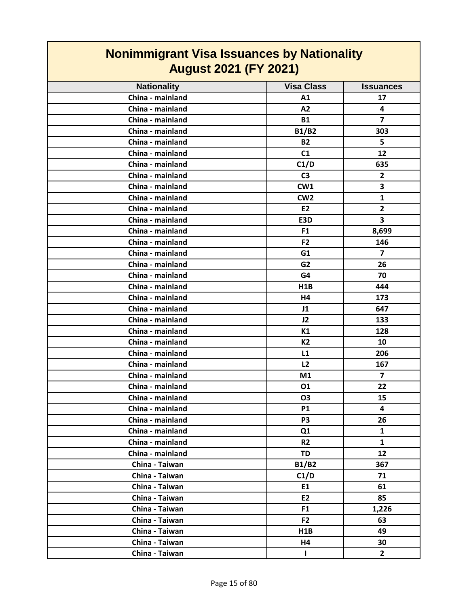| <b>August 2021 (FY 2021)</b> |                   |                         |
|------------------------------|-------------------|-------------------------|
| <b>Nationality</b>           | <b>Visa Class</b> | <b>Issuances</b>        |
| China - mainland             | A1                | 17                      |
| China - mainland             | A2                | 4                       |
| China - mainland             | <b>B1</b>         | $\overline{7}$          |
| China - mainland             | <b>B1/B2</b>      | 303                     |
| China - mainland             | <b>B2</b>         | 5                       |
| China - mainland             | C1                | 12                      |
| China - mainland             | C1/D              | 635                     |
| China - mainland             | C <sub>3</sub>    | $\mathbf{2}$            |
| China - mainland             | CW1               | 3                       |
| China - mainland             | CW <sub>2</sub>   | $\mathbf{1}$            |
| China - mainland             | E <sub>2</sub>    | $\mathbf{2}$            |
| China - mainland             | E3D               | $\overline{\mathbf{3}}$ |
| China - mainland             | F <sub>1</sub>    | 8,699                   |
| China - mainland             | F <sub>2</sub>    | 146                     |
| China - mainland             | G1                | $\overline{7}$          |
| China - mainland             | G <sub>2</sub>    | 26                      |
| China - mainland             | G4                | 70                      |
| China - mainland             | H1B               | 444                     |
| China - mainland             | H4                | 173                     |
| China - mainland             | J1                | 647                     |
| China - mainland             | J2                | 133                     |
| China - mainland             | K1                | 128                     |
| China - mainland             | K2                | 10                      |
| China - mainland             | L1                | 206                     |
| China - mainland             | L2                | 167                     |
| China - mainland             | M1                | $\overline{7}$          |
| China - mainland             | 01                | 22                      |
| China - mainland             | O3                | 15                      |
| China - mainland             | <b>P1</b>         | 4                       |
| China - mainland             | P <sub>3</sub>    | 26                      |
| China - mainland             | Q <sub>1</sub>    | $\mathbf{1}$            |
| China - mainland             | R <sub>2</sub>    | $\mathbf{1}$            |
| China - mainland             | TD                | 12                      |
| China - Taiwan               | <b>B1/B2</b>      | 367                     |
| China - Taiwan               | C1/D              | 71                      |
| China - Taiwan               | E1                | 61                      |
| China - Taiwan               | E2                | 85                      |
| China - Taiwan               | F <sub>1</sub>    | 1,226                   |
| China - Taiwan               | F <sub>2</sub>    | 63                      |
| China - Taiwan               | H1B               | 49                      |
| China - Taiwan               | H4                | 30                      |
| China - Taiwan               | $\mathbf{I}$      | $\overline{2}$          |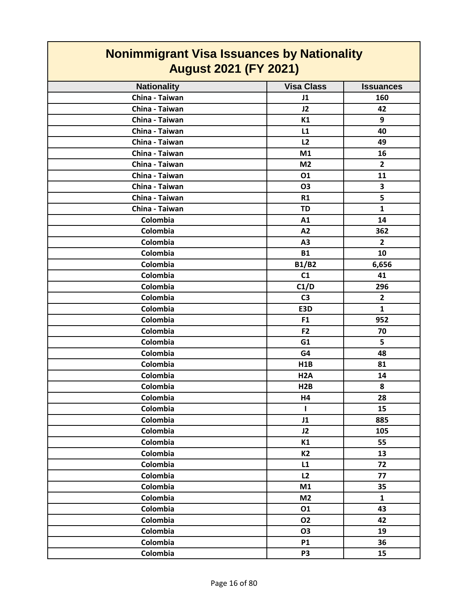| <u>11011111111191</u> and 110a 100aanooo by nadonally<br><b>August 2021 (FY 2021)</b> |                   |                  |
|---------------------------------------------------------------------------------------|-------------------|------------------|
| <b>Nationality</b>                                                                    | <b>Visa Class</b> | <b>Issuances</b> |
| China - Taiwan                                                                        | J1                | 160              |
| China - Taiwan                                                                        | J2                | 42               |
| China - Taiwan                                                                        | K1                | 9                |
| China - Taiwan                                                                        | L1                | 40               |
| China - Taiwan                                                                        | L2                | 49               |
| China - Taiwan                                                                        | M1                | 16               |
| China - Taiwan                                                                        | M <sub>2</sub>    | $\overline{2}$   |
| China - Taiwan                                                                        | 01                | 11               |
| China - Taiwan                                                                        | <b>O3</b>         | 3                |
| China - Taiwan                                                                        | R1                | 5                |
| China - Taiwan                                                                        | <b>TD</b>         | $\mathbf{1}$     |
| Colombia                                                                              | A1                | 14               |
| Colombia                                                                              | A2                | 362              |
| Colombia                                                                              | A3                | $\mathbf{2}$     |
| Colombia                                                                              | <b>B1</b>         | 10               |
| Colombia                                                                              | <b>B1/B2</b>      | 6,656            |
| Colombia                                                                              | C1                | 41               |
| Colombia                                                                              | C1/D              | 296              |
| Colombia                                                                              | C <sub>3</sub>    | $\mathbf{2}$     |
| Colombia                                                                              | E3D               | $\mathbf{1}$     |
| Colombia                                                                              | F <sub>1</sub>    | 952              |
| Colombia                                                                              | F2                | 70               |
| Colombia                                                                              | G1                | 5                |
| Colombia                                                                              | G4                | 48               |
| Colombia                                                                              | H1B               | 81               |
| Colombia                                                                              | H <sub>2</sub> A  | 14               |
| Colombia                                                                              | H2B               | 8                |
| Colombia                                                                              | Η4                | 28               |
| Colombia                                                                              | $\mathbf{I}$      | 15               |
| Colombia                                                                              | J1                | 885              |
| Colombia                                                                              | J2                | 105              |
| Colombia                                                                              | K1                | 55               |
| Colombia                                                                              | <b>K2</b>         | 13               |
| Colombia                                                                              | L1                | 72               |
| Colombia                                                                              | L2                | 77               |
| Colombia                                                                              | M1                | 35               |
| Colombia                                                                              | M <sub>2</sub>    | $\mathbf{1}$     |
| Colombia                                                                              | 01                | 43               |
| Colombia                                                                              | 02                | 42               |
| Colombia                                                                              | <b>O3</b>         | 19               |
| Colombia                                                                              | <b>P1</b>         | 36               |
| Colombia                                                                              | P <sub>3</sub>    | 15               |

T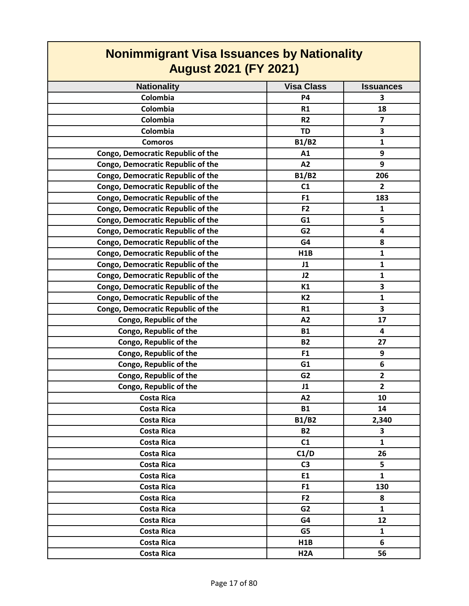| <b>Nonimmigrant Visa Issuances by Nationality</b> |                   |                  |
|---------------------------------------------------|-------------------|------------------|
| <b>August 2021 (FY 2021)</b>                      |                   |                  |
| <b>Nationality</b>                                | <b>Visa Class</b> | <b>Issuances</b> |
| Colombia                                          | <b>P4</b>         | 3                |
| Colombia                                          | R1                | 18               |
| Colombia                                          | R <sub>2</sub>    | $\overline{ }$   |
| Colombia                                          | <b>TD</b>         | 3                |
| <b>Comoros</b>                                    | <b>B1/B2</b>      | $\mathbf{1}$     |
| Congo, Democratic Republic of the                 | A1                | 9                |
| Congo, Democratic Republic of the                 | A2                | 9                |
| Congo, Democratic Republic of the                 | <b>B1/B2</b>      | 206              |
| Congo, Democratic Republic of the                 | C1                | $\overline{2}$   |
| Congo, Democratic Republic of the                 | F <sub>1</sub>    | 183              |
| Congo, Democratic Republic of the                 | F <sub>2</sub>    | 1                |
| Congo, Democratic Republic of the                 | G1                | 5                |
| Congo, Democratic Republic of the                 | G <sub>2</sub>    | 4                |
| Congo, Democratic Republic of the                 | G4                | 8                |
| Congo, Democratic Republic of the                 | H1B               | $\mathbf{1}$     |
| <b>Congo, Democratic Republic of the</b>          | J1                | $\mathbf{1}$     |
| <b>Congo, Democratic Republic of the</b>          | J2                | $\mathbf{1}$     |
| Congo, Democratic Republic of the                 | K1                | 3                |
| Congo, Democratic Republic of the                 | <b>K2</b>         | $\mathbf{1}$     |
| <b>Congo, Democratic Republic of the</b>          | R1                | 3                |
| Congo, Republic of the                            | A2                | 17               |
| Congo, Republic of the                            | <b>B1</b>         | 4                |
| Congo, Republic of the                            | <b>B2</b>         | 27               |
| Congo, Republic of the                            | F <sub>1</sub>    | 9                |
| Congo, Republic of the                            | G1                | 6                |
| Congo, Republic of the                            | G <sub>2</sub>    | $\overline{2}$   |
| Congo, Republic of the                            | J1                | $\overline{2}$   |
| <b>Costa Rica</b>                                 | A2                | 10               |
| <b>Costa Rica</b>                                 | <b>B1</b>         | 14               |
| <b>Costa Rica</b>                                 | <b>B1/B2</b>      | 2,340            |
| <b>Costa Rica</b>                                 | <b>B2</b>         | 3                |
| Costa Rica                                        | C1                | $\mathbf{1}$     |
| <b>Costa Rica</b>                                 | C1/D              | 26               |
| <b>Costa Rica</b>                                 | C <sub>3</sub>    | 5                |
| <b>Costa Rica</b>                                 | E1                | $\mathbf{1}$     |
| <b>Costa Rica</b>                                 | F <sub>1</sub>    | 130              |
| <b>Costa Rica</b>                                 | F <sub>2</sub>    | 8                |
| <b>Costa Rica</b>                                 | G <sub>2</sub>    | $\mathbf{1}$     |
| <b>Costa Rica</b>                                 | G4                | 12               |
| <b>Costa Rica</b>                                 | G5                | $\mathbf{1}$     |
| <b>Costa Rica</b>                                 | H <sub>1</sub> B  | 6                |
| <b>Costa Rica</b>                                 | H <sub>2</sub> A  | 56               |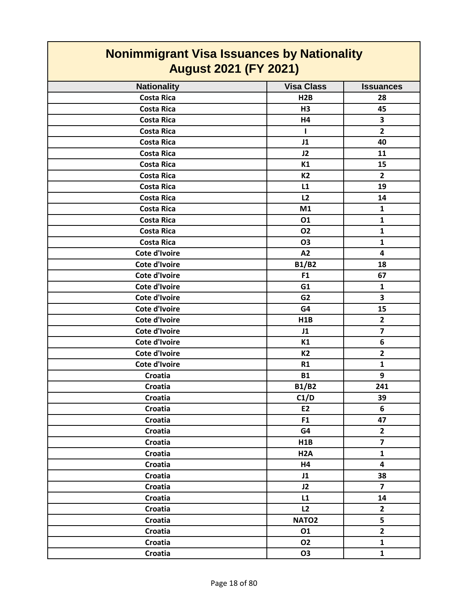| <b>Nonimmigrant Visa Issuances by Nationality</b><br><b>August 2021 (FY 2021)</b> |                   |                         |
|-----------------------------------------------------------------------------------|-------------------|-------------------------|
| <b>Nationality</b>                                                                | <b>Visa Class</b> | <b>Issuances</b>        |
| <b>Costa Rica</b>                                                                 | H2B               | 28                      |
| <b>Costa Rica</b>                                                                 | H <sub>3</sub>    | 45                      |
| <b>Costa Rica</b>                                                                 | H4                | 3                       |
| <b>Costa Rica</b>                                                                 | т                 | $\overline{2}$          |
| <b>Costa Rica</b>                                                                 | J1                | 40                      |
| <b>Costa Rica</b>                                                                 | J2                | 11                      |
| <b>Costa Rica</b>                                                                 | K1                | 15                      |
| <b>Costa Rica</b>                                                                 | <b>K2</b>         | $\overline{2}$          |
| <b>Costa Rica</b>                                                                 | L1                | 19                      |
| <b>Costa Rica</b>                                                                 | L2                | 14                      |
| <b>Costa Rica</b>                                                                 | M1                | $\mathbf{1}$            |
| <b>Costa Rica</b>                                                                 | 01                | $\mathbf{1}$            |
| <b>Costa Rica</b>                                                                 | 02                | $\mathbf{1}$            |
| <b>Costa Rica</b>                                                                 | <b>O3</b>         | $\mathbf{1}$            |
| Cote d'Ivoire                                                                     | A2                | 4                       |
| <b>Cote d'Ivoire</b>                                                              | <b>B1/B2</b>      | 18                      |
| Cote d'Ivoire                                                                     | F <sub>1</sub>    | 67                      |
| <b>Cote d'Ivoire</b>                                                              | G1                | 1                       |
| Cote d'Ivoire                                                                     | G <sub>2</sub>    | 3                       |
| Cote d'Ivoire                                                                     | G4                | 15                      |
| Cote d'Ivoire                                                                     | H <sub>1</sub> B  | $\overline{\mathbf{2}}$ |
| <b>Cote d'Ivoire</b>                                                              | J1                | $\overline{7}$          |
| Cote d'Ivoire                                                                     | K1                | 6                       |
| <b>Cote d'Ivoire</b>                                                              | <b>K2</b>         | $\overline{2}$          |
| Cote d'Ivoire                                                                     | <b>R1</b>         | 1                       |
| <b>Croatia</b>                                                                    | <b>B1</b>         | 9                       |
| Croatia                                                                           | <b>B1/B2</b>      | 241                     |
| Croatia                                                                           | C1/D              | 39                      |
| Croatia                                                                           | <b>E2</b>         | 6                       |
| Croatia                                                                           | F1                | 47                      |
| Croatia                                                                           | G4                | $\mathbf{2}$            |
| Croatia                                                                           | H1B               | $\overline{\mathbf{z}}$ |
| Croatia                                                                           | H <sub>2</sub> A  | $\mathbf{1}$            |
| Croatia                                                                           | H4                | $\overline{\mathbf{4}}$ |
| Croatia                                                                           | J1                | 38                      |
| Croatia                                                                           | J2                | $\overline{\mathbf{z}}$ |
| Croatia                                                                           | L1                | 14                      |
| Croatia                                                                           | L2                | $\mathbf{2}$            |
| Croatia                                                                           | NATO <sub>2</sub> | 5                       |
| Croatia                                                                           | 01                | $\overline{2}$          |
| Croatia                                                                           | 02                | $\mathbf{1}$            |
| Croatia                                                                           | <b>O3</b>         | $\mathbf{1}$            |

 $\mathsf{r}$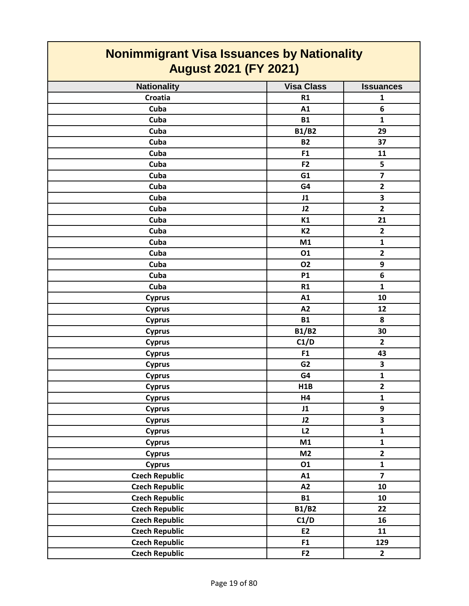| Nonimmigrant Visa Issuances by Nationality<br><b>August 2021 (FY 2021)</b> |                   |                         |
|----------------------------------------------------------------------------|-------------------|-------------------------|
| <b>Nationality</b>                                                         | <b>Visa Class</b> | <b>Issuances</b>        |
| Croatia                                                                    | R1                | 1                       |
| Cuba                                                                       | A1                | 6                       |
| Cuba                                                                       | <b>B1</b>         | $\mathbf{1}$            |
| Cuba                                                                       | <b>B1/B2</b>      | 29                      |
| Cuba                                                                       | <b>B2</b>         | 37                      |
| Cuba                                                                       | F <sub>1</sub>    | 11                      |
| Cuba                                                                       | F <sub>2</sub>    | 5                       |
| Cuba                                                                       | G1                | $\overline{\mathbf{z}}$ |
| Cuba                                                                       | G4                | $\mathbf{2}$            |
| Cuba                                                                       | J1                | 3                       |
| Cuba                                                                       | J2                | $\mathbf{2}$            |
| Cuba                                                                       | K1                | 21                      |
| Cuba                                                                       | <b>K2</b>         | $\mathbf{2}$            |
| Cuba                                                                       | M1                | $\mathbf{1}$            |
| Cuba                                                                       | 01                | $\overline{\mathbf{2}}$ |
| Cuba                                                                       | <b>O2</b>         | 9                       |
| Cuba                                                                       | <b>P1</b>         | 6                       |
| Cuba                                                                       | R1                | $\mathbf{1}$            |
| <b>Cyprus</b>                                                              | A1                | 10                      |
| <b>Cyprus</b>                                                              | A2                | 12                      |
| <b>Cyprus</b>                                                              | <b>B1</b>         | 8                       |
| <b>Cyprus</b>                                                              | <b>B1/B2</b>      | 30                      |
| <b>Cyprus</b>                                                              | C1/D              | $\overline{2}$          |
| <b>Cyprus</b>                                                              | F <sub>1</sub>    | 43                      |
| <b>Cyprus</b>                                                              | G <sub>2</sub>    | 3                       |
| <b>Cyprus</b>                                                              | G4                | $\mathbf{1}$            |
| <b>Cyprus</b>                                                              | H1B               | $\overline{2}$          |
| <b>Cyprus</b>                                                              | Η4                | 1                       |
| <b>Cyprus</b>                                                              | J1                | 9                       |
| <b>Cyprus</b>                                                              | J2                | 3                       |
| <b>Cyprus</b>                                                              | L2                | $\mathbf{1}$            |
| <b>Cyprus</b>                                                              | M1                | $\mathbf{1}$            |
| <b>Cyprus</b>                                                              | M <sub>2</sub>    | $\overline{2}$          |
| <b>Cyprus</b>                                                              | 01                | $\mathbf{1}$            |
| <b>Czech Republic</b>                                                      | A1                | $\overline{\mathbf{z}}$ |
| <b>Czech Republic</b>                                                      | A2                | 10                      |
| <b>Czech Republic</b>                                                      | <b>B1</b>         | 10                      |
| <b>Czech Republic</b>                                                      | <b>B1/B2</b>      | 22                      |
| <b>Czech Republic</b>                                                      | C1/D              | 16                      |
| <b>Czech Republic</b>                                                      | E2                | 11                      |
| <b>Czech Republic</b>                                                      | F <sub>1</sub>    | 129                     |
| <b>Czech Republic</b>                                                      | F <sub>2</sub>    | $\overline{2}$          |

 $\mathcal{L}_{\mathcal{A}}$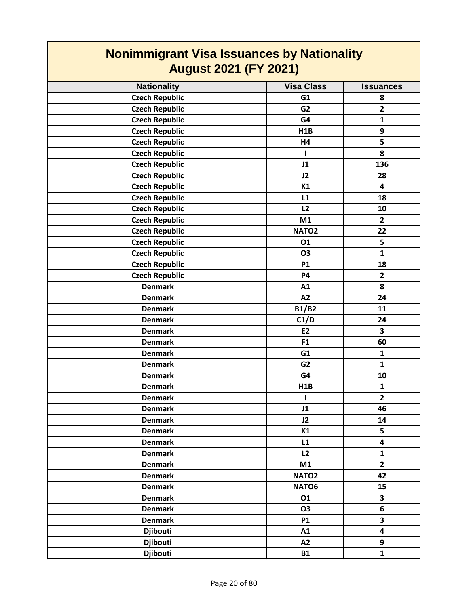| <b>Nonimmigrant Visa Issuances by Nationality</b><br><b>August 2021 (FY 2021)</b> |                   |                         |
|-----------------------------------------------------------------------------------|-------------------|-------------------------|
| <b>Nationality</b>                                                                | <b>Visa Class</b> | <b>Issuances</b>        |
| <b>Czech Republic</b>                                                             | G1                | 8                       |
| <b>Czech Republic</b>                                                             | G <sub>2</sub>    | $\overline{2}$          |
| <b>Czech Republic</b>                                                             | G4                | $\mathbf{1}$            |
| <b>Czech Republic</b>                                                             | H1B               | 9                       |
| <b>Czech Republic</b>                                                             | H4                | 5                       |
| <b>Czech Republic</b>                                                             | т                 | 8                       |
| <b>Czech Republic</b>                                                             | J1                | 136                     |
| <b>Czech Republic</b>                                                             | J2                | 28                      |
| <b>Czech Republic</b>                                                             | K1                | $\overline{\mathbf{4}}$ |
| <b>Czech Republic</b>                                                             | L1                | 18                      |
| <b>Czech Republic</b>                                                             | L2                | 10                      |
| <b>Czech Republic</b>                                                             | M1                | $\overline{2}$          |
| <b>Czech Republic</b>                                                             | NATO <sub>2</sub> | 22                      |
| <b>Czech Republic</b>                                                             | 01                | 5                       |
| <b>Czech Republic</b>                                                             | <b>O3</b>         | $\mathbf{1}$            |
| <b>Czech Republic</b>                                                             | <b>P1</b>         | 18                      |
| <b>Czech Republic</b>                                                             | <b>P4</b>         | $\overline{2}$          |
| <b>Denmark</b>                                                                    | A1                | 8                       |
| <b>Denmark</b>                                                                    | A2                | 24                      |
| <b>Denmark</b>                                                                    | <b>B1/B2</b>      | 11                      |
| <b>Denmark</b>                                                                    | C1/D              | 24                      |
| <b>Denmark</b>                                                                    | <b>E2</b>         | 3                       |
| <b>Denmark</b>                                                                    | F <sub>1</sub>    | 60                      |
| <b>Denmark</b>                                                                    | G1                | $\mathbf{1}$            |
| <b>Denmark</b>                                                                    | G <sub>2</sub>    | $\mathbf{1}$            |
| <b>Denmark</b>                                                                    | G4                | 10                      |
| <b>Denmark</b>                                                                    | H1B               | $\mathbf{1}$            |
| <b>Denmark</b>                                                                    | T                 | $\overline{2}$          |
| <b>Denmark</b>                                                                    | J1                | 46                      |
| <b>Denmark</b>                                                                    | J2                | 14                      |
| <b>Denmark</b>                                                                    | K1                | 5                       |
| <b>Denmark</b>                                                                    | L1                | $\overline{\mathbf{4}}$ |
| <b>Denmark</b>                                                                    | L2                | $\mathbf{1}$            |
| <b>Denmark</b>                                                                    | M1                | $\overline{2}$          |
| <b>Denmark</b>                                                                    | NATO <sub>2</sub> | 42                      |
| <b>Denmark</b>                                                                    | NATO6             | 15                      |
| <b>Denmark</b>                                                                    | 01                | 3                       |
| <b>Denmark</b>                                                                    | 03                | 6                       |
| <b>Denmark</b>                                                                    | <b>P1</b>         | 3                       |
| <b>Djibouti</b>                                                                   | A1                | 4                       |
| <b>Djibouti</b>                                                                   | A2                | 9                       |
| <b>Djibouti</b>                                                                   | <b>B1</b>         | $\mathbf{1}$            |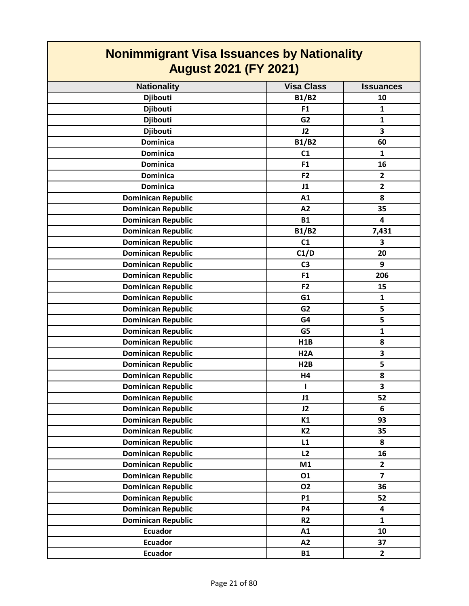| <b>Nonimmigrant Visa Issuances by Nationality</b><br><b>August 2021 (FY 2021)</b> |                   |                         |
|-----------------------------------------------------------------------------------|-------------------|-------------------------|
| <b>Nationality</b>                                                                | <b>Visa Class</b> | <b>Issuances</b>        |
| <b>Djibouti</b>                                                                   | <b>B1/B2</b>      | 10                      |
| <b>Djibouti</b>                                                                   | F <sub>1</sub>    | $\mathbf{1}$            |
| <b>Djibouti</b>                                                                   | G <sub>2</sub>    | $\mathbf{1}$            |
| <b>Djibouti</b>                                                                   | J2                | 3                       |
| <b>Dominica</b>                                                                   | <b>B1/B2</b>      | 60                      |
| <b>Dominica</b>                                                                   | C <sub>1</sub>    | 1                       |
| <b>Dominica</b>                                                                   | F <sub>1</sub>    | 16                      |
| <b>Dominica</b>                                                                   | F <sub>2</sub>    | $\mathbf{2}$            |
| <b>Dominica</b>                                                                   | J1                | $\overline{2}$          |
| <b>Dominican Republic</b>                                                         | A1                | 8                       |
| <b>Dominican Republic</b>                                                         | A2                | 35                      |
| <b>Dominican Republic</b>                                                         | <b>B1</b>         | 4                       |
| <b>Dominican Republic</b>                                                         | <b>B1/B2</b>      | 7,431                   |
| <b>Dominican Republic</b>                                                         | C1                | 3                       |
| <b>Dominican Republic</b>                                                         | C1/D              | 20                      |
| <b>Dominican Republic</b>                                                         | C <sub>3</sub>    | 9                       |
| <b>Dominican Republic</b>                                                         | F <sub>1</sub>    | 206                     |
| <b>Dominican Republic</b>                                                         | F <sub>2</sub>    | 15                      |
| <b>Dominican Republic</b>                                                         | G1                | $\mathbf{1}$            |
| <b>Dominican Republic</b>                                                         | G <sub>2</sub>    | 5                       |
| <b>Dominican Republic</b>                                                         | G4                | 5                       |
| <b>Dominican Republic</b>                                                         | G <sub>5</sub>    | $\mathbf{1}$            |
| <b>Dominican Republic</b>                                                         | H1B               | 8                       |
| <b>Dominican Republic</b>                                                         | H <sub>2</sub> A  | 3                       |
| <b>Dominican Republic</b>                                                         | H2B               | 5                       |
| <b>Dominican Republic</b>                                                         | H4                | 8                       |
| <b>Dominican Republic</b>                                                         |                   | 3                       |
| <b>Dominican Republic</b>                                                         | J1                | 52                      |
| <b>Dominican Republic</b>                                                         | J2                | 6                       |
| <b>Dominican Republic</b>                                                         | K1                | 93                      |
| <b>Dominican Republic</b>                                                         | <b>K2</b>         | 35                      |
| <b>Dominican Republic</b>                                                         | L1                | 8                       |
| <b>Dominican Republic</b>                                                         | L2                | 16                      |
| <b>Dominican Republic</b>                                                         | M1                | $\overline{2}$          |
| <b>Dominican Republic</b>                                                         | 01                | $\overline{\mathbf{z}}$ |
| <b>Dominican Republic</b>                                                         | <b>O2</b>         | 36                      |
| <b>Dominican Republic</b>                                                         | <b>P1</b>         | 52                      |
| <b>Dominican Republic</b>                                                         | <b>P4</b>         | 4                       |
| <b>Dominican Republic</b>                                                         | R <sub>2</sub>    | $\mathbf{1}$            |
| <b>Ecuador</b>                                                                    | A1                | 10                      |
| <b>Ecuador</b>                                                                    | A2                | 37                      |
| <b>Ecuador</b>                                                                    | <b>B1</b>         | $\overline{2}$          |

 $\mathsf{I}$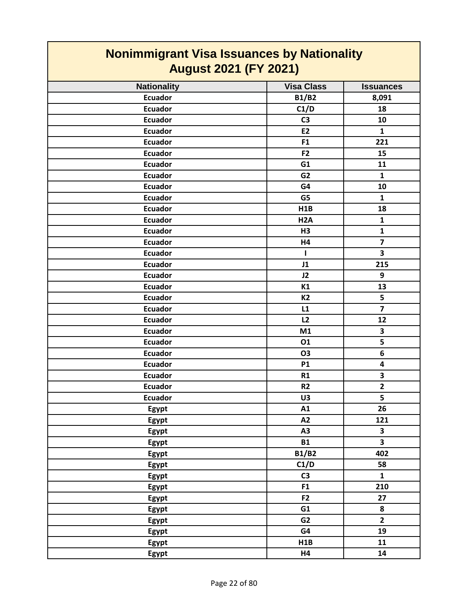| <b>Nonimmigrant Visa Issuances by Nationality</b><br><b>August 2021 (FY 2021)</b> |                   |                         |
|-----------------------------------------------------------------------------------|-------------------|-------------------------|
| <b>Nationality</b>                                                                | <b>Visa Class</b> | <b>Issuances</b>        |
| <b>Ecuador</b>                                                                    | <b>B1/B2</b>      | 8,091                   |
| <b>Ecuador</b>                                                                    | C1/D              | 18                      |
| <b>Ecuador</b>                                                                    | C <sub>3</sub>    | 10                      |
| <b>Ecuador</b>                                                                    | <b>E2</b>         | 1                       |
| <b>Ecuador</b>                                                                    | F <sub>1</sub>    | 221                     |
| <b>Ecuador</b>                                                                    | F <sub>2</sub>    | 15                      |
| <b>Ecuador</b>                                                                    | G1                | 11                      |
| <b>Ecuador</b>                                                                    | G <sub>2</sub>    | $\mathbf{1}$            |
| <b>Ecuador</b>                                                                    | G4                | 10                      |
| <b>Ecuador</b>                                                                    | G5                | $\mathbf{1}$            |
| <b>Ecuador</b>                                                                    | H1B               | 18                      |
| <b>Ecuador</b>                                                                    | H <sub>2</sub> A  | $\mathbf{1}$            |
| <b>Ecuador</b>                                                                    | H3                | $\mathbf{1}$            |
| <b>Ecuador</b>                                                                    | H4                | $\overline{7}$          |
| <b>Ecuador</b>                                                                    | L                 | 3                       |
| <b>Ecuador</b>                                                                    | J1                | 215                     |
| <b>Ecuador</b>                                                                    |                   | 9                       |
|                                                                                   | J2                |                         |
| <b>Ecuador</b>                                                                    | K1<br><b>K2</b>   | 13<br>5                 |
| <b>Ecuador</b>                                                                    |                   | $\overline{7}$          |
| <b>Ecuador</b>                                                                    | L1                |                         |
| <b>Ecuador</b>                                                                    | L2                | 12                      |
| <b>Ecuador</b>                                                                    | M1                | 3                       |
| <b>Ecuador</b>                                                                    | 01                | 5                       |
| <b>Ecuador</b>                                                                    | <b>O3</b>         | 6                       |
| <b>Ecuador</b>                                                                    | <b>P1</b>         | 4                       |
| <b>Ecuador</b>                                                                    | R1                | 3                       |
| <b>Ecuador</b>                                                                    | R <sub>2</sub>    | $\overline{2}$          |
| <b>Ecuador</b>                                                                    | U3                | 5                       |
| Egypt                                                                             | A1                | 26                      |
| Egypt                                                                             | A2                | 121                     |
| Egypt                                                                             | A3                | $\overline{\mathbf{3}}$ |
| Egypt                                                                             | <b>B1</b>         | $\overline{\mathbf{3}}$ |
| Egypt                                                                             | <b>B1/B2</b>      | 402                     |
| Egypt                                                                             | C1/D              | 58                      |
| Egypt                                                                             | C <sub>3</sub>    | $\mathbf{1}$            |
| Egypt                                                                             | F1                | 210                     |
| Egypt                                                                             | F <sub>2</sub>    | 27                      |
| Egypt                                                                             | G1                | 8                       |
| Egypt                                                                             | G <sub>2</sub>    | $\overline{2}$          |
| Egypt                                                                             | G4                | 19                      |
| Egypt                                                                             | H1B               | 11                      |
| Egypt                                                                             | H4                | 14                      |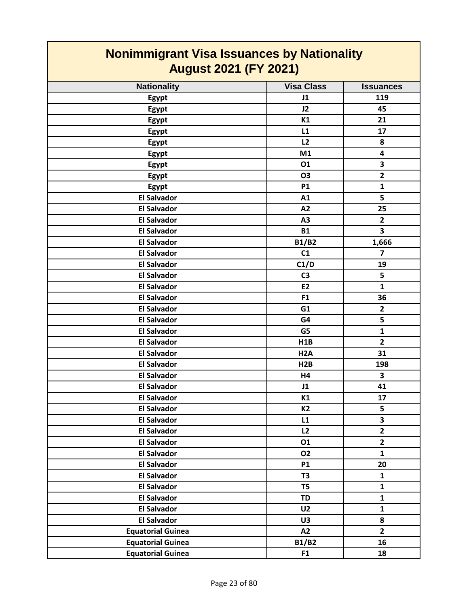| <b>Nonimmigrant Visa Issuances by Nationality</b><br><b>August 2021 (FY 2021)</b> |                   |                         |
|-----------------------------------------------------------------------------------|-------------------|-------------------------|
| <b>Nationality</b>                                                                | <b>Visa Class</b> | <b>Issuances</b>        |
| Egypt                                                                             | J1                | 119                     |
| Egypt                                                                             | J2                | 45                      |
| Egypt                                                                             | K1                | 21                      |
| Egypt                                                                             | L1                | 17                      |
| <b>Egypt</b>                                                                      | L2                | 8                       |
| Egypt                                                                             | M1                | 4                       |
| Egypt                                                                             | 01                | 3                       |
| Egypt                                                                             | 03                | $\overline{2}$          |
| Egypt                                                                             | <b>P1</b>         | $\mathbf{1}$            |
| <b>El Salvador</b>                                                                | A1                | 5                       |
| <b>El Salvador</b>                                                                | A2                | 25                      |
| <b>El Salvador</b>                                                                | A3                | $\mathbf{2}$            |
| <b>El Salvador</b>                                                                | <b>B1</b>         | $\overline{\mathbf{3}}$ |
| <b>El Salvador</b>                                                                | <b>B1/B2</b>      | 1,666                   |
| <b>El Salvador</b>                                                                | C1                | $\overline{ }$          |
| <b>El Salvador</b>                                                                | C1/D              | 19                      |
| <b>El Salvador</b>                                                                | C <sub>3</sub>    | 5                       |
| <b>El Salvador</b>                                                                | <b>E2</b>         | $\mathbf{1}$            |
| <b>El Salvador</b>                                                                | F <sub>1</sub>    | 36                      |
| <b>El Salvador</b>                                                                | G <sub>1</sub>    | $\mathbf{2}$            |
| <b>El Salvador</b>                                                                | G4                | 5                       |
| <b>El Salvador</b>                                                                | G5                | $\mathbf{1}$            |
| <b>El Salvador</b>                                                                | H1B               | $\overline{2}$          |
| <b>El Salvador</b>                                                                | H <sub>2</sub> A  | 31                      |
| <b>El Salvador</b>                                                                | H2B               | 198                     |
| <b>El Salvador</b>                                                                | H4                | 3                       |
| <b>El Salvador</b>                                                                | J1                | 41                      |
| <b>El Salvador</b>                                                                | K1                | 17                      |
| <b>El Salvador</b>                                                                | <b>K2</b>         | 5                       |
| <b>El Salvador</b>                                                                | L1                | 3                       |
| <b>El Salvador</b>                                                                | L2                | $\overline{2}$          |
| <b>El Salvador</b>                                                                | 01                | $\overline{2}$          |
| <b>El Salvador</b>                                                                | <b>O2</b>         | $\mathbf{1}$            |
| <b>El Salvador</b>                                                                | <b>P1</b>         | 20                      |
| <b>El Salvador</b>                                                                | T <sub>3</sub>    | $\mathbf{1}$            |
| <b>El Salvador</b>                                                                | T <sub>5</sub>    | $\mathbf{1}$            |
| <b>El Salvador</b>                                                                | <b>TD</b>         | $\mathbf{1}$            |
| <b>El Salvador</b>                                                                | U <sub>2</sub>    | $\mathbf{1}$            |
| <b>El Salvador</b>                                                                | U3                | 8                       |
| <b>Equatorial Guinea</b>                                                          | A2                | $\overline{2}$          |
| <b>Equatorial Guinea</b>                                                          | <b>B1/B2</b>      | 16                      |
| <b>Equatorial Guinea</b>                                                          | F <sub>1</sub>    | 18                      |

┓

**The Co**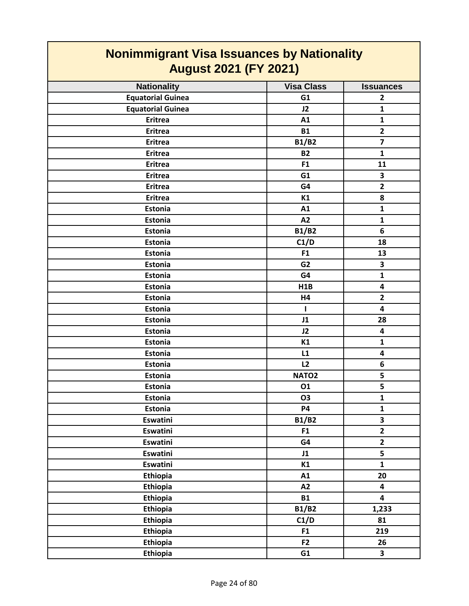| --------- <del>g</del> - ---<br><b>August 2021 (FY 2021)</b> |                   |                         |
|--------------------------------------------------------------|-------------------|-------------------------|
| <b>Nationality</b>                                           | <b>Visa Class</b> | <b>Issuances</b>        |
| <b>Equatorial Guinea</b>                                     | G1                | $\overline{2}$          |
| <b>Equatorial Guinea</b>                                     | J2                | $\mathbf{1}$            |
| <b>Eritrea</b>                                               | A1                | $\mathbf{1}$            |
| <b>Eritrea</b>                                               | <b>B1</b>         | $\overline{2}$          |
| <b>Eritrea</b>                                               | <b>B1/B2</b>      | $\overline{\mathbf{z}}$ |
| <b>Eritrea</b>                                               | <b>B2</b>         | $\mathbf{1}$            |
| <b>Eritrea</b>                                               | F <sub>1</sub>    | 11                      |
| <b>Eritrea</b>                                               | G1                | 3                       |
| <b>Eritrea</b>                                               | G4                | $\overline{2}$          |
| <b>Eritrea</b>                                               | K1                | 8                       |
| Estonia                                                      | A1                | $\mathbf{1}$            |
| Estonia                                                      | A2                | $\mathbf{1}$            |
| <b>Estonia</b>                                               | <b>B1/B2</b>      | 6                       |
| Estonia                                                      | C1/D              | 18                      |
| Estonia                                                      | F1                | 13                      |
| Estonia                                                      | G <sub>2</sub>    | 3                       |
| Estonia                                                      | G4                | $\mathbf{1}$            |
| Estonia                                                      | H1B               | 4                       |
| Estonia                                                      | H4                | $\mathbf{2}$            |
| Estonia                                                      | $\mathbf{I}$      | 4                       |
| Estonia                                                      | J1                | 28                      |
| Estonia                                                      | J2                | 4                       |
| Estonia                                                      | K1                | $\mathbf{1}$            |
| Estonia                                                      | L1                | 4                       |
| Estonia                                                      | L2                | 6                       |
| Estonia                                                      | NATO <sub>2</sub> | 5                       |
| Estonia                                                      | 01                | 5                       |
| <b>Estonia</b>                                               | O <sub>3</sub>    | $\mathbf{1}$            |
| Estonia                                                      | <b>P4</b>         | $\mathbf{1}$            |
| Eswatini                                                     | <b>B1/B2</b>      | $\overline{\mathbf{3}}$ |
| Eswatini                                                     | F1                | $\overline{\mathbf{2}}$ |
| Eswatini                                                     | G4                | $\overline{2}$          |
| <b>Eswatini</b>                                              | J1                | 5                       |
| <b>Eswatini</b>                                              | K1                | $\mathbf{1}$            |
| Ethiopia                                                     | A1                | 20                      |
| Ethiopia                                                     | A2                | 4                       |
| Ethiopia                                                     | <b>B1</b>         | $\overline{\mathbf{4}}$ |
| Ethiopia                                                     | <b>B1/B2</b>      | 1,233                   |
| Ethiopia                                                     | C1/D              | 81                      |
| Ethiopia                                                     | F1                | 219                     |
| Ethiopia                                                     | F <sub>2</sub>    | 26                      |
| Ethiopia                                                     | G1                | $\overline{\mathbf{3}}$ |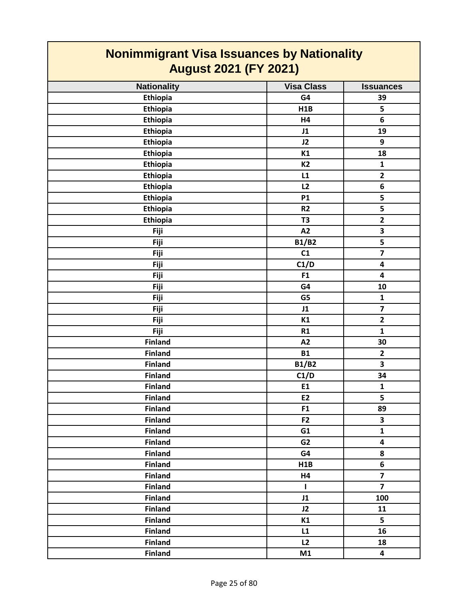| <b>Nonimmigrant Visa Issuances by Nationality</b><br><b>August 2021 (FY 2021)</b> |                   |                         |
|-----------------------------------------------------------------------------------|-------------------|-------------------------|
| <b>Nationality</b>                                                                | <b>Visa Class</b> | <b>Issuances</b>        |
| <b>Ethiopia</b>                                                                   | G4                | 39                      |
| Ethiopia                                                                          | H1B               | 5                       |
| <b>Ethiopia</b>                                                                   | H4                | 6                       |
| Ethiopia                                                                          | J1                | 19                      |
| Ethiopia                                                                          | J2                | 9                       |
| Ethiopia                                                                          | K1                | 18                      |
| Ethiopia                                                                          | K <sub>2</sub>    | 1                       |
| Ethiopia                                                                          | L1                | $\overline{\mathbf{2}}$ |
| Ethiopia                                                                          | L2                | 6                       |
| Ethiopia                                                                          | <b>P1</b>         | 5                       |
| Ethiopia                                                                          | R <sub>2</sub>    | 5                       |
| Ethiopia                                                                          | T <sub>3</sub>    | $\overline{\mathbf{2}}$ |
| Fiji                                                                              | A2                | 3                       |
| Fiji                                                                              | <b>B1/B2</b>      | $\overline{\mathbf{5}}$ |
| Fiji                                                                              | C1                | $\overline{\mathbf{z}}$ |
| Fiji                                                                              | C1/D              | $\overline{\mathbf{4}}$ |
| Fiji                                                                              | F <sub>1</sub>    | 4                       |
| Fiji                                                                              | G4                | 10                      |
| Fiji                                                                              | G5                | $\mathbf{1}$            |
| Fiji                                                                              | J1                | $\overline{\mathbf{z}}$ |
| Fiji                                                                              | K1                | $\mathbf{2}$            |
| Fiji                                                                              | R1                | $\mathbf{1}$            |
| <b>Finland</b>                                                                    | A2                | 30                      |
| <b>Finland</b>                                                                    | <b>B1</b>         | $\mathbf{2}$            |
| <b>Finland</b>                                                                    | <b>B1/B2</b>      | 3                       |
| <b>Finland</b>                                                                    | C1/D              | 34                      |
| <b>Finland</b>                                                                    | E1                | $\mathbf{1}$            |
| <b>Finland</b>                                                                    | E <sub>2</sub>    | 5                       |
| <b>Finland</b>                                                                    | F1                | 89                      |
| <b>Finland</b>                                                                    | F <sub>2</sub>    | $\overline{\mathbf{3}}$ |
| <b>Finland</b>                                                                    | G1                | $\mathbf{1}$            |
| <b>Finland</b>                                                                    | G <sub>2</sub>    | $\overline{\mathbf{4}}$ |
| <b>Finland</b>                                                                    | G4                | 8                       |
| <b>Finland</b>                                                                    | H1B               | 6                       |
| <b>Finland</b>                                                                    | H4                | $\overline{\mathbf{z}}$ |
| <b>Finland</b>                                                                    | L                 | $\overline{\mathbf{z}}$ |
| <b>Finland</b>                                                                    | J1                | 100                     |
| <b>Finland</b>                                                                    | J2                | 11                      |
| <b>Finland</b>                                                                    | K1                | 5                       |
| <b>Finland</b>                                                                    | L1                | 16                      |
| <b>Finland</b>                                                                    | L2                | 18                      |
| <b>Finland</b>                                                                    | M1                | $\overline{\mathbf{4}}$ |

┑

 $\blacksquare$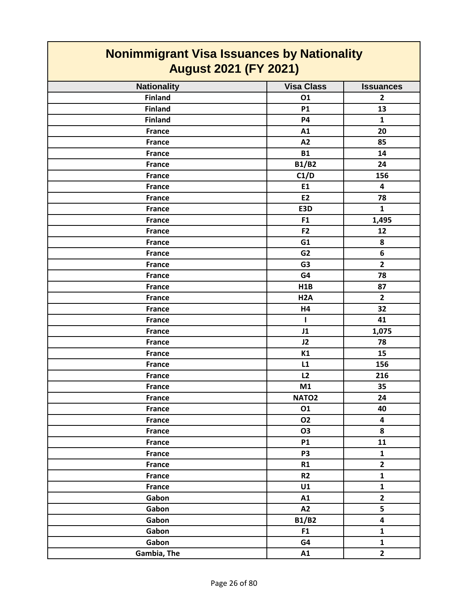| <b>Visa Class</b><br><b>Nationality</b><br><b>Issuances</b><br><b>Finland</b><br>01<br>$\mathbf{2}$<br><b>Finland</b><br>13<br><b>P1</b><br><b>Finland</b><br><b>P4</b><br>$\mathbf{1}$<br>A1<br>20<br><b>France</b><br>A2<br>85<br><b>France</b><br><b>B1</b><br>14<br><b>France</b><br><b>B1/B2</b><br>24<br><b>France</b><br>C1/D<br>156<br><b>France</b><br>E1<br><b>France</b><br>$\overline{\mathbf{4}}$<br><b>E2</b><br>78<br><b>France</b><br>E3D<br><b>France</b><br>$\mathbf{1}$<br>1,495<br>F <sub>1</sub><br><b>France</b><br>F <sub>2</sub><br><b>France</b><br>12<br>G1<br>8<br><b>France</b><br>6<br><b>France</b><br>G <sub>2</sub><br>G <sub>3</sub><br>$\overline{2}$<br><b>France</b><br>78<br>G4<br><b>France</b><br>H1B<br><b>France</b><br>87<br>$\overline{2}$<br>H <sub>2</sub> A<br><b>France</b><br>32<br><b>France</b><br>H4<br>41<br><b>France</b><br>$\mathbf{I}$<br>J1<br>1,075<br><b>France</b><br>J2<br>78<br><b>France</b><br>K1<br>15<br><b>France</b><br>L1<br>156<br><b>France</b><br>L2<br>216<br><b>France</b><br>M1<br>35<br><b>France</b><br>NATO <sub>2</sub><br>24<br><b>France</b><br>01<br>40<br><b>France</b><br><b>O2</b><br>4<br><b>France</b><br><b>France</b><br><b>O3</b><br>8<br><b>P1</b><br>11<br><b>France</b><br>P <sub>3</sub><br>France<br>$\mathbf{1}$<br>$\overline{\mathbf{2}}$<br>R1<br><b>France</b><br>$\mathbf{1}$<br>R <sub>2</sub><br><b>France</b><br>$\mathbf{1}$<br><b>France</b><br>U1<br>$\mathbf{2}$<br>Gabon<br>A1<br>5<br>Gabon<br>A2<br>4<br><b>B1/B2</b><br>Gabon<br>Gabon<br>F1<br>$\mathbf{1}$<br>$\mathbf{1}$<br>Gabon<br>G4 | <b>Nonimmigrant Visa Issuances by Nationality</b><br><b>August 2021 (FY 2021)</b> |    |                |
|-------------------------------------------------------------------------------------------------------------------------------------------------------------------------------------------------------------------------------------------------------------------------------------------------------------------------------------------------------------------------------------------------------------------------------------------------------------------------------------------------------------------------------------------------------------------------------------------------------------------------------------------------------------------------------------------------------------------------------------------------------------------------------------------------------------------------------------------------------------------------------------------------------------------------------------------------------------------------------------------------------------------------------------------------------------------------------------------------------------------------------------------------------------------------------------------------------------------------------------------------------------------------------------------------------------------------------------------------------------------------------------------------------------------------------------------------------------------------------------------------------------------------------------------------------------------------------------------------------------|-----------------------------------------------------------------------------------|----|----------------|
|                                                                                                                                                                                                                                                                                                                                                                                                                                                                                                                                                                                                                                                                                                                                                                                                                                                                                                                                                                                                                                                                                                                                                                                                                                                                                                                                                                                                                                                                                                                                                                                                             |                                                                                   |    |                |
|                                                                                                                                                                                                                                                                                                                                                                                                                                                                                                                                                                                                                                                                                                                                                                                                                                                                                                                                                                                                                                                                                                                                                                                                                                                                                                                                                                                                                                                                                                                                                                                                             |                                                                                   |    |                |
|                                                                                                                                                                                                                                                                                                                                                                                                                                                                                                                                                                                                                                                                                                                                                                                                                                                                                                                                                                                                                                                                                                                                                                                                                                                                                                                                                                                                                                                                                                                                                                                                             |                                                                                   |    |                |
|                                                                                                                                                                                                                                                                                                                                                                                                                                                                                                                                                                                                                                                                                                                                                                                                                                                                                                                                                                                                                                                                                                                                                                                                                                                                                                                                                                                                                                                                                                                                                                                                             |                                                                                   |    |                |
|                                                                                                                                                                                                                                                                                                                                                                                                                                                                                                                                                                                                                                                                                                                                                                                                                                                                                                                                                                                                                                                                                                                                                                                                                                                                                                                                                                                                                                                                                                                                                                                                             |                                                                                   |    |                |
|                                                                                                                                                                                                                                                                                                                                                                                                                                                                                                                                                                                                                                                                                                                                                                                                                                                                                                                                                                                                                                                                                                                                                                                                                                                                                                                                                                                                                                                                                                                                                                                                             |                                                                                   |    |                |
|                                                                                                                                                                                                                                                                                                                                                                                                                                                                                                                                                                                                                                                                                                                                                                                                                                                                                                                                                                                                                                                                                                                                                                                                                                                                                                                                                                                                                                                                                                                                                                                                             |                                                                                   |    |                |
|                                                                                                                                                                                                                                                                                                                                                                                                                                                                                                                                                                                                                                                                                                                                                                                                                                                                                                                                                                                                                                                                                                                                                                                                                                                                                                                                                                                                                                                                                                                                                                                                             |                                                                                   |    |                |
|                                                                                                                                                                                                                                                                                                                                                                                                                                                                                                                                                                                                                                                                                                                                                                                                                                                                                                                                                                                                                                                                                                                                                                                                                                                                                                                                                                                                                                                                                                                                                                                                             |                                                                                   |    |                |
|                                                                                                                                                                                                                                                                                                                                                                                                                                                                                                                                                                                                                                                                                                                                                                                                                                                                                                                                                                                                                                                                                                                                                                                                                                                                                                                                                                                                                                                                                                                                                                                                             |                                                                                   |    |                |
|                                                                                                                                                                                                                                                                                                                                                                                                                                                                                                                                                                                                                                                                                                                                                                                                                                                                                                                                                                                                                                                                                                                                                                                                                                                                                                                                                                                                                                                                                                                                                                                                             |                                                                                   |    |                |
|                                                                                                                                                                                                                                                                                                                                                                                                                                                                                                                                                                                                                                                                                                                                                                                                                                                                                                                                                                                                                                                                                                                                                                                                                                                                                                                                                                                                                                                                                                                                                                                                             |                                                                                   |    |                |
|                                                                                                                                                                                                                                                                                                                                                                                                                                                                                                                                                                                                                                                                                                                                                                                                                                                                                                                                                                                                                                                                                                                                                                                                                                                                                                                                                                                                                                                                                                                                                                                                             |                                                                                   |    |                |
|                                                                                                                                                                                                                                                                                                                                                                                                                                                                                                                                                                                                                                                                                                                                                                                                                                                                                                                                                                                                                                                                                                                                                                                                                                                                                                                                                                                                                                                                                                                                                                                                             |                                                                                   |    |                |
|                                                                                                                                                                                                                                                                                                                                                                                                                                                                                                                                                                                                                                                                                                                                                                                                                                                                                                                                                                                                                                                                                                                                                                                                                                                                                                                                                                                                                                                                                                                                                                                                             |                                                                                   |    |                |
|                                                                                                                                                                                                                                                                                                                                                                                                                                                                                                                                                                                                                                                                                                                                                                                                                                                                                                                                                                                                                                                                                                                                                                                                                                                                                                                                                                                                                                                                                                                                                                                                             |                                                                                   |    |                |
|                                                                                                                                                                                                                                                                                                                                                                                                                                                                                                                                                                                                                                                                                                                                                                                                                                                                                                                                                                                                                                                                                                                                                                                                                                                                                                                                                                                                                                                                                                                                                                                                             |                                                                                   |    |                |
|                                                                                                                                                                                                                                                                                                                                                                                                                                                                                                                                                                                                                                                                                                                                                                                                                                                                                                                                                                                                                                                                                                                                                                                                                                                                                                                                                                                                                                                                                                                                                                                                             |                                                                                   |    |                |
|                                                                                                                                                                                                                                                                                                                                                                                                                                                                                                                                                                                                                                                                                                                                                                                                                                                                                                                                                                                                                                                                                                                                                                                                                                                                                                                                                                                                                                                                                                                                                                                                             |                                                                                   |    |                |
|                                                                                                                                                                                                                                                                                                                                                                                                                                                                                                                                                                                                                                                                                                                                                                                                                                                                                                                                                                                                                                                                                                                                                                                                                                                                                                                                                                                                                                                                                                                                                                                                             |                                                                                   |    |                |
|                                                                                                                                                                                                                                                                                                                                                                                                                                                                                                                                                                                                                                                                                                                                                                                                                                                                                                                                                                                                                                                                                                                                                                                                                                                                                                                                                                                                                                                                                                                                                                                                             |                                                                                   |    |                |
|                                                                                                                                                                                                                                                                                                                                                                                                                                                                                                                                                                                                                                                                                                                                                                                                                                                                                                                                                                                                                                                                                                                                                                                                                                                                                                                                                                                                                                                                                                                                                                                                             |                                                                                   |    |                |
|                                                                                                                                                                                                                                                                                                                                                                                                                                                                                                                                                                                                                                                                                                                                                                                                                                                                                                                                                                                                                                                                                                                                                                                                                                                                                                                                                                                                                                                                                                                                                                                                             |                                                                                   |    |                |
|                                                                                                                                                                                                                                                                                                                                                                                                                                                                                                                                                                                                                                                                                                                                                                                                                                                                                                                                                                                                                                                                                                                                                                                                                                                                                                                                                                                                                                                                                                                                                                                                             |                                                                                   |    |                |
|                                                                                                                                                                                                                                                                                                                                                                                                                                                                                                                                                                                                                                                                                                                                                                                                                                                                                                                                                                                                                                                                                                                                                                                                                                                                                                                                                                                                                                                                                                                                                                                                             |                                                                                   |    |                |
|                                                                                                                                                                                                                                                                                                                                                                                                                                                                                                                                                                                                                                                                                                                                                                                                                                                                                                                                                                                                                                                                                                                                                                                                                                                                                                                                                                                                                                                                                                                                                                                                             |                                                                                   |    |                |
|                                                                                                                                                                                                                                                                                                                                                                                                                                                                                                                                                                                                                                                                                                                                                                                                                                                                                                                                                                                                                                                                                                                                                                                                                                                                                                                                                                                                                                                                                                                                                                                                             |                                                                                   |    |                |
|                                                                                                                                                                                                                                                                                                                                                                                                                                                                                                                                                                                                                                                                                                                                                                                                                                                                                                                                                                                                                                                                                                                                                                                                                                                                                                                                                                                                                                                                                                                                                                                                             |                                                                                   |    |                |
|                                                                                                                                                                                                                                                                                                                                                                                                                                                                                                                                                                                                                                                                                                                                                                                                                                                                                                                                                                                                                                                                                                                                                                                                                                                                                                                                                                                                                                                                                                                                                                                                             |                                                                                   |    |                |
|                                                                                                                                                                                                                                                                                                                                                                                                                                                                                                                                                                                                                                                                                                                                                                                                                                                                                                                                                                                                                                                                                                                                                                                                                                                                                                                                                                                                                                                                                                                                                                                                             |                                                                                   |    |                |
|                                                                                                                                                                                                                                                                                                                                                                                                                                                                                                                                                                                                                                                                                                                                                                                                                                                                                                                                                                                                                                                                                                                                                                                                                                                                                                                                                                                                                                                                                                                                                                                                             |                                                                                   |    |                |
|                                                                                                                                                                                                                                                                                                                                                                                                                                                                                                                                                                                                                                                                                                                                                                                                                                                                                                                                                                                                                                                                                                                                                                                                                                                                                                                                                                                                                                                                                                                                                                                                             |                                                                                   |    |                |
|                                                                                                                                                                                                                                                                                                                                                                                                                                                                                                                                                                                                                                                                                                                                                                                                                                                                                                                                                                                                                                                                                                                                                                                                                                                                                                                                                                                                                                                                                                                                                                                                             |                                                                                   |    |                |
|                                                                                                                                                                                                                                                                                                                                                                                                                                                                                                                                                                                                                                                                                                                                                                                                                                                                                                                                                                                                                                                                                                                                                                                                                                                                                                                                                                                                                                                                                                                                                                                                             |                                                                                   |    |                |
|                                                                                                                                                                                                                                                                                                                                                                                                                                                                                                                                                                                                                                                                                                                                                                                                                                                                                                                                                                                                                                                                                                                                                                                                                                                                                                                                                                                                                                                                                                                                                                                                             |                                                                                   |    |                |
|                                                                                                                                                                                                                                                                                                                                                                                                                                                                                                                                                                                                                                                                                                                                                                                                                                                                                                                                                                                                                                                                                                                                                                                                                                                                                                                                                                                                                                                                                                                                                                                                             |                                                                                   |    |                |
|                                                                                                                                                                                                                                                                                                                                                                                                                                                                                                                                                                                                                                                                                                                                                                                                                                                                                                                                                                                                                                                                                                                                                                                                                                                                                                                                                                                                                                                                                                                                                                                                             |                                                                                   |    |                |
|                                                                                                                                                                                                                                                                                                                                                                                                                                                                                                                                                                                                                                                                                                                                                                                                                                                                                                                                                                                                                                                                                                                                                                                                                                                                                                                                                                                                                                                                                                                                                                                                             |                                                                                   |    |                |
|                                                                                                                                                                                                                                                                                                                                                                                                                                                                                                                                                                                                                                                                                                                                                                                                                                                                                                                                                                                                                                                                                                                                                                                                                                                                                                                                                                                                                                                                                                                                                                                                             |                                                                                   |    |                |
|                                                                                                                                                                                                                                                                                                                                                                                                                                                                                                                                                                                                                                                                                                                                                                                                                                                                                                                                                                                                                                                                                                                                                                                                                                                                                                                                                                                                                                                                                                                                                                                                             |                                                                                   |    |                |
|                                                                                                                                                                                                                                                                                                                                                                                                                                                                                                                                                                                                                                                                                                                                                                                                                                                                                                                                                                                                                                                                                                                                                                                                                                                                                                                                                                                                                                                                                                                                                                                                             |                                                                                   |    |                |
|                                                                                                                                                                                                                                                                                                                                                                                                                                                                                                                                                                                                                                                                                                                                                                                                                                                                                                                                                                                                                                                                                                                                                                                                                                                                                                                                                                                                                                                                                                                                                                                                             |                                                                                   |    |                |
|                                                                                                                                                                                                                                                                                                                                                                                                                                                                                                                                                                                                                                                                                                                                                                                                                                                                                                                                                                                                                                                                                                                                                                                                                                                                                                                                                                                                                                                                                                                                                                                                             | Gambia, The                                                                       | A1 | $\overline{2}$ |

 $\overline{\phantom{a}}$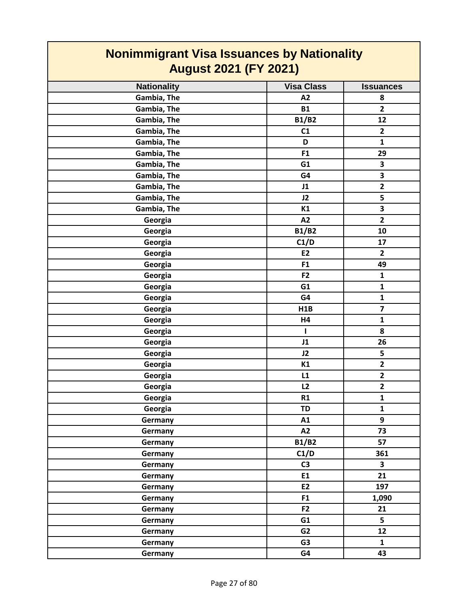| <b>Nonimmigrant Visa Issuances by Nationality</b><br><b>August 2021 (FY 2021)</b> |                   |                         |
|-----------------------------------------------------------------------------------|-------------------|-------------------------|
| <b>Nationality</b>                                                                | <b>Visa Class</b> | <b>Issuances</b>        |
| Gambia, The                                                                       | A2                | 8                       |
| Gambia, The                                                                       | <b>B1</b>         | $\overline{2}$          |
| Gambia, The                                                                       | <b>B1/B2</b>      | 12                      |
| Gambia, The                                                                       | C1                | $\overline{2}$          |
| Gambia, The                                                                       | D                 | $\mathbf{1}$            |
| Gambia, The                                                                       | F <sub>1</sub>    | 29                      |
| Gambia, The                                                                       | G1                | 3                       |
| Gambia, The                                                                       | G4                | 3                       |
| Gambia, The                                                                       | J1                | $\overline{2}$          |
| Gambia, The                                                                       | J2                | 5                       |
| Gambia, The                                                                       | K1                | $\overline{\mathbf{3}}$ |
| Georgia                                                                           | A2                | $\overline{2}$          |
| Georgia                                                                           | <b>B1/B2</b>      | 10                      |
| Georgia                                                                           | C1/D              | 17                      |
| Georgia                                                                           | <b>E2</b>         | $\overline{2}$          |
| Georgia                                                                           | F <sub>1</sub>    | 49                      |
| Georgia                                                                           | F <sub>2</sub>    | 1                       |
| Georgia                                                                           | G1                | $\mathbf{1}$            |
| Georgia                                                                           | G4                | $\mathbf{1}$            |
| Georgia                                                                           | H1B               | $\overline{\mathbf{z}}$ |
| Georgia                                                                           | H4                | $\mathbf{1}$            |
| Georgia                                                                           | н                 | 8                       |
| Georgia                                                                           | J1                | 26                      |
| Georgia                                                                           | J2                | 5                       |
| Georgia                                                                           | K1                | $\overline{2}$          |
| Georgia                                                                           | L1                | $\overline{\mathbf{2}}$ |
| Georgia                                                                           | L2                | $\mathbf{2}$            |
| Georgia                                                                           | R1                | $\mathbf{1}$            |
| Georgia                                                                           | <b>TD</b>         | $\mathbf{1}$            |
| Germany                                                                           | A1                | 9                       |
| Germany                                                                           | A2                | 73                      |
| Germany                                                                           | <b>B1/B2</b>      | 57                      |
| Germany                                                                           | C1/D              | 361                     |
| Germany                                                                           | C <sub>3</sub>    | $\overline{\mathbf{3}}$ |
| Germany                                                                           | E1                | 21                      |
| Germany                                                                           | E2                | 197                     |
| Germany                                                                           | F1                | 1,090                   |
| Germany                                                                           | F <sub>2</sub>    | 21                      |
| Germany                                                                           | G1                | 5                       |
| Germany                                                                           | G2                | 12                      |
| Germany                                                                           | G <sub>3</sub>    | $\mathbf{1}$            |
| Germany                                                                           | G4                | 43                      |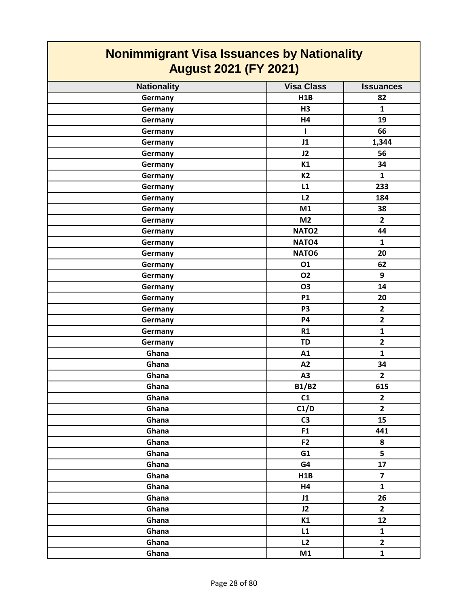| <b>Nonimmigrant Visa Issuances by Nationality</b><br><b>August 2021 (FY 2021)</b> |                   |                         |
|-----------------------------------------------------------------------------------|-------------------|-------------------------|
| <b>Nationality</b>                                                                | <b>Visa Class</b> | <b>Issuances</b>        |
| Germany                                                                           | H1B               | 82                      |
| Germany                                                                           | H3                | $\mathbf{1}$            |
| Germany                                                                           | H4                | 19                      |
| Germany                                                                           | L                 | 66                      |
| Germany                                                                           | J1                | 1,344                   |
| Germany                                                                           | J2                | 56                      |
| Germany                                                                           | K1                | 34                      |
| Germany                                                                           | <b>K2</b>         | $\mathbf{1}$            |
| Germany                                                                           | L1                | 233                     |
| Germany                                                                           | L2                | 184                     |
| Germany                                                                           | M1                | 38                      |
| Germany                                                                           | M <sub>2</sub>    | $\overline{2}$          |
| Germany                                                                           | NATO <sub>2</sub> | 44                      |
| Germany                                                                           | NATO4             | $\mathbf{1}$            |
| Germany                                                                           | NATO6             | 20                      |
| Germany                                                                           | 01                | 62                      |
| Germany                                                                           | 02                | 9                       |
| Germany                                                                           | <b>O3</b>         | 14                      |
| Germany                                                                           | <b>P1</b>         | 20                      |
| Germany                                                                           | P <sub>3</sub>    | $\overline{2}$          |
| Germany                                                                           | <b>P4</b>         | $\mathbf{2}$            |
| Germany                                                                           | R1                | $\mathbf{1}$            |
| Germany                                                                           | <b>TD</b>         | $\overline{2}$          |
| Ghana                                                                             | A1                | $\mathbf{1}$            |
| Ghana                                                                             | A2                | 34                      |
| Ghana                                                                             | A <sub>3</sub>    | $\overline{2}$          |
| Ghana                                                                             | <b>B1/B2</b>      | 615                     |
| Ghana                                                                             | C1                | $\overline{\mathbf{2}}$ |
| Ghana                                                                             | C1/D              | $\overline{2}$          |
| Ghana                                                                             | C <sub>3</sub>    | 15                      |
| Ghana                                                                             | F <sub>1</sub>    | 441                     |
| Ghana                                                                             | F <sub>2</sub>    | 8                       |
| Ghana                                                                             | G1                | 5                       |
| Ghana                                                                             | G4                | 17                      |
| Ghana                                                                             | H1B               | $\overline{7}$          |
| Ghana                                                                             | H4                | $\mathbf{1}$            |
| Ghana                                                                             | J1                | 26                      |
| Ghana                                                                             | J2                | $\overline{2}$          |
| Ghana                                                                             | K1                | 12                      |
| Ghana                                                                             | L1                | $\mathbf{1}$            |
| Ghana                                                                             | L2                | $\overline{2}$          |
| Ghana                                                                             | M1                | $\mathbf{1}$            |

┓

 $\Gamma$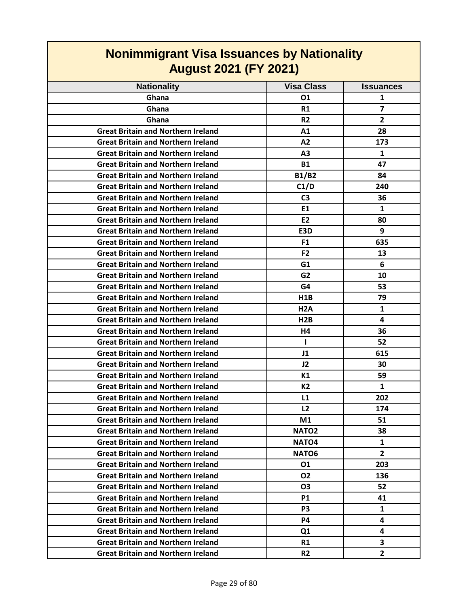| <b>Nonimmigrant Visa Issuances by Nationality</b><br><b>August 2021 (FY 2021)</b> |                   |                  |
|-----------------------------------------------------------------------------------|-------------------|------------------|
| <b>Nationality</b>                                                                | <b>Visa Class</b> | <b>Issuances</b> |
| Ghana                                                                             | 01                | 1                |
| Ghana                                                                             | R1                | $\overline{7}$   |
| Ghana                                                                             | R <sub>2</sub>    | $\overline{2}$   |
| <b>Great Britain and Northern Ireland</b>                                         | A1                | 28               |
| <b>Great Britain and Northern Ireland</b>                                         | A2                | 173              |
| <b>Great Britain and Northern Ireland</b>                                         | A <sub>3</sub>    | $\mathbf{1}$     |
| <b>Great Britain and Northern Ireland</b>                                         | <b>B1</b>         | 47               |
| <b>Great Britain and Northern Ireland</b>                                         | <b>B1/B2</b>      | 84               |
| <b>Great Britain and Northern Ireland</b>                                         | C1/D              | 240              |
| <b>Great Britain and Northern Ireland</b>                                         | C <sub>3</sub>    | 36               |
| <b>Great Britain and Northern Ireland</b>                                         | E1                | $\mathbf{1}$     |
| <b>Great Britain and Northern Ireland</b>                                         | E <sub>2</sub>    | 80               |
| <b>Great Britain and Northern Ireland</b>                                         | E3D               | 9                |
| <b>Great Britain and Northern Ireland</b>                                         | F <sub>1</sub>    | 635              |
| <b>Great Britain and Northern Ireland</b>                                         | F <sub>2</sub>    | 13               |
| <b>Great Britain and Northern Ireland</b>                                         | G1                | 6                |
| <b>Great Britain and Northern Ireland</b>                                         | G <sub>2</sub>    | 10               |
| <b>Great Britain and Northern Ireland</b>                                         | G4                | 53               |
| <b>Great Britain and Northern Ireland</b>                                         | H <sub>1</sub> B  | 79               |
| <b>Great Britain and Northern Ireland</b>                                         | H <sub>2</sub> A  | $\mathbf{1}$     |
| <b>Great Britain and Northern Ireland</b>                                         | H <sub>2</sub> B  | 4                |
| <b>Great Britain and Northern Ireland</b>                                         | H4                | 36               |
| <b>Great Britain and Northern Ireland</b>                                         | $\mathbf{I}$      | 52               |
| <b>Great Britain and Northern Ireland</b>                                         | J1                | 615              |
| <b>Great Britain and Northern Ireland</b>                                         | J2                | 30               |
| <b>Great Britain and Northern Ireland</b>                                         | K1                | 59               |
| <b>Great Britain and Northern Ireland</b>                                         | K2                | 1                |
| <b>Great Britain and Northern Ireland</b>                                         | L1                | 202              |
| <b>Great Britain and Northern Ireland</b>                                         | L2                | 174              |
| <b>Great Britain and Northern Ireland</b>                                         | M1                | 51               |
| <b>Great Britain and Northern Ireland</b>                                         | NATO <sub>2</sub> | 38               |
| <b>Great Britain and Northern Ireland</b>                                         | NATO <sub>4</sub> | 1                |
| <b>Great Britain and Northern Ireland</b>                                         | NATO <sub>6</sub> | $\overline{2}$   |
| <b>Great Britain and Northern Ireland</b>                                         | 01                | 203              |
| <b>Great Britain and Northern Ireland</b>                                         | <b>O2</b>         | 136              |
| <b>Great Britain and Northern Ireland</b>                                         | <b>O3</b>         | 52               |
| <b>Great Britain and Northern Ireland</b>                                         | <b>P1</b>         | 41               |
| <b>Great Britain and Northern Ireland</b>                                         | P <sub>3</sub>    | $\mathbf{1}$     |
| <b>Great Britain and Northern Ireland</b>                                         | P4                | 4                |
| <b>Great Britain and Northern Ireland</b>                                         | Q <sub>1</sub>    | 4                |
| <b>Great Britain and Northern Ireland</b>                                         | R1                | 3                |
| <b>Great Britain and Northern Ireland</b>                                         | R <sub>2</sub>    | $\overline{2}$   |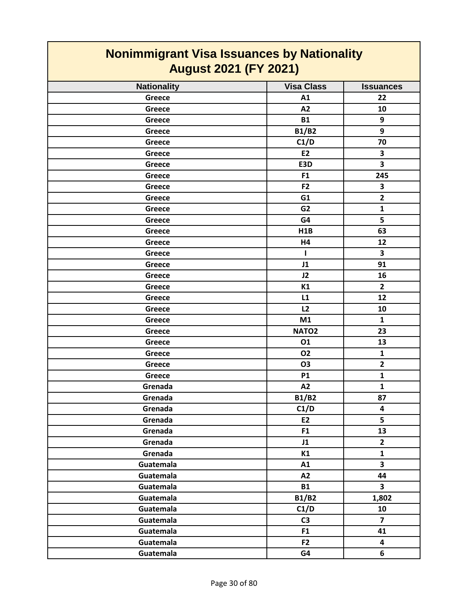| <b>Nonimmigrant Visa Issuances by Nationality</b><br><b>August 2021 (FY 2021)</b> |                   |                         |
|-----------------------------------------------------------------------------------|-------------------|-------------------------|
| <b>Nationality</b>                                                                | <b>Visa Class</b> | <b>Issuances</b>        |
| <b>Greece</b>                                                                     | A1                | 22                      |
| Greece                                                                            | A2                | 10                      |
| Greece                                                                            | <b>B1</b>         | 9                       |
| Greece                                                                            | <b>B1/B2</b>      | 9                       |
| Greece                                                                            | C1/D              | 70                      |
| Greece                                                                            | E <sub>2</sub>    | 3                       |
| Greece                                                                            | E3D               | 3                       |
| Greece                                                                            | F <sub>1</sub>    | 245                     |
| Greece                                                                            | F <sub>2</sub>    | 3                       |
| Greece                                                                            | G1                | $\overline{2}$          |
| Greece                                                                            | G <sub>2</sub>    | $\mathbf{1}$            |
| Greece                                                                            | G4                | 5                       |
| Greece                                                                            | H1B               | 63                      |
| <b>Greece</b>                                                                     | H4                | 12                      |
| Greece                                                                            | ı                 | 3                       |
| Greece                                                                            | J1                | 91                      |
| Greece                                                                            | J2                | 16                      |
| Greece                                                                            | K1                | $\overline{2}$          |
| Greece                                                                            | L1                | 12                      |
| Greece                                                                            | L2                | 10                      |
| Greece                                                                            | M1                | $\mathbf{1}$            |
| Greece                                                                            | NATO <sub>2</sub> | 23                      |
| Greece                                                                            | 01                | 13                      |
| Greece                                                                            | <b>O2</b>         | 1                       |
| Greece                                                                            | <b>O3</b>         | $\overline{2}$          |
| Greece                                                                            | <b>P1</b>         | $\mathbf{1}$            |
| Grenada                                                                           | A2                | $\mathbf{1}$            |
| Grenada                                                                           | <b>B1/B2</b>      | 87                      |
| Grenada                                                                           | C1/D              | $\overline{\mathbf{4}}$ |
| Grenada                                                                           | E2                | 5                       |
| Grenada                                                                           | F <sub>1</sub>    | 13                      |
| Grenada                                                                           | J1                | $\overline{2}$          |
| Grenada                                                                           | K1                | $\mathbf{1}$            |
| Guatemala                                                                         | A1                | $\overline{\mathbf{3}}$ |
| Guatemala                                                                         | A2                | 44                      |
| Guatemala                                                                         | <b>B1</b>         | $\mathbf{3}$            |
| Guatemala                                                                         | <b>B1/B2</b>      | 1,802                   |
| Guatemala                                                                         | C1/D              | 10                      |
| Guatemala                                                                         | C <sub>3</sub>    | $\overline{7}$          |
| Guatemala                                                                         | F1                | 41                      |
| Guatemala                                                                         | F <sub>2</sub>    | $\overline{\mathbf{4}}$ |
| Guatemala                                                                         | G4                | 6                       |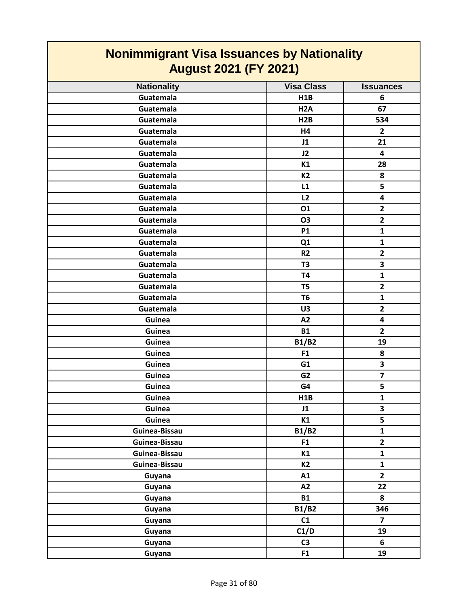| <b>Nonimmigrant Visa Issuances by Nationality</b> |                   |                         |
|---------------------------------------------------|-------------------|-------------------------|
| <b>August 2021 (FY 2021)</b>                      |                   |                         |
| <b>Nationality</b>                                | <b>Visa Class</b> | <b>Issuances</b>        |
| Guatemala                                         | H1B               | 6                       |
| Guatemala                                         | H <sub>2</sub> A  | 67                      |
| Guatemala                                         | H <sub>2</sub> B  | 534                     |
| Guatemala                                         | H4                | $\overline{2}$          |
| Guatemala                                         | J1                | 21                      |
| Guatemala                                         | J2                | 4                       |
| Guatemala                                         | K1                | 28                      |
| Guatemala                                         | <b>K2</b>         | 8                       |
| Guatemala                                         | L1                | 5                       |
| Guatemala                                         | L2                | 4                       |
| Guatemala                                         | 01                | $\overline{2}$          |
| Guatemala                                         | <b>O3</b>         | $\overline{2}$          |
| Guatemala                                         | <b>P1</b>         | $\mathbf{1}$            |
| Guatemala                                         | Q1                | $\mathbf{1}$            |
| Guatemala                                         | <b>R2</b>         | $\overline{2}$          |
| Guatemala                                         | T <sub>3</sub>    | 3                       |
| Guatemala                                         | <b>T4</b>         | $\mathbf{1}$            |
| Guatemala                                         | T <sub>5</sub>    | $\overline{2}$          |
| Guatemala                                         | T <sub>6</sub>    | $\mathbf{1}$            |
| Guatemala                                         | U3                | $\overline{2}$          |
| Guinea                                            | A2                | 4                       |
| Guinea                                            | <b>B1</b>         | $\overline{2}$          |
| Guinea                                            | <b>B1/B2</b>      | 19                      |
| Guinea                                            | F <sub>1</sub>    | 8                       |
| Guinea                                            | G <sub>1</sub>    | 3                       |
| Guinea                                            | G <sub>2</sub>    | $\overline{\mathbf{z}}$ |
| Guinea                                            | G4                | 5                       |
| Guinea                                            | H1B               | $\mathbf{1}$            |
| Guinea                                            | J1                | $\overline{\mathbf{3}}$ |
| Guinea                                            | K1                | 5                       |
| Guinea-Bissau                                     | <b>B1/B2</b>      | $\mathbf{1}$            |
| Guinea-Bissau                                     | F <sub>1</sub>    | $\overline{\mathbf{2}}$ |
| Guinea-Bissau                                     | K1                | $\mathbf{1}$            |
| Guinea-Bissau                                     | <b>K2</b>         | $\mathbf{1}$            |
| Guyana                                            | A1                | $\overline{2}$          |
| Guyana                                            | A2                | 22                      |
| Guyana                                            | <b>B1</b>         | 8                       |
| Guyana                                            | <b>B1/B2</b>      | 346                     |
| Guyana                                            | C1                | $\overline{\mathbf{z}}$ |
| Guyana                                            | C1/D              | 19                      |
| Guyana                                            | C <sub>3</sub>    | 6                       |
| Guyana                                            | F1                | 19                      |

 $\mathsf{I}$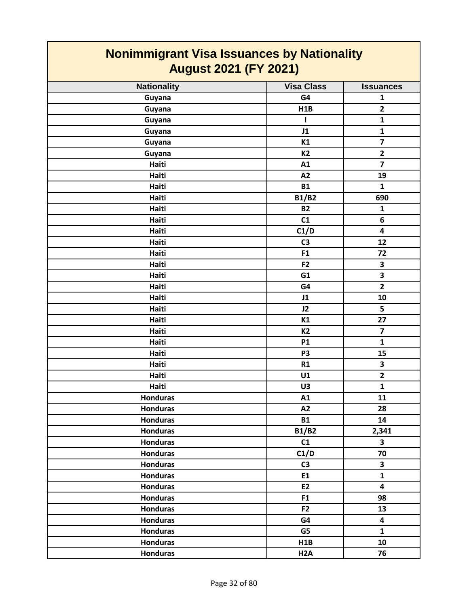| <b>Nonimmigrant Visa Issuances by Nationality</b><br><b>August 2021 (FY 2021)</b> |                   |                         |
|-----------------------------------------------------------------------------------|-------------------|-------------------------|
| <b>Nationality</b>                                                                | <b>Visa Class</b> | <b>Issuances</b>        |
| Guyana                                                                            | G4                | $\mathbf{1}$            |
| Guyana                                                                            | H1B               | $\overline{2}$          |
| Guyana                                                                            | Т.                | $\mathbf{1}$            |
| Guyana                                                                            | J1                | $\mathbf{1}$            |
| Guyana                                                                            | K1                | $\overline{\mathbf{z}}$ |
| Guyana                                                                            | <b>K2</b>         | $\overline{2}$          |
| Haiti                                                                             | A1                | $\overline{7}$          |
| Haiti                                                                             | A2                | 19                      |
| Haiti                                                                             | <b>B1</b>         | $\mathbf{1}$            |
| Haiti                                                                             | <b>B1/B2</b>      | 690                     |
| Haiti                                                                             | <b>B2</b>         | $\mathbf{1}$            |
| Haiti                                                                             | C1                | 6                       |
| Haiti                                                                             | C1/D              | 4                       |
| Haiti                                                                             | C <sub>3</sub>    | 12                      |
| Haiti                                                                             | F <sub>1</sub>    | 72                      |
| Haiti                                                                             | F <sub>2</sub>    | 3                       |
| Haiti                                                                             | G1                | 3                       |
| Haiti                                                                             | G4                | $\overline{2}$          |
| Haiti                                                                             | J1                | 10                      |
| Haiti                                                                             | J2                | 5                       |
| Haiti                                                                             | K1                | 27                      |
| Haiti                                                                             | <b>K2</b>         | $\overline{\mathbf{z}}$ |
| Haiti                                                                             | <b>P1</b>         | $\mathbf{1}$            |
| Haiti                                                                             | P <sub>3</sub>    | 15                      |
| Haiti                                                                             | R1                | $\overline{\mathbf{3}}$ |
| Haiti                                                                             | U1                | $\overline{2}$          |
| Haiti                                                                             | U3                | $\mathbf{1}$            |
| <b>Honduras</b>                                                                   | A1                | 11                      |
| <b>Honduras</b>                                                                   | A2                | 28                      |
| <b>Honduras</b>                                                                   | <b>B1</b>         | 14                      |
| <b>Honduras</b>                                                                   | B1/B2             | 2,341                   |
| <b>Honduras</b>                                                                   | C1                | $\overline{\mathbf{3}}$ |
| <b>Honduras</b>                                                                   | C1/D              | 70                      |
| <b>Honduras</b>                                                                   | C <sub>3</sub>    | $\mathbf{3}$            |
| <b>Honduras</b>                                                                   | E1                | $\mathbf{1}$            |
| <b>Honduras</b>                                                                   | E2                | $\overline{\mathbf{4}}$ |
| <b>Honduras</b>                                                                   | F <sub>1</sub>    | 98                      |
| <b>Honduras</b>                                                                   | F2                | 13                      |
| <b>Honduras</b>                                                                   | G4                | 4                       |
| <b>Honduras</b>                                                                   | G5                | $\mathbf{1}$            |
| <b>Honduras</b>                                                                   | H1B               | 10                      |
| <b>Honduras</b>                                                                   | H <sub>2</sub> A  | 76                      |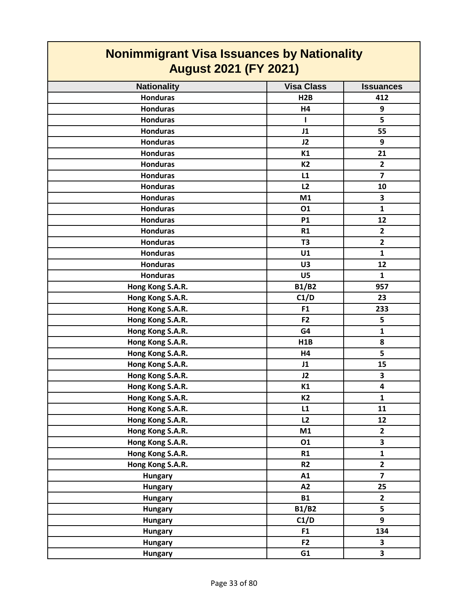| <b>Nonimmigrant Visa Issuances by Nationality</b><br><b>August 2021 (FY 2021)</b> |  |  |
|-----------------------------------------------------------------------------------|--|--|
| <b>Nationality</b><br><b>Visa Class</b><br><b>Issuances</b>                       |  |  |
| <b>Honduras</b><br>H2B<br>412                                                     |  |  |
| <b>Honduras</b><br>9<br>H4                                                        |  |  |
| 5<br><b>Honduras</b><br>L                                                         |  |  |
| <b>Honduras</b><br>J1<br>55                                                       |  |  |
| 9<br><b>Honduras</b><br>J2                                                        |  |  |
| 21<br><b>Honduras</b><br>K1                                                       |  |  |
| <b>Honduras</b><br>K <sub>2</sub><br>$\overline{2}$                               |  |  |
| $\overline{7}$<br><b>Honduras</b><br>L1                                           |  |  |
| L2<br><b>Honduras</b><br>10                                                       |  |  |
| 3<br><b>Honduras</b><br>M1                                                        |  |  |
| $\mathbf{1}$<br><b>Honduras</b><br>01                                             |  |  |
| <b>Honduras</b><br><b>P1</b><br>12                                                |  |  |
| <b>Honduras</b><br>$\overline{2}$<br>R1                                           |  |  |
| $\overline{\mathbf{2}}$<br><b>T3</b><br><b>Honduras</b>                           |  |  |
| <b>Honduras</b><br>$\mathbf{1}$<br>U1                                             |  |  |
| 12<br><b>Honduras</b><br>U3                                                       |  |  |
| <b>Honduras</b><br>U5<br>$\mathbf{1}$                                             |  |  |
| <b>B1/B2</b><br>Hong Kong S.A.R.<br>957                                           |  |  |
| Hong Kong S.A.R.<br>C1/D<br>23                                                    |  |  |
| Hong Kong S.A.R.<br>F <sub>1</sub><br>233                                         |  |  |
| Hong Kong S.A.R.<br>F <sub>2</sub><br>5                                           |  |  |
| Hong Kong S.A.R.<br>G4<br>$\mathbf{1}$                                            |  |  |
| 8<br>Hong Kong S.A.R.<br>H1B                                                      |  |  |
| 5<br>Hong Kong S.A.R.<br>H4                                                       |  |  |
| Hong Kong S.A.R.<br>15<br>J1                                                      |  |  |
| Hong Kong S.A.R.<br>3<br>J2                                                       |  |  |
| Hong Kong S.A.R.<br>$\overline{\mathbf{4}}$<br>K1                                 |  |  |
| Hong Kong S.A.R.<br>$\mathbf 1$<br>K <sub>2</sub>                                 |  |  |
| Hong Kong S.A.R.<br>11<br>L1                                                      |  |  |
| Hong Kong S.A.R.<br>L2<br>12                                                      |  |  |
| Hong Kong S.A.R.<br>M1<br>$\mathbf{2}$                                            |  |  |
| 3<br>Hong Kong S.A.R.<br>01                                                       |  |  |
| Hong Kong S.A.R.<br>${\bf 1}$<br>R1                                               |  |  |
| $\overline{2}$<br>Hong Kong S.A.R.<br>R2                                          |  |  |
| $\overline{\mathbf{z}}$<br><b>Hungary</b><br>A1                                   |  |  |
| 25<br>A2<br><b>Hungary</b>                                                        |  |  |
| $\mathbf{2}$<br><b>B1</b><br><b>Hungary</b>                                       |  |  |
| 5<br><b>B1/B2</b><br><b>Hungary</b>                                               |  |  |
| 9<br>C1/D<br><b>Hungary</b>                                                       |  |  |
| 134<br>F <sub>1</sub><br><b>Hungary</b>                                           |  |  |
| F2<br>$\overline{\mathbf{3}}$<br><b>Hungary</b>                                   |  |  |
| 3<br>G1<br><b>Hungary</b>                                                         |  |  |

**The Contract State**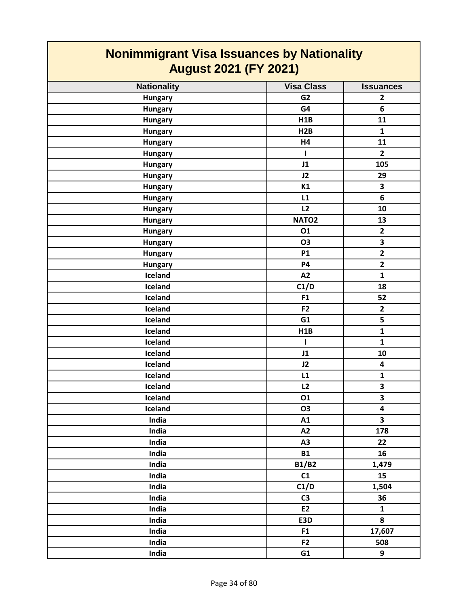| <b>Nonimmigrant Visa Issuances by Nationality</b><br><b>August 2021 (FY 2021)</b> |                   |                         |
|-----------------------------------------------------------------------------------|-------------------|-------------------------|
| <b>Nationality</b>                                                                | <b>Visa Class</b> | <b>Issuances</b>        |
| <b>Hungary</b>                                                                    | G <sub>2</sub>    | $\overline{2}$          |
| <b>Hungary</b>                                                                    | G4                | 6                       |
| <b>Hungary</b>                                                                    | H1B               | 11                      |
| <b>Hungary</b>                                                                    | H2B               | $\mathbf{1}$            |
| <b>Hungary</b>                                                                    | H4                | 11                      |
| <b>Hungary</b>                                                                    | ı                 | $\overline{2}$          |
| <b>Hungary</b>                                                                    | J1                | 105                     |
| <b>Hungary</b>                                                                    | J2                | 29                      |
| <b>Hungary</b>                                                                    | K1                | 3                       |
| <b>Hungary</b>                                                                    | L1                | 6                       |
| <b>Hungary</b>                                                                    | L2                | 10                      |
| <b>Hungary</b>                                                                    | NATO <sub>2</sub> | 13                      |
| <b>Hungary</b>                                                                    | 01                | $\overline{2}$          |
| <b>Hungary</b>                                                                    | <b>O3</b>         | 3                       |
| <b>Hungary</b>                                                                    | <b>P1</b>         | $\mathbf{2}$            |
| <b>Hungary</b>                                                                    | <b>P4</b>         | $\overline{\mathbf{2}}$ |
| Iceland                                                                           | A2                | $\mathbf{1}$            |
| Iceland                                                                           | C1/D              | 18                      |
| Iceland                                                                           | F <sub>1</sub>    | 52                      |
| Iceland                                                                           | F <sub>2</sub>    | $\overline{2}$          |
| Iceland                                                                           | G1                | 5                       |
| Iceland                                                                           | H1B               | $\mathbf{1}$            |
| Iceland                                                                           | ı                 | $\mathbf{1}$            |
| Iceland                                                                           | J1                | 10                      |
| Iceland                                                                           | J2                | 4                       |
| Iceland                                                                           | L1                | 1                       |
| Iceland                                                                           | L2                | $\overline{\mathbf{3}}$ |
| Iceland                                                                           | 01                | 3                       |
| Iceland                                                                           | O3                | 4                       |
| India                                                                             | A1                | $\overline{\mathbf{3}}$ |
| India                                                                             | A2                | 178                     |
| India                                                                             | A3                | 22                      |
| India                                                                             | <b>B1</b>         | 16                      |
| India                                                                             | <b>B1/B2</b>      | 1,479                   |
| India                                                                             | C1                | 15                      |
| India                                                                             | C1/D              | 1,504                   |
| India                                                                             | C <sub>3</sub>    | 36                      |
| India                                                                             | <b>E2</b>         | $\mathbf{1}$            |
| India                                                                             | E3D               | 8                       |
| India                                                                             | F1                | 17,607                  |
| India                                                                             | F <sub>2</sub>    | 508                     |
| India                                                                             | G1                | 9                       |

Ţ

 $\overline{\phantom{a}}$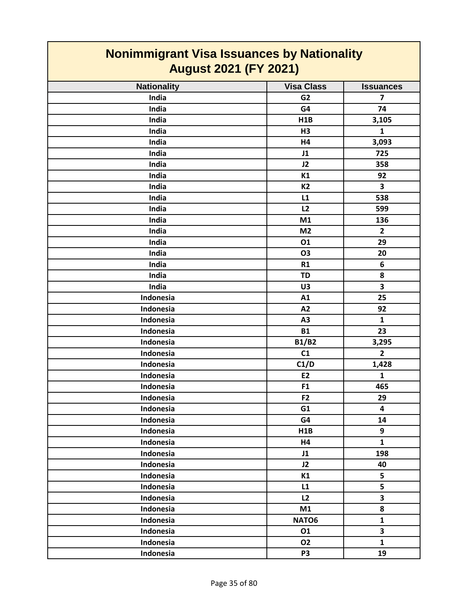| <b>Nonimmigrant Visa Issuances by Nationality</b><br><b>August 2021 (FY 2021)</b> |                   |                         |
|-----------------------------------------------------------------------------------|-------------------|-------------------------|
| <b>Nationality</b>                                                                | <b>Visa Class</b> | <b>Issuances</b>        |
| India                                                                             | G <sub>2</sub>    | 7                       |
| <b>India</b>                                                                      | G4                | 74                      |
| India                                                                             | H1B               | 3,105                   |
| India                                                                             | H3                | $\mathbf{1}$            |
| India                                                                             | H4                | 3,093                   |
| India                                                                             | J1                | 725                     |
| India                                                                             | J2                | 358                     |
| India                                                                             | K1                | 92                      |
| India                                                                             | <b>K2</b>         | 3                       |
| India                                                                             | L1                | 538                     |
| India                                                                             | L2                | 599                     |
| India                                                                             | M1                | 136                     |
| India                                                                             | M <sub>2</sub>    | $\mathbf{2}$            |
| India                                                                             | 01                | 29                      |
| India                                                                             | <b>O3</b>         | 20                      |
| India                                                                             | R1                | 6                       |
| India                                                                             | <b>TD</b>         | 8                       |
| India                                                                             | U3                | 3                       |
| Indonesia                                                                         | A1                | 25                      |
| Indonesia                                                                         | A2                | 92                      |
| Indonesia                                                                         | A3                | 1                       |
| Indonesia                                                                         | <b>B1</b>         | 23                      |
| Indonesia                                                                         | <b>B1/B2</b>      | 3,295                   |
| Indonesia                                                                         | C1                | $\overline{2}$          |
| Indonesia                                                                         | C1/D              | 1,428                   |
| Indonesia                                                                         | E <sub>2</sub>    | $\mathbf{1}$            |
| Indonesia                                                                         | F1                | 465                     |
| Indonesia                                                                         | F <sub>2</sub>    | 29                      |
| Indonesia                                                                         | G1                | $\overline{\mathbf{4}}$ |
| Indonesia                                                                         | G4                | 14                      |
| Indonesia                                                                         | H1B               | 9                       |
| Indonesia                                                                         | H4                | $\mathbf{1}$            |
| Indonesia                                                                         | J1                | 198                     |
| Indonesia                                                                         | J2                | 40                      |
| Indonesia                                                                         | K1                | 5                       |
| Indonesia                                                                         | L1                | 5                       |
| Indonesia                                                                         | L2                | $\overline{\mathbf{3}}$ |
| Indonesia                                                                         | M1                | 8                       |
| Indonesia                                                                         | NATO6             | $\mathbf{1}$            |
| Indonesia                                                                         | 01                | $\overline{\mathbf{3}}$ |
| Indonesia                                                                         | <b>O2</b>         | $\mathbf{1}$            |
| Indonesia                                                                         | P <sub>3</sub>    | 19                      |

 $\mathsf{I}$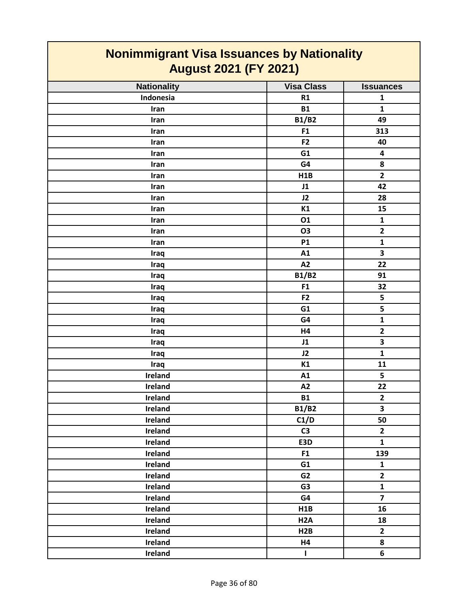| <b>Nonimmigrant Visa Issuances by Nationality</b><br><b>August 2021 (FY 2021)</b> |                   |                         |
|-----------------------------------------------------------------------------------|-------------------|-------------------------|
| <b>Nationality</b>                                                                | <b>Visa Class</b> | <b>Issuances</b>        |
| Indonesia                                                                         | R1                | $\mathbf{1}$            |
| Iran                                                                              | <b>B1</b>         | $\mathbf{1}$            |
| Iran                                                                              | <b>B1/B2</b>      | 49                      |
| Iran                                                                              | F1                | 313                     |
| Iran                                                                              | F <sub>2</sub>    | 40                      |
| Iran                                                                              | G1                | 4                       |
| Iran                                                                              | G4                | 8                       |
| Iran                                                                              | H1B               | $\mathbf{2}$            |
| Iran                                                                              | J1                | 42                      |
| Iran                                                                              | J2                | 28                      |
| Iran                                                                              | K1                | 15                      |
| Iran                                                                              | 01                | $\mathbf{1}$            |
| Iran                                                                              | O <sub>3</sub>    | $\overline{2}$          |
| Iran                                                                              | <b>P1</b>         | $\mathbf{1}$            |
| Iraq                                                                              | A1                | 3                       |
| Iraq                                                                              | A2                | 22                      |
| Iraq                                                                              | <b>B1/B2</b>      | 91                      |
| Iraq                                                                              | F1                | 32                      |
| Iraq                                                                              | F <sub>2</sub>    | 5                       |
| Iraq                                                                              | G1                | 5                       |
| Iraq                                                                              | G4                | $\mathbf{1}$            |
| Iraq                                                                              | H4                | $\mathbf{2}$            |
| Iraq                                                                              | J1                | 3                       |
| Iraq                                                                              | J2                | $\mathbf{1}$            |
| Iraq                                                                              | K1                | 11                      |
| Ireland                                                                           | A1                | 5                       |
| Ireland                                                                           | A2                | 22                      |
| Ireland                                                                           | <b>B1</b>         | $\mathbf{2}$            |
| Ireland                                                                           | <b>B1/B2</b>      | $\overline{\mathbf{3}}$ |
| Ireland                                                                           | C1/D              | 50                      |
| Ireland                                                                           | C <sub>3</sub>    | $\overline{2}$          |
| Ireland                                                                           | E3D               | $\mathbf{1}$            |
| Ireland                                                                           | F1                | 139                     |
| Ireland                                                                           | G1                | $\mathbf{1}$            |
| Ireland                                                                           | G <sub>2</sub>    | $\overline{2}$          |
| Ireland                                                                           | G <sub>3</sub>    | $\mathbf{1}$            |
| Ireland                                                                           | G4                | $\overline{7}$          |
| Ireland                                                                           | H1B               | 16                      |
| Ireland                                                                           | H <sub>2</sub> A  | 18                      |
| Ireland                                                                           | H2B               | $\overline{2}$          |
| Ireland                                                                           | H4                | 8                       |
| Ireland                                                                           | $\mathbf{I}$      | 6                       |

**The Company**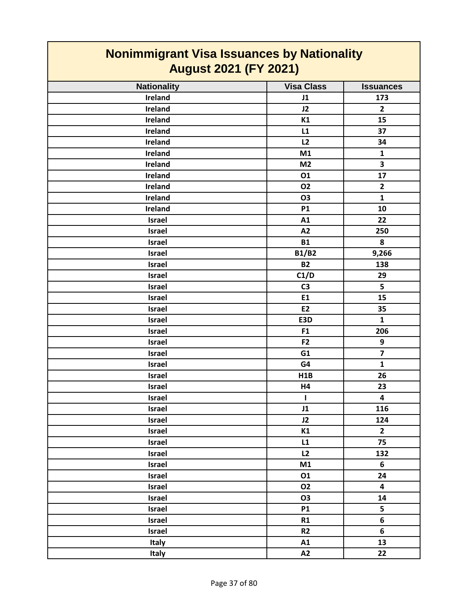| <u>NUMMUNIS AND VISA ISSUANCES BY NATIONALLY</u><br><b>August 2021 (FY 2021)</b> |                   |                         |
|----------------------------------------------------------------------------------|-------------------|-------------------------|
| <b>Nationality</b>                                                               | <b>Visa Class</b> | <b>Issuances</b>        |
| Ireland                                                                          | J1                | 173                     |
| Ireland                                                                          | J2                | $\overline{2}$          |
| Ireland                                                                          | K1                | 15                      |
| Ireland                                                                          | L1                | 37                      |
| Ireland                                                                          | L2                | 34                      |
| Ireland                                                                          | M1                | $\mathbf{1}$            |
| Ireland                                                                          | M <sub>2</sub>    | 3                       |
| Ireland                                                                          | 01                | 17                      |
| Ireland                                                                          | <b>O2</b>         | $\overline{2}$          |
| Ireland                                                                          | <b>O3</b>         | $\mathbf{1}$            |
| Ireland                                                                          | <b>P1</b>         | 10                      |
| Israel                                                                           | A1                | 22                      |
| <b>Israel</b>                                                                    | A2                | 250                     |
| <b>Israel</b>                                                                    | <b>B1</b>         | 8                       |
| Israel                                                                           | <b>B1/B2</b>      | 9,266                   |
| Israel                                                                           | <b>B2</b>         | 138                     |
| <b>Israel</b>                                                                    | C1/D              | 29                      |
| <b>Israel</b>                                                                    | C <sub>3</sub>    | 5                       |
| Israel                                                                           | E1                | 15                      |
| <b>Israel</b>                                                                    | E <sub>2</sub>    | 35                      |
| Israel                                                                           | E3D               | $\mathbf{1}$            |
| <b>Israel</b>                                                                    | F1                | 206                     |
| <b>Israel</b>                                                                    | F <sub>2</sub>    | 9                       |
| Israel                                                                           | G1                | $\overline{7}$          |
| <b>Israel</b>                                                                    | G4                | $\mathbf{1}$            |
| Israel                                                                           | H1B               | 26                      |
| <b>Israel</b>                                                                    | H4                | 23                      |
| Israel                                                                           | $\mathbf{I}$      | $\overline{\mathbf{4}}$ |
| Israel                                                                           | J1                | 116                     |
| Israel                                                                           | J2                | 124                     |
| Israel                                                                           | K1                | $\overline{2}$          |
| Israel                                                                           | L1                | 75                      |
| Israel                                                                           | L2                | 132                     |
| Israel                                                                           | M1                | 6                       |
| Israel                                                                           | 01                | 24                      |
| Israel                                                                           | <b>O2</b>         | $\overline{\mathbf{4}}$ |
| Israel                                                                           | <b>O3</b>         | 14                      |
| Israel                                                                           | <b>P1</b>         | 5                       |
| Israel                                                                           | R1                | 6                       |
| Israel                                                                           | R <sub>2</sub>    | 6                       |
| Italy                                                                            | A1                | 13                      |
| Italy                                                                            | A2                | 22                      |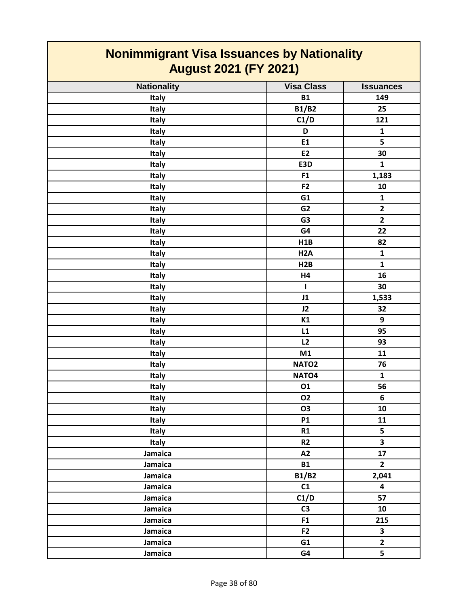| <b>Nonimmigrant Visa Issuances by Nationality</b><br><b>August 2021 (FY 2021)</b> |                   |                         |
|-----------------------------------------------------------------------------------|-------------------|-------------------------|
| <b>Nationality</b>                                                                | <b>Visa Class</b> | <b>Issuances</b>        |
| Italy                                                                             | <b>B1</b>         | 149                     |
| Italy                                                                             | <b>B1/B2</b>      | 25                      |
| Italy                                                                             | C1/D              | 121                     |
| Italy                                                                             | D                 | $\mathbf{1}$            |
| <b>Italy</b>                                                                      | E1                | 5                       |
| <b>Italy</b>                                                                      | <b>E2</b>         | 30                      |
| <b>Italy</b>                                                                      | E3D               | $\mathbf{1}$            |
| Italy                                                                             | F1                | 1,183                   |
| <b>Italy</b>                                                                      | F <sub>2</sub>    | 10                      |
| <b>Italy</b>                                                                      | G1                | $\mathbf{1}$            |
| Italy                                                                             | G <sub>2</sub>    | $\overline{2}$          |
| <b>Italy</b>                                                                      | G <sub>3</sub>    | $\overline{2}$          |
| Italy                                                                             | G4                | 22                      |
| <b>Italy</b>                                                                      | H1B               | 82                      |
| Italy                                                                             | H <sub>2</sub> A  | $\mathbf{1}$            |
| <b>Italy</b>                                                                      | H2B               | 1                       |
| Italy                                                                             | H4                | 16                      |
| Italy                                                                             | т                 | 30                      |
| <b>Italy</b>                                                                      | J1                | 1,533                   |
| Italy                                                                             | J2                | 32                      |
| Italy                                                                             | K1                | 9                       |
| Italy                                                                             | L1                | 95                      |
| Italy                                                                             | L2                | 93                      |
| <b>Italy</b>                                                                      | M1                | 11                      |
| <b>Italy</b>                                                                      | NATO <sub>2</sub> | 76                      |
| <b>Italy</b>                                                                      | NATO <sub>4</sub> | $\mathbf{1}$            |
| Italy                                                                             | 01                | 56                      |
| Italy                                                                             | <b>O2</b>         | 6                       |
| Italy                                                                             | <b>O3</b>         | 10                      |
| Italy                                                                             | <b>P1</b>         | 11                      |
| <b>Italy</b>                                                                      | R1                | 5                       |
| Italy                                                                             | R <sub>2</sub>    | $\overline{\mathbf{3}}$ |
| Jamaica                                                                           | A2                | 17                      |
| Jamaica                                                                           | <b>B1</b>         | $2^{\circ}$             |
| Jamaica                                                                           | <b>B1/B2</b>      | 2,041                   |
| Jamaica                                                                           | C1                | 4                       |
| Jamaica                                                                           | C1/D              | 57                      |
| Jamaica                                                                           | C <sub>3</sub>    | 10                      |
| Jamaica                                                                           | F1                | 215                     |
| Jamaica                                                                           | F <sub>2</sub>    | $\overline{\mathbf{3}}$ |
| Jamaica                                                                           | G1                | $\overline{2}$          |
| Jamaica                                                                           | G4                | 5                       |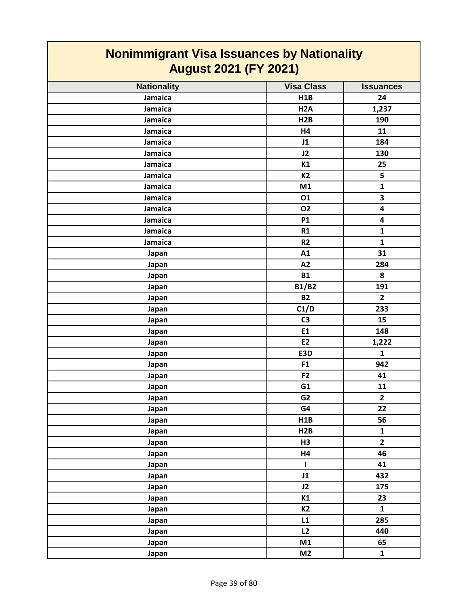| <b>Nonimmigrant Visa Issuances by Nationality</b><br><b>August 2021 (FY 2021)</b> |                   |                  |
|-----------------------------------------------------------------------------------|-------------------|------------------|
| <b>Nationality</b>                                                                | <b>Visa Class</b> | <b>Issuances</b> |
| Jamaica                                                                           | H1B               | 24               |
| Jamaica                                                                           | H <sub>2</sub> A  | 1,237            |
| Jamaica                                                                           | H2B               | 190              |
| Jamaica                                                                           | H4                | 11               |
| Jamaica                                                                           | J1                | 184              |
| Jamaica                                                                           | J2                | 130              |
| Jamaica                                                                           | K1                | 25               |
| Jamaica                                                                           | <b>K2</b>         | 5                |
| Jamaica                                                                           | M1                | $\mathbf{1}$     |
| Jamaica                                                                           | 01                | 3                |
| Jamaica                                                                           | <b>O2</b>         | 4                |
| Jamaica                                                                           | <b>P1</b>         | 4                |
| Jamaica                                                                           | R1                | $\mathbf{1}$     |
| Jamaica                                                                           | R <sub>2</sub>    | $\mathbf{1}$     |
| Japan                                                                             | A1                | 31               |
| Japan                                                                             | A2                | 284              |
| Japan                                                                             | <b>B1</b>         | 8                |
| Japan                                                                             | <b>B1/B2</b>      | 191              |
| Japan                                                                             | <b>B2</b>         | $\overline{2}$   |
| Japan                                                                             | C1/D              | 233              |
| Japan                                                                             | C <sub>3</sub>    | 15               |
| Japan                                                                             | E1                | 148              |
| Japan                                                                             | E2                | 1,222            |
| Japan                                                                             | E3D               | $\mathbf{1}$     |
| Japan                                                                             | F <sub>1</sub>    | 942              |
| Japan                                                                             | F <sub>2</sub>    | 41               |
| Japan                                                                             | G1                | 11               |
| Japan                                                                             | G <sub>2</sub>    | $\overline{2}$   |
| Japan                                                                             | G4                | 22               |
| Japan                                                                             | H1B               | 56               |
| Japan                                                                             | H2B               | $\mathbf{1}$     |
| Japan                                                                             | H <sub>3</sub>    | $\mathbf{2}$     |
| Japan                                                                             | <b>H4</b>         | 46               |
| Japan                                                                             | L                 | 41               |
| Japan                                                                             | J1                | 432              |
| Japan                                                                             | J2                | 175              |
| Japan                                                                             | K1                | 23               |
| Japan                                                                             | K2                | $\mathbf{1}$     |
| Japan                                                                             | L1                | 285              |
| Japan                                                                             | L2                | 440              |
| Japan                                                                             | M1                | 65               |
| Japan                                                                             | M <sub>2</sub>    | $\mathbf{1}$     |

 $\mathsf{I}$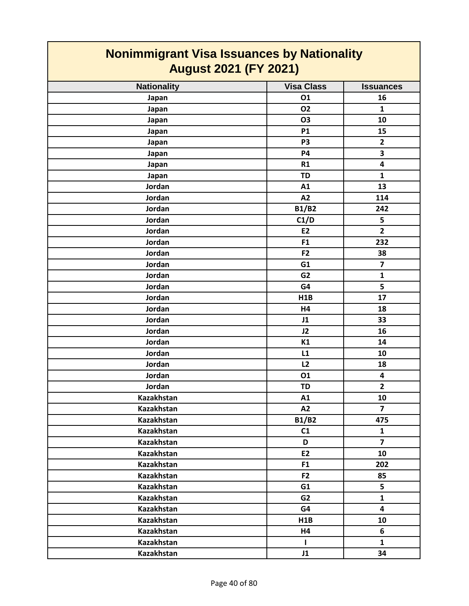| <b>Nonimmigrant Visa Issuances by Nationality</b><br><b>August 2021 (FY 2021)</b> |                   |                         |
|-----------------------------------------------------------------------------------|-------------------|-------------------------|
| <b>Nationality</b>                                                                | <b>Visa Class</b> | <b>Issuances</b>        |
| Japan                                                                             | 01                | 16                      |
| Japan                                                                             | <b>O2</b>         | $\mathbf{1}$            |
| Japan                                                                             | <b>O3</b>         | 10                      |
| Japan                                                                             | <b>P1</b>         | 15                      |
| Japan                                                                             | P <sub>3</sub>    | $\mathbf{2}$            |
| Japan                                                                             | <b>P4</b>         | 3                       |
| Japan                                                                             | R1                | $\overline{\mathbf{4}}$ |
| Japan                                                                             | <b>TD</b>         | $\mathbf{1}$            |
| Jordan                                                                            | A1                | 13                      |
| Jordan                                                                            | A2                | 114                     |
| Jordan                                                                            | <b>B1/B2</b>      | 242                     |
| Jordan                                                                            | C1/D              | 5                       |
| Jordan                                                                            | <b>E2</b>         | $\overline{2}$          |
| Jordan                                                                            | F1                | 232                     |
| Jordan                                                                            | F <sub>2</sub>    | 38                      |
| Jordan                                                                            | G1                | $\overline{\mathbf{z}}$ |
| Jordan                                                                            | G <sub>2</sub>    | $\mathbf{1}$            |
| Jordan                                                                            | G4                | 5                       |
| Jordan                                                                            | H1B               | 17                      |
| Jordan                                                                            | H4                | 18                      |
| Jordan                                                                            | J1                | 33                      |
| Jordan                                                                            | J2                | 16                      |
| Jordan                                                                            | K1                | 14                      |
| Jordan                                                                            | L1                | 10                      |
| Jordan                                                                            | L2                | 18                      |
| Jordan                                                                            | 01                | 4                       |
| Jordan                                                                            | <b>TD</b>         | $\overline{2}$          |
| Kazakhstan                                                                        | A1                | 10                      |
| <b>Kazakhstan</b>                                                                 | A2                | $\overline{7}$          |
| Kazakhstan                                                                        | <b>B1/B2</b>      | 475                     |
| Kazakhstan                                                                        | C1                | $\mathbf{1}$            |
| Kazakhstan                                                                        | D                 | $\overline{7}$          |
| Kazakhstan                                                                        | E2                | 10                      |
| <b>Kazakhstan</b>                                                                 | F <sub>1</sub>    | 202                     |
| Kazakhstan                                                                        | F <sub>2</sub>    | 85                      |
| <b>Kazakhstan</b>                                                                 | G1                | 5                       |
| Kazakhstan                                                                        | G2                | $\mathbf{1}$            |
| Kazakhstan                                                                        | G4                | 4                       |
| Kazakhstan                                                                        | H1B               | 10                      |
| Kazakhstan                                                                        | <b>H4</b>         | 6                       |
| Kazakhstan                                                                        | $\mathbf{I}$      | $\mathbf{1}$            |
| Kazakhstan                                                                        | J1                | 34                      |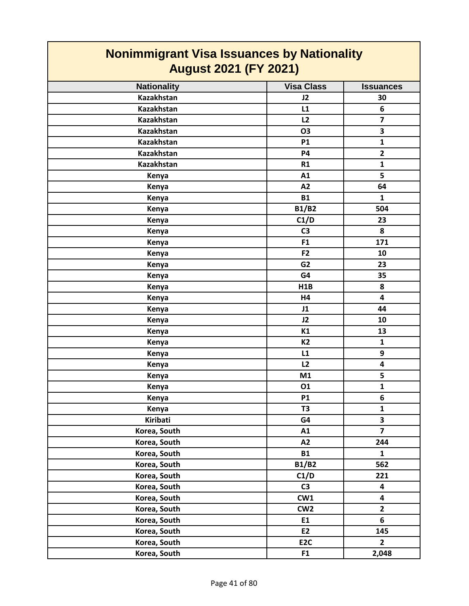| <b>Nonimmigrant Visa Issuances by Nationality</b><br><b>August 2021 (FY 2021)</b> |                   |                         |
|-----------------------------------------------------------------------------------|-------------------|-------------------------|
| <b>Nationality</b>                                                                | <b>Visa Class</b> | <b>Issuances</b>        |
| <b>Kazakhstan</b>                                                                 | J2                | 30                      |
| <b>Kazakhstan</b>                                                                 | L1                | 6                       |
| <b>Kazakhstan</b>                                                                 | L2                | $\overline{ }$          |
| <b>Kazakhstan</b>                                                                 | <b>O3</b>         | 3                       |
| <b>Kazakhstan</b>                                                                 | <b>P1</b>         | $\mathbf{1}$            |
| <b>Kazakhstan</b>                                                                 | <b>P4</b>         | $\overline{2}$          |
| <b>Kazakhstan</b>                                                                 | R1                | $\mathbf{1}$            |
| Kenya                                                                             | A1                | 5                       |
| Kenya                                                                             | A2                | 64                      |
| Kenya                                                                             | <b>B1</b>         | $\mathbf{1}$            |
| Kenya                                                                             | <b>B1/B2</b>      | 504                     |
| Kenya                                                                             | C1/D              | 23                      |
| Kenya                                                                             | C <sub>3</sub>    | 8                       |
| Kenya                                                                             | F <sub>1</sub>    | 171                     |
| Kenya                                                                             | F <sub>2</sub>    | 10                      |
| Kenya                                                                             | G <sub>2</sub>    | 23                      |
| Kenya                                                                             | G4                | 35                      |
| Kenya                                                                             | H1B               | 8                       |
| Kenya                                                                             | H4                | $\overline{\mathbf{4}}$ |
| Kenya                                                                             | J1                | 44                      |
| Kenya                                                                             | J2                | 10                      |
| Kenya                                                                             | K1                | 13                      |
| Kenya                                                                             | <b>K2</b>         | $\mathbf{1}$            |
| Kenya                                                                             | L1                | 9                       |
| Kenya                                                                             | L2                | $\overline{\mathbf{4}}$ |
| Kenya                                                                             | M1                | 5                       |
| Kenya                                                                             | 01                | $\mathbf 1$             |
| Kenya                                                                             | <b>P1</b>         | 6                       |
| Kenya                                                                             | T <sub>3</sub>    | $\mathbf{1}$            |
| <b>Kiribati</b>                                                                   | G4                | $\overline{\mathbf{3}}$ |
| Korea, South                                                                      | A1                | $\overline{\mathbf{z}}$ |
| Korea, South                                                                      | A2                | 244                     |
| Korea, South                                                                      | <b>B1</b>         | $\mathbf{1}$            |
| Korea, South                                                                      | <b>B1/B2</b>      | 562                     |
| Korea, South                                                                      | C1/D              | 221                     |
| Korea, South                                                                      | C <sub>3</sub>    | 4                       |
| Korea, South                                                                      | CW1               | $\overline{\mathbf{4}}$ |
| Korea, South                                                                      | CW <sub>2</sub>   | $\mathbf{2}$            |
| Korea, South                                                                      | E1                | 6                       |
| Korea, South                                                                      | E <sub>2</sub>    | 145                     |
| Korea, South                                                                      | E <sub>2C</sub>   | $\overline{2}$          |
| Korea, South                                                                      | F <sub>1</sub>    | 2,048                   |

 $\mathsf{r}$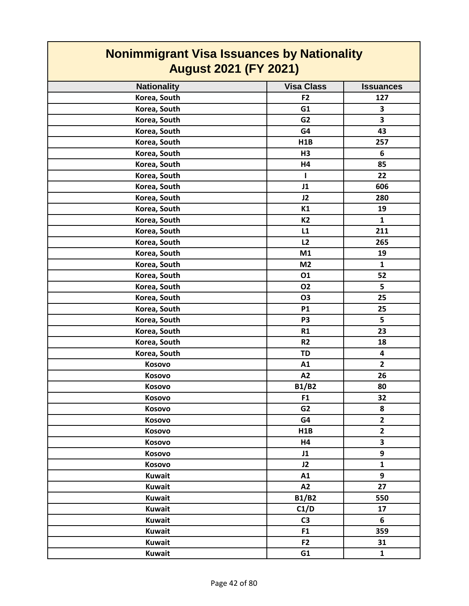| <b>Nonimmigrant Visa Issuances by Nationality</b><br><b>August 2021 (FY 2021)</b> |                   |                         |
|-----------------------------------------------------------------------------------|-------------------|-------------------------|
| <b>Nationality</b>                                                                | <b>Visa Class</b> | <b>Issuances</b>        |
| Korea, South                                                                      | F <sub>2</sub>    | 127                     |
| Korea, South                                                                      | G1                | 3                       |
| Korea, South                                                                      | G2                | 3                       |
| Korea, South                                                                      | G4                | 43                      |
| Korea, South                                                                      | H1B               | 257                     |
| Korea, South                                                                      | H <sub>3</sub>    | 6                       |
| Korea, South                                                                      | <b>H4</b>         | 85                      |
| Korea, South                                                                      | L                 | 22                      |
| Korea, South                                                                      | J1                | 606                     |
| Korea, South                                                                      | J2                | 280                     |
| Korea, South                                                                      | K1                | 19                      |
| Korea, South                                                                      | <b>K2</b>         | $\mathbf{1}$            |
| Korea, South                                                                      | L1                | 211                     |
| Korea, South                                                                      | L2                | 265                     |
| Korea, South                                                                      | M1                | 19                      |
| Korea, South                                                                      | M <sub>2</sub>    | $\mathbf{1}$            |
| Korea, South                                                                      | 01                | 52                      |
| Korea, South                                                                      | <b>O2</b>         | 5                       |
| Korea, South                                                                      | <b>O3</b>         | 25                      |
| Korea, South                                                                      | <b>P1</b>         | 25                      |
| Korea, South                                                                      | P <sub>3</sub>    | 5                       |
| Korea, South                                                                      | R1                | 23                      |
| Korea, South                                                                      | R <sub>2</sub>    | 18                      |
| Korea, South                                                                      | <b>TD</b>         | $\overline{\mathbf{4}}$ |
| Kosovo                                                                            | A1                | $\overline{2}$          |
| Kosovo                                                                            | A2                | 26                      |
| Kosovo                                                                            | <b>B1/B2</b>      | 80                      |
| Kosovo                                                                            | F <sub>1</sub>    | 32                      |
| Kosovo                                                                            | G <sub>2</sub>    | 8                       |
| Kosovo                                                                            | G4                | $\overline{\mathbf{2}}$ |
| Kosovo                                                                            | H1B               | $\mathbf{2}$            |
| Kosovo                                                                            | H4                | 3                       |
| Kosovo                                                                            | J1                | 9                       |
| Kosovo                                                                            | J2                | $\mathbf{1}$            |
| <b>Kuwait</b>                                                                     | A1                | 9                       |
| <b>Kuwait</b>                                                                     | A2                | 27                      |
| <b>Kuwait</b>                                                                     | <b>B1/B2</b>      | 550                     |
| <b>Kuwait</b>                                                                     | C1/D              | 17                      |
| <b>Kuwait</b>                                                                     | C <sub>3</sub>    | 6                       |
| <b>Kuwait</b>                                                                     | F <sub>1</sub>    | 359                     |
| <b>Kuwait</b>                                                                     | F2                | 31                      |
| <b>Kuwait</b>                                                                     | G1                | $\mathbf{1}$            |

┑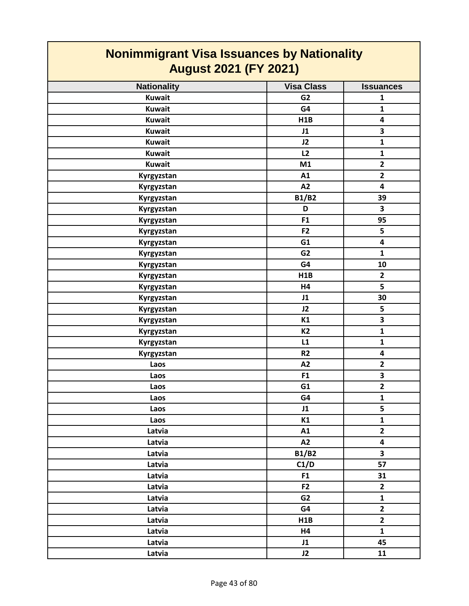| <b>Nonimmigrant Visa Issuances by Nationality</b><br><b>August 2021 (FY 2021)</b> |                   |                         |
|-----------------------------------------------------------------------------------|-------------------|-------------------------|
| <b>Nationality</b>                                                                | <b>Visa Class</b> | <b>Issuances</b>        |
| <b>Kuwait</b>                                                                     | G <sub>2</sub>    | $\mathbf{1}$            |
| <b>Kuwait</b>                                                                     | G4                | $\mathbf{1}$            |
| <b>Kuwait</b>                                                                     | H1B               | $\overline{\mathbf{4}}$ |
| <b>Kuwait</b>                                                                     | J1                | 3                       |
| <b>Kuwait</b>                                                                     | J2                | $\mathbf{1}$            |
| <b>Kuwait</b>                                                                     | L2                | $\mathbf{1}$            |
| <b>Kuwait</b>                                                                     | M1                | $\overline{2}$          |
| Kyrgyzstan                                                                        | A1                | $\overline{2}$          |
| Kyrgyzstan                                                                        | A2                | 4                       |
| Kyrgyzstan                                                                        | <b>B1/B2</b>      | 39                      |
| Kyrgyzstan                                                                        | D                 | $\overline{\mathbf{3}}$ |
| Kyrgyzstan                                                                        | F <sub>1</sub>    | 95                      |
| Kyrgyzstan                                                                        | F <sub>2</sub>    | 5                       |
| Kyrgyzstan                                                                        | G1                | $\overline{\mathbf{4}}$ |
| Kyrgyzstan                                                                        | G <sub>2</sub>    | $\mathbf{1}$            |
| Kyrgyzstan                                                                        | G4                | 10                      |
| Kyrgyzstan                                                                        | H1B               | $\mathbf{2}$            |
| Kyrgyzstan                                                                        | H4                | 5                       |
| Kyrgyzstan                                                                        | J1                | 30                      |
| Kyrgyzstan                                                                        | J2                | 5                       |
| Kyrgyzstan                                                                        | K1                | 3                       |
| Kyrgyzstan                                                                        | <b>K2</b>         | $\mathbf{1}$            |
| Kyrgyzstan                                                                        | L1                | $\mathbf{1}$            |
| Kyrgyzstan                                                                        | R <sub>2</sub>    | $\overline{\mathbf{4}}$ |
| Laos                                                                              | A2                | $\mathbf{2}$            |
| Laos                                                                              | F1                | 3                       |
| Laos                                                                              | G1                | $\overline{2}$          |
| Laos                                                                              | G4                | $\mathbf{1}$            |
| Laos                                                                              | J1                | 5                       |
| Laos                                                                              | K1                | $\mathbf{1}$            |
| Latvia                                                                            | A1                | $\overline{2}$          |
| Latvia                                                                            | A2                | 4                       |
| Latvia                                                                            | <b>B1/B2</b>      | $\overline{\mathbf{3}}$ |
| Latvia                                                                            | C1/D              | 57                      |
| Latvia                                                                            | F <sub>1</sub>    | 31                      |
| Latvia                                                                            | F <sub>2</sub>    | $\overline{2}$          |
| Latvia                                                                            | G <sub>2</sub>    | $\mathbf{1}$            |
| Latvia                                                                            | G4                | $\overline{2}$          |
| Latvia                                                                            | H1B               | $\mathbf{2}$            |
| Latvia                                                                            | H4                | $\mathbf{1}$            |
| Latvia                                                                            | J1                | 45                      |
| Latvia                                                                            | J2                | 11                      |

 $\mathsf{I}$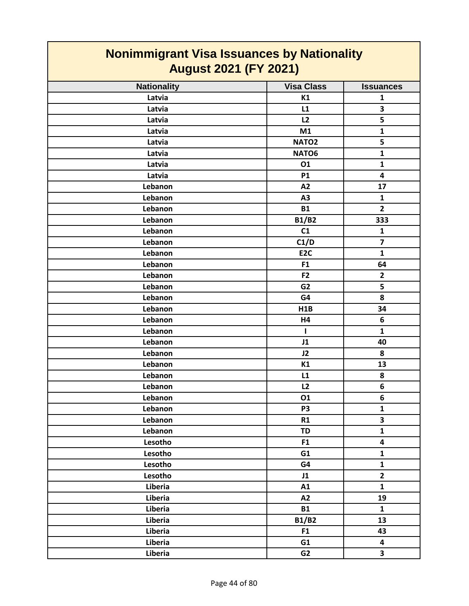| <b>Nonimmigrant Visa Issuances by Nationality</b><br><b>August 2021 (FY 2021)</b> |                   |                         |
|-----------------------------------------------------------------------------------|-------------------|-------------------------|
| <b>Nationality</b>                                                                | <b>Visa Class</b> | <b>Issuances</b>        |
| Latvia                                                                            | K1                | 1                       |
| Latvia                                                                            | L1                | 3                       |
| Latvia                                                                            | L2                | 5                       |
| Latvia                                                                            | M1                | $\mathbf{1}$            |
| Latvia                                                                            | NATO <sub>2</sub> | 5                       |
| Latvia                                                                            | NATO6             | $\mathbf{1}$            |
| Latvia                                                                            | 01                | $\mathbf{1}$            |
| Latvia                                                                            | <b>P1</b>         | 4                       |
| Lebanon                                                                           | A2                | 17                      |
| Lebanon                                                                           | A3                | $\mathbf{1}$            |
| Lebanon                                                                           | <b>B1</b>         | $\overline{2}$          |
| Lebanon                                                                           | <b>B1/B2</b>      | 333                     |
| Lebanon                                                                           | C1                | $\mathbf{1}$            |
| Lebanon                                                                           | C1/D              | $\overline{\mathbf{z}}$ |
| Lebanon                                                                           | E <sub>2C</sub>   | $\mathbf{1}$            |
| Lebanon                                                                           | F <sub>1</sub>    | 64                      |
| Lebanon                                                                           | F <sub>2</sub>    | $\mathbf{2}$            |
| Lebanon                                                                           | G <sub>2</sub>    | 5                       |
| Lebanon                                                                           | G4                | 8                       |
| Lebanon                                                                           | H1B               | 34                      |
| Lebanon                                                                           | H4                | 6                       |
| Lebanon                                                                           | L                 | $\mathbf{1}$            |
| Lebanon                                                                           | J1                | 40                      |
| Lebanon                                                                           | J2                | 8                       |
| Lebanon                                                                           | K1                | 13                      |
| Lebanon                                                                           | L1                | 8                       |
| Lebanon                                                                           | L2                | 6                       |
| Lebanon                                                                           | 01                | 6                       |
| Lebanon                                                                           | P <sub>3</sub>    | $\mathbf{1}$            |
| Lebanon                                                                           | R1                | $\overline{\mathbf{3}}$ |
| Lebanon                                                                           | <b>TD</b>         | $\mathbf{1}$            |
| Lesotho                                                                           | F1                | 4                       |
| Lesotho                                                                           | G1                | $\mathbf{1}$            |
| Lesotho                                                                           | G4                | $\mathbf{1}$            |
| Lesotho                                                                           | J1                | $\overline{2}$          |
| Liberia                                                                           | A1                | $\mathbf{1}$            |
| Liberia                                                                           | A2                | 19                      |
| Liberia                                                                           | <b>B1</b>         | $\mathbf{1}$            |
| Liberia                                                                           | <b>B1/B2</b>      | 13                      |
| Liberia                                                                           | F1                | 43                      |
| Liberia                                                                           | G1                | $\overline{\mathbf{4}}$ |
| Liberia                                                                           | G <sub>2</sub>    | $\overline{\mathbf{3}}$ |

 $\label{eq:2.1} \frac{1}{\sqrt{2\pi}}\int_{0}^{\infty}\frac{1}{\sqrt{2\pi}}\left(\frac{1}{\sqrt{2\pi}}\right)^{2}e^{-\frac{1}{2}\left(\frac{1}{\sqrt{2\pi}}\right)}\frac{1}{\sqrt{2\pi}}\int_{0}^{\infty}\frac{1}{\sqrt{2\pi}}\frac{e^{-\frac{1}{2}\left(\frac{1}{\sqrt{2\pi}}\right)}}{\sqrt{2\pi}}\frac{e^{-\frac{1}{2}\left(\frac{1}{\sqrt{2\pi}}\right)}}{e^{-\frac{1}{2}\left(\frac{1}{\sqrt{2\pi}}\right)}}\frac{e^{-\frac{1}{2$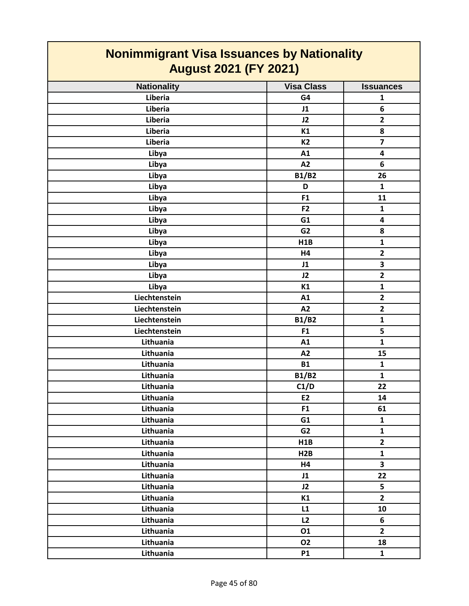| <u>Nonimmigrant Visa Issuances by Nationality</u><br><b>August 2021 (FY 2021)</b> |                   |                         |
|-----------------------------------------------------------------------------------|-------------------|-------------------------|
| <b>Nationality</b>                                                                | <b>Visa Class</b> | <b>Issuances</b>        |
| Liberia                                                                           | G4                | 1                       |
| Liberia                                                                           | J1                | 6                       |
| Liberia                                                                           | J2                | $\mathbf{2}$            |
| Liberia                                                                           | K1                | 8                       |
| Liberia                                                                           | K <sub>2</sub>    | $\overline{\mathbf{z}}$ |
| Libya                                                                             | A1                | 4                       |
| Libya                                                                             | A2                | 6                       |
| Libya                                                                             | <b>B1/B2</b>      | 26                      |
| Libya                                                                             | D                 | $\mathbf{1}$            |
| Libya                                                                             | F1                | 11                      |
| Libya                                                                             | F <sub>2</sub>    | $\mathbf{1}$            |
| Libya                                                                             | G1                | 4                       |
| Libya                                                                             | G <sub>2</sub>    | 8                       |
| Libya                                                                             | H1B               | $\mathbf{1}$            |
| Libya                                                                             | H4                | $\mathbf{2}$            |
| Libya                                                                             | J1                | 3                       |
| Libya                                                                             | J2                | $\overline{2}$          |
| Libya                                                                             | K1                | $\mathbf{1}$            |
| Liechtenstein                                                                     | A1                | $\overline{2}$          |
| Liechtenstein                                                                     | A2                | $\overline{2}$          |
| Liechtenstein                                                                     | <b>B1/B2</b>      | $\mathbf{1}$            |
| Liechtenstein                                                                     | F1                | 5                       |
| Lithuania                                                                         | A1                | $\mathbf{1}$            |
| Lithuania                                                                         | A2                | 15                      |
| Lithuania                                                                         | <b>B1</b>         | $\mathbf{1}$            |
| Lithuania                                                                         | <b>B1/B2</b>      | $\mathbf{1}$            |
| Lithuania                                                                         | C1/D              | 22                      |
| Lithuania                                                                         | E2                | 14                      |
| Lithuania                                                                         | F1                | 61                      |
| Lithuania                                                                         | G1                | $\mathbf{1}$            |
| Lithuania                                                                         | G <sub>2</sub>    | $\mathbf{1}$            |
| Lithuania                                                                         | H1B               | $\mathbf{2}$            |
| Lithuania                                                                         | H2B               | $\mathbf{1}$            |
| Lithuania                                                                         | <b>H4</b>         | 3                       |
| Lithuania                                                                         | J1                | 22                      |
| Lithuania                                                                         | J2                | 5                       |
| Lithuania                                                                         | K1                | $\overline{2}$          |
| Lithuania                                                                         | L1                | 10                      |
| Lithuania                                                                         | L2                | 6                       |
| Lithuania                                                                         | 01                | $2^{\circ}$             |
| Lithuania                                                                         | <b>O2</b>         | 18                      |
| Lithuania                                                                         | <b>P1</b>         | $\mathbf{1}$            |

**The Common**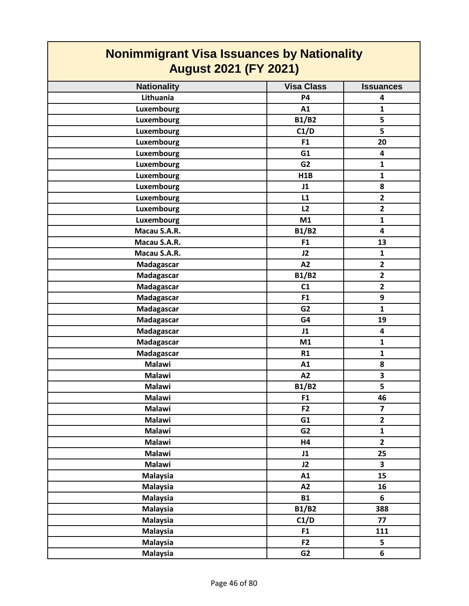| <b>Nonimmigrant Visa Issuances by Nationality</b> |                   |                         |
|---------------------------------------------------|-------------------|-------------------------|
| <b>August 2021 (FY 2021)</b>                      |                   |                         |
| <b>Nationality</b>                                | <b>Visa Class</b> | <b>Issuances</b>        |
| Lithuania                                         | <b>P4</b>         | 4                       |
| <b>Luxembourg</b>                                 | A1                | $\mathbf{1}$            |
| <b>Luxembourg</b>                                 | <b>B1/B2</b>      | 5                       |
| <b>Luxembourg</b>                                 | C1/D              | 5                       |
| Luxembourg                                        | F <sub>1</sub>    | 20                      |
| <b>Luxembourg</b>                                 | G1                | 4                       |
| <b>Luxembourg</b>                                 | G <sub>2</sub>    | $\mathbf{1}$            |
| <b>Luxembourg</b>                                 | H1B               | $\mathbf{1}$            |
| <b>Luxembourg</b>                                 | J1                | 8                       |
| Luxembourg                                        | L1                | $\overline{2}$          |
| <b>Luxembourg</b>                                 | L2                | $\mathbf{2}$            |
| Luxembourg                                        | M1                | $\mathbf{1}$            |
| Macau S.A.R.                                      | <b>B1/B2</b>      | 4                       |
| Macau S.A.R.                                      | F <sub>1</sub>    | 13                      |
| Macau S.A.R.                                      | J2                | $\mathbf{1}$            |
| Madagascar                                        | A2                | $\mathbf{2}$            |
| Madagascar                                        | <b>B1/B2</b>      | $\overline{2}$          |
| Madagascar                                        | C1                | $\overline{2}$          |
| Madagascar                                        | F1                | 9                       |
| Madagascar                                        | G <sub>2</sub>    | $\mathbf{1}$            |
| Madagascar                                        | G4                | 19                      |
| Madagascar                                        | J1                | 4                       |
| Madagascar                                        | M1                | $\mathbf{1}$            |
| Madagascar                                        | R1                | $\mathbf{1}$            |
| <b>Malawi</b>                                     | A1                | 8                       |
| <b>Malawi</b>                                     | A2                | 3                       |
| <b>Malawi</b>                                     | <b>B1/B2</b>      | 5                       |
| <b>Malawi</b>                                     | F <sub>1</sub>    | 46                      |
| <b>Malawi</b>                                     | F2                | $\overline{7}$          |
| <b>Malawi</b>                                     | G1                | $\mathbf{2}$            |
| <b>Malawi</b>                                     | G <sub>2</sub>    | $\mathbf{1}$            |
| <b>Malawi</b>                                     | H4                | $\overline{2}$          |
| <b>Malawi</b>                                     | J1                | 25                      |
| <b>Malawi</b>                                     | J2                | $\overline{\mathbf{3}}$ |
| <b>Malaysia</b>                                   | A1                | 15                      |
| <b>Malaysia</b>                                   | A2                | 16                      |
| <b>Malaysia</b>                                   | <b>B1</b>         | 6                       |
| <b>Malaysia</b>                                   | <b>B1/B2</b>      | 388                     |
|                                                   |                   | 77                      |
| <b>Malaysia</b>                                   | C1/D              |                         |
| <b>Malaysia</b>                                   | F1                | 111                     |
| <b>Malaysia</b>                                   | F <sub>2</sub>    | 5                       |
| <b>Malaysia</b>                                   | G <sub>2</sub>    | 6                       |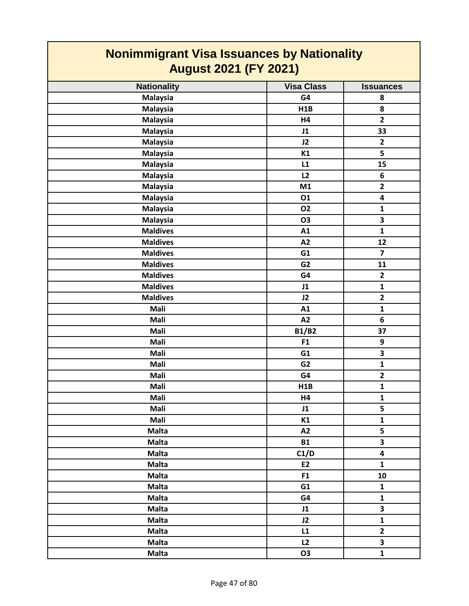| <b>Nonimmigrant Visa Issuances by Nationality</b><br><b>August 2021 (FY 2021)</b> |                   |                         |
|-----------------------------------------------------------------------------------|-------------------|-------------------------|
| <b>Nationality</b>                                                                | <b>Visa Class</b> | <b>Issuances</b>        |
| <b>Malaysia</b>                                                                   | G4                | 8                       |
| <b>Malaysia</b>                                                                   | H1B               | 8                       |
| <b>Malaysia</b>                                                                   | H4                | $\overline{2}$          |
| <b>Malaysia</b>                                                                   | J1                | 33                      |
| <b>Malaysia</b>                                                                   | J2                | $\mathbf{2}$            |
| <b>Malaysia</b>                                                                   | K1                | 5                       |
| <b>Malaysia</b>                                                                   | L1                | 15                      |
| <b>Malaysia</b>                                                                   | L2                | 6                       |
| <b>Malaysia</b>                                                                   | M1                | $\mathbf{2}$            |
| <b>Malaysia</b>                                                                   | 01                | 4                       |
| <b>Malaysia</b>                                                                   | <b>O2</b>         | $\mathbf{1}$            |
| <b>Malaysia</b>                                                                   | <b>O3</b>         | 3                       |
| <b>Maldives</b>                                                                   | A1                | $\mathbf{1}$            |
| <b>Maldives</b>                                                                   | A2                | 12                      |
| <b>Maldives</b>                                                                   | G1                | $\overline{\mathbf{z}}$ |
| <b>Maldives</b>                                                                   | G <sub>2</sub>    | 11                      |
| <b>Maldives</b>                                                                   | G4                | $\overline{2}$          |
| <b>Maldives</b>                                                                   | J1                | $\mathbf{1}$            |
| <b>Maldives</b>                                                                   | J2                | $\overline{2}$          |
| Mali                                                                              | A1                | $\mathbf{1}$            |
| Mali                                                                              | A2                | 6                       |
| Mali                                                                              | <b>B1/B2</b>      | 37                      |
| Mali                                                                              | F1                | 9                       |
| Mali                                                                              | G1                | 3                       |
| Mali                                                                              | G <sub>2</sub>    | $\mathbf{1}$            |
| Mali                                                                              | G4                | $\mathbf{2}$            |
| Mali                                                                              | H1B               | $\mathbf{1}$            |
| Mali                                                                              | H4                | $\mathbf{1}$            |
| Mali                                                                              | J1                | 5                       |
| Mali                                                                              | K1                | $\mathbf{1}$            |
| <b>Malta</b>                                                                      | A2                | 5                       |
| <b>Malta</b>                                                                      | <b>B1</b>         | 3                       |
| <b>Malta</b>                                                                      | C1/D              | $\overline{\mathbf{4}}$ |
| <b>Malta</b>                                                                      | E2                | $\mathbf{1}$            |
| <b>Malta</b>                                                                      | F1                | 10                      |
| <b>Malta</b>                                                                      | G1                | $\mathbf{1}$            |
| <b>Malta</b>                                                                      | G4                | $\mathbf{1}$            |
| <b>Malta</b>                                                                      | J1                | 3                       |
| <b>Malta</b>                                                                      | J2                | $\mathbf{1}$            |
| <b>Malta</b>                                                                      | L1                | $\mathbf{2}$            |
| <b>Malta</b>                                                                      | L2                | 3                       |
| <b>Malta</b>                                                                      | <b>O3</b>         | $\mathbf{1}$            |

**The Co**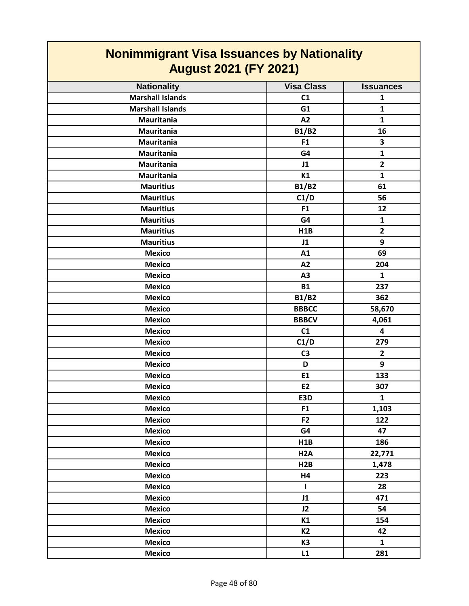| <b>Nonimmigrant Visa Issuances by Nationality</b><br><b>August 2021 (FY 2021)</b> |                   |                  |
|-----------------------------------------------------------------------------------|-------------------|------------------|
| <b>Nationality</b>                                                                | <b>Visa Class</b> | <b>Issuances</b> |
| <b>Marshall Islands</b>                                                           | C1                | $\mathbf{1}$     |
| <b>Marshall Islands</b>                                                           | G1                | $\mathbf{1}$     |
| <b>Mauritania</b>                                                                 | A2                | $\mathbf{1}$     |
| <b>Mauritania</b>                                                                 | <b>B1/B2</b>      | 16               |
| <b>Mauritania</b>                                                                 | F1                | 3                |
| <b>Mauritania</b>                                                                 | G4                | $\mathbf{1}$     |
| Mauritania                                                                        | J1                | $\overline{2}$   |
| Mauritania                                                                        | K1                | $\mathbf{1}$     |
| <b>Mauritius</b>                                                                  | <b>B1/B2</b>      | 61               |
| <b>Mauritius</b>                                                                  | C1/D              | 56               |
| <b>Mauritius</b>                                                                  | F1                | 12               |
| <b>Mauritius</b>                                                                  | G4                | $\mathbf{1}$     |
| <b>Mauritius</b>                                                                  | <b>H1B</b>        | $\overline{2}$   |
| <b>Mauritius</b>                                                                  | J1                | 9                |
| <b>Mexico</b>                                                                     | A1                | 69               |
| <b>Mexico</b>                                                                     | A2                | 204              |
| <b>Mexico</b>                                                                     | A3                | 1                |
| <b>Mexico</b>                                                                     | <b>B1</b>         | 237              |
| <b>Mexico</b>                                                                     | <b>B1/B2</b>      | 362              |
| <b>Mexico</b>                                                                     | <b>BBBCC</b>      | 58,670           |
| <b>Mexico</b>                                                                     | <b>BBBCV</b>      | 4,061            |
| <b>Mexico</b>                                                                     | C1                | 4                |
| <b>Mexico</b>                                                                     | C1/D              | 279              |
| <b>Mexico</b>                                                                     | C <sub>3</sub>    | $\mathbf{2}$     |
| <b>Mexico</b>                                                                     | D                 | 9                |
| <b>Mexico</b>                                                                     | E1                | 133              |
| <b>Mexico</b>                                                                     | E <sub>2</sub>    | 307              |
| <b>Mexico</b>                                                                     | E3D               | $\mathbf{1}$     |
| <b>Mexico</b>                                                                     | F <sub>1</sub>    | 1,103            |
| <b>Mexico</b>                                                                     | F <sub>2</sub>    | 122              |
| <b>Mexico</b>                                                                     | G4                | 47               |
| <b>Mexico</b>                                                                     | H1B               | 186              |
| <b>Mexico</b>                                                                     | H <sub>2</sub> A  | 22,771           |
| <b>Mexico</b>                                                                     | H2B               | 1,478            |
| <b>Mexico</b>                                                                     | H4                | 223              |
| <b>Mexico</b>                                                                     | $\mathbf{I}$      | 28               |
| <b>Mexico</b>                                                                     | J1                | 471              |
| <b>Mexico</b>                                                                     | J2                | 54               |
| <b>Mexico</b>                                                                     | K1                | 154              |
| <b>Mexico</b>                                                                     | <b>K2</b>         | 42               |
| <b>Mexico</b>                                                                     | K3                | $\mathbf{1}$     |
| <b>Mexico</b>                                                                     | L1                | 281              |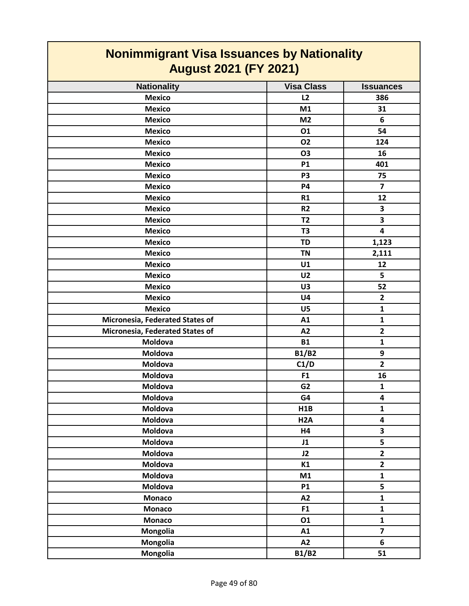| <b>Nonimmigrant Visa Issuances by Nationality</b> |                   |                         |
|---------------------------------------------------|-------------------|-------------------------|
| <b>August 2021 (FY 2021)</b>                      |                   |                         |
| <b>Nationality</b>                                | <b>Visa Class</b> | <b>Issuances</b>        |
| <b>Mexico</b>                                     | L2                | 386                     |
| <b>Mexico</b>                                     | M1                | 31                      |
| <b>Mexico</b>                                     | M <sub>2</sub>    | 6                       |
| <b>Mexico</b>                                     | 01                | 54                      |
| <b>Mexico</b>                                     | <b>O2</b>         | 124                     |
| <b>Mexico</b>                                     | O <sub>3</sub>    | 16                      |
| <b>Mexico</b>                                     | <b>P1</b>         | 401                     |
| <b>Mexico</b>                                     | P <sub>3</sub>    | 75                      |
| <b>Mexico</b>                                     | <b>P4</b>         | $\overline{\mathbf{z}}$ |
| <b>Mexico</b>                                     | R1                | 12                      |
| <b>Mexico</b>                                     | R <sub>2</sub>    | 3                       |
| <b>Mexico</b>                                     | T <sub>2</sub>    | $\overline{\mathbf{3}}$ |
| <b>Mexico</b>                                     | T <sub>3</sub>    | 4                       |
| <b>Mexico</b>                                     | <b>TD</b>         | 1,123                   |
| <b>Mexico</b>                                     | <b>TN</b>         | 2,111                   |
| <b>Mexico</b>                                     | U1                | 12                      |
| <b>Mexico</b>                                     | U <sub>2</sub>    | 5                       |
| <b>Mexico</b>                                     | U3                | 52                      |
| <b>Mexico</b>                                     | U <sub>4</sub>    | $\overline{2}$          |
| <b>Mexico</b>                                     | U <sub>5</sub>    | $\mathbf{1}$            |
| Micronesia, Federated States of                   | A1                | $\mathbf{1}$            |
| Micronesia, Federated States of                   | A2                | $\overline{2}$          |
| Moldova                                           | <b>B1</b>         | $\mathbf{1}$            |
| Moldova                                           | <b>B1/B2</b>      | 9                       |
| Moldova                                           | C1/D              | $\overline{2}$          |
| Moldova                                           | F1                | 16                      |
| Moldova                                           | G <sub>2</sub>    | $\mathbf{1}$            |
| Moldova                                           | G4                | $\overline{\mathbf{4}}$ |
| Moldova                                           | H1B               | $\mathbf{1}$            |
| Moldova                                           | H <sub>2</sub> A  | $\overline{\mathbf{4}}$ |
| Moldova                                           | <b>H4</b>         | $\overline{\mathbf{3}}$ |
| Moldova                                           | J1                | 5                       |
| <b>Moldova</b>                                    | J2                | $\overline{2}$          |
| Moldova                                           | K1                | $\overline{2}$          |
| Moldova                                           | M1                | $\mathbf{1}$            |
| Moldova                                           | <b>P1</b>         | 5                       |
| <b>Monaco</b>                                     | A2                | $\mathbf{1}$            |
| <b>Monaco</b>                                     | F1                | $\mathbf{1}$            |
| <b>Monaco</b>                                     | 01                | $\mathbf{1}$            |
| Mongolia                                          | A1                | $\overline{\mathbf{z}}$ |
| Mongolia                                          | A2                | 6                       |
| Mongolia                                          | <b>B1/B2</b>      | 51                      |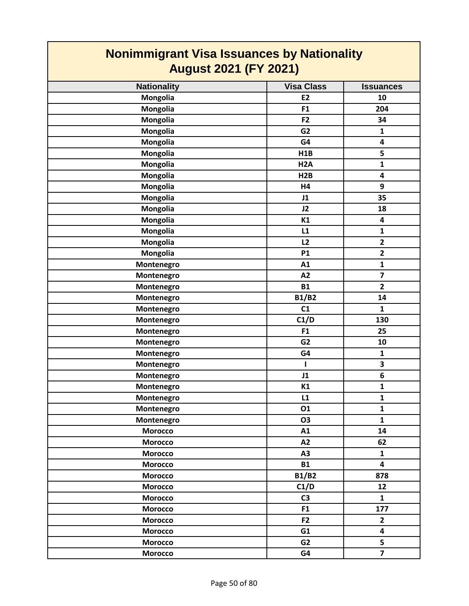| <u>Noniminigrant visa issuances by Nationality</u><br><b>August 2021 (FY 2021)</b> |                   |                         |
|------------------------------------------------------------------------------------|-------------------|-------------------------|
| <b>Nationality</b>                                                                 | <b>Visa Class</b> | <b>Issuances</b>        |
| Mongolia                                                                           | E <sub>2</sub>    | 10                      |
| <b>Mongolia</b>                                                                    | F1                | 204                     |
| <b>Mongolia</b>                                                                    | F <sub>2</sub>    | 34                      |
| Mongolia                                                                           | G <sub>2</sub>    | $\mathbf{1}$            |
| Mongolia                                                                           | G4                | 4                       |
| Mongolia                                                                           | H1B               | 5                       |
| Mongolia                                                                           | H <sub>2</sub> A  | $\mathbf{1}$            |
| <b>Mongolia</b>                                                                    | H2B               | 4                       |
| Mongolia                                                                           | H4                | 9                       |
| <b>Mongolia</b>                                                                    | J1                | 35                      |
| Mongolia                                                                           | J2                | 18                      |
| <b>Mongolia</b>                                                                    | K1                | 4                       |
| <b>Mongolia</b>                                                                    | L1                | $\mathbf{1}$            |
| Mongolia                                                                           | L2                | $\overline{\mathbf{2}}$ |
| Mongolia                                                                           | <b>P1</b>         | $\overline{2}$          |
| Montenegro                                                                         | A1                | $\mathbf{1}$            |
| Montenegro                                                                         | A2                | $\overline{\mathbf{z}}$ |
| Montenegro                                                                         | <b>B1</b>         | $\overline{2}$          |
| Montenegro                                                                         | <b>B1/B2</b>      | 14                      |
| Montenegro                                                                         | C1                | $\mathbf{1}$            |
| Montenegro                                                                         | C1/D              | 130                     |
| Montenegro                                                                         | F <sub>1</sub>    | 25                      |
| Montenegro                                                                         | G <sub>2</sub>    | 10                      |
| Montenegro                                                                         | G4                | $\mathbf{1}$            |
| Montenegro                                                                         | L                 | 3                       |
| Montenegro                                                                         | J1                | 6                       |
| Montenegro                                                                         | K1                | $\mathbf 1$             |
| Montenegro                                                                         | L1                | $\mathbf{1}$            |
| Montenegro                                                                         | 01                | $\mathbf{1}$            |
| Montenegro                                                                         | <b>O3</b>         | $\mathbf{1}$            |
| <b>Morocco</b>                                                                     | A1                | 14                      |
| <b>Morocco</b>                                                                     | A2                | 62                      |
| <b>Morocco</b>                                                                     | A3                | $\mathbf{1}$            |
| <b>Morocco</b>                                                                     | <b>B1</b>         | $\overline{\mathbf{4}}$ |
| <b>Morocco</b>                                                                     | <b>B1/B2</b>      | 878                     |
| <b>Morocco</b>                                                                     | C1/D              | 12                      |
| <b>Morocco</b>                                                                     | C <sub>3</sub>    | $\mathbf{1}$            |
| Morocco                                                                            | F1                | 177                     |
| <b>Morocco</b>                                                                     | F2                | $\mathbf{2}$            |
| <b>Morocco</b>                                                                     | G1                | 4                       |
| <b>Morocco</b>                                                                     | G <sub>2</sub>    | 5                       |
| <b>Morocco</b>                                                                     | G4                | $\overline{7}$          |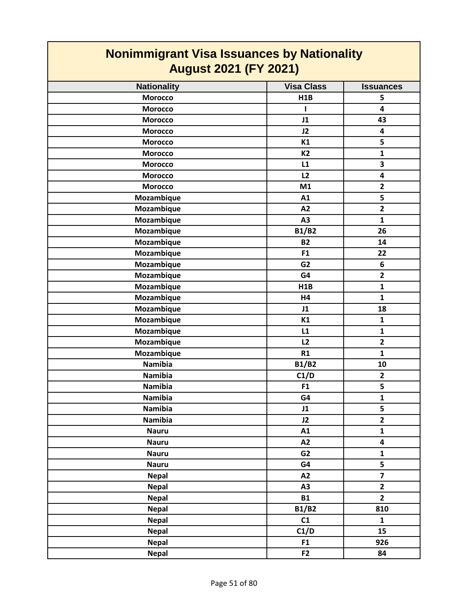| <b>Nonimmigrant Visa Issuances by Nationality</b><br><b>August 2021 (FY 2021)</b> |                   |                         |
|-----------------------------------------------------------------------------------|-------------------|-------------------------|
| <b>Nationality</b>                                                                | <b>Visa Class</b> | <b>Issuances</b>        |
| <b>Morocco</b>                                                                    | H1B               | 5                       |
| <b>Morocco</b>                                                                    |                   | $\overline{\mathbf{4}}$ |
| <b>Morocco</b>                                                                    | J1                | 43                      |
| <b>Morocco</b>                                                                    | J2                | $\overline{\mathbf{4}}$ |
| <b>Morocco</b>                                                                    | K1                | 5                       |
| <b>Morocco</b>                                                                    | <b>K2</b>         | $\mathbf{1}$            |
| <b>Morocco</b>                                                                    | L1                | 3                       |
| <b>Morocco</b>                                                                    | L2                | $\overline{\mathbf{4}}$ |
| <b>Morocco</b>                                                                    | M1                | $\overline{2}$          |
| Mozambique                                                                        | A1                | 5                       |
| Mozambique                                                                        | A2                | $\overline{2}$          |
| Mozambique                                                                        | A3                | $\mathbf{1}$            |
| Mozambique                                                                        | <b>B1/B2</b>      | 26                      |
| Mozambique                                                                        | <b>B2</b>         | 14                      |
| Mozambique                                                                        | F <sub>1</sub>    | 22                      |
| Mozambique                                                                        | G <sub>2</sub>    | 6                       |
| Mozambique                                                                        | G4                | $\overline{2}$          |
| Mozambique                                                                        | H1B               | $\mathbf{1}$            |
| Mozambique                                                                        | <b>H4</b>         | $\mathbf{1}$            |
| Mozambique                                                                        | J1                | 18                      |
| Mozambique                                                                        | K1                | $\mathbf{1}$            |
| Mozambique                                                                        | L1                | $\mathbf{1}$            |
| Mozambique                                                                        | L2                | $\overline{2}$          |
| Mozambique                                                                        | R1                | $\mathbf{1}$            |
| <b>Namibia</b>                                                                    | <b>B1/B2</b>      | 10                      |
| <b>Namibia</b>                                                                    | C1/D              | $\mathbf{2}$            |
| <b>Namibia</b>                                                                    | F1                | 5                       |
| Namibia                                                                           | G4                | $\mathbf 1$             |
| <b>Namibia</b>                                                                    | J1                | 5                       |
| <b>Namibia</b>                                                                    | J2                | $\overline{2}$          |
| <b>Nauru</b>                                                                      | A1                | $\mathbf{1}$            |
| <b>Nauru</b>                                                                      | A2                | 4                       |
| <b>Nauru</b>                                                                      | G <sub>2</sub>    | $\mathbf{1}$            |
| <b>Nauru</b>                                                                      | G4                | 5                       |
| <b>Nepal</b>                                                                      | A2                | $\overline{7}$          |
| <b>Nepal</b>                                                                      | A3                | $\overline{2}$          |
| <b>Nepal</b>                                                                      | <b>B1</b>         | $\overline{2}$          |
| <b>Nepal</b>                                                                      | <b>B1/B2</b>      | 810                     |
| <b>Nepal</b>                                                                      | C1                | $\mathbf{1}$            |
| <b>Nepal</b>                                                                      | C1/D              | 15                      |
| <b>Nepal</b>                                                                      | F <sub>1</sub>    | 926                     |
| <b>Nepal</b>                                                                      | F <sub>2</sub>    | 84                      |

┓

Г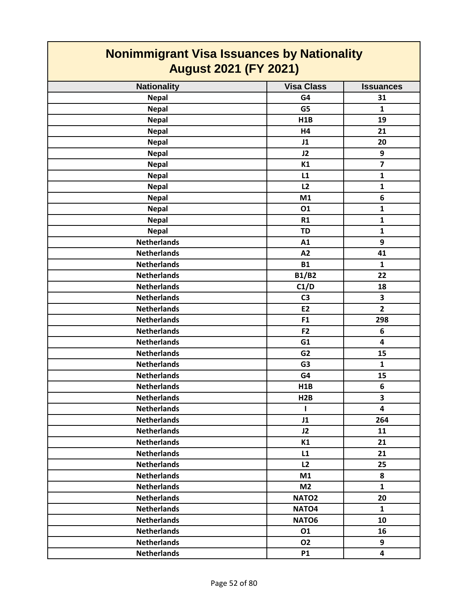| <b>Nonimmigrant Visa Issuances by Nationality</b><br><b>August 2021 (FY 2021)</b> |                   |                         |
|-----------------------------------------------------------------------------------|-------------------|-------------------------|
| <b>Nationality</b>                                                                | <b>Visa Class</b> | <b>Issuances</b>        |
| <b>Nepal</b>                                                                      | G4                | 31                      |
| <b>Nepal</b>                                                                      | G5                | $\mathbf{1}$            |
| <b>Nepal</b>                                                                      | H1B               | 19                      |
| <b>Nepal</b>                                                                      | H4                | 21                      |
| <b>Nepal</b>                                                                      | J1                | 20                      |
| <b>Nepal</b>                                                                      | J2                | 9                       |
| <b>Nepal</b>                                                                      | K1                | $\overline{\mathbf{z}}$ |
| <b>Nepal</b>                                                                      | L1                | $\mathbf{1}$            |
| <b>Nepal</b>                                                                      | L2                | 1                       |
| <b>Nepal</b>                                                                      | M1                | 6                       |
| <b>Nepal</b>                                                                      | 01                | $\mathbf{1}$            |
| <b>Nepal</b>                                                                      | R1                | $\mathbf{1}$            |
| <b>Nepal</b>                                                                      | <b>TD</b>         | $\mathbf{1}$            |
| <b>Netherlands</b>                                                                | A1                | 9                       |
| <b>Netherlands</b>                                                                | A2                | 41                      |
| <b>Netherlands</b>                                                                | <b>B1</b>         | $\mathbf{1}$            |
| <b>Netherlands</b>                                                                | <b>B1/B2</b>      | 22                      |
| <b>Netherlands</b>                                                                | C1/D              | 18                      |
| <b>Netherlands</b>                                                                | C <sub>3</sub>    | 3                       |
| <b>Netherlands</b>                                                                | <b>E2</b>         | $\overline{2}$          |
| <b>Netherlands</b>                                                                | F <sub>1</sub>    | 298                     |
| <b>Netherlands</b>                                                                | F2                | 6                       |
| <b>Netherlands</b>                                                                | G1                | 4                       |
| <b>Netherlands</b>                                                                | G <sub>2</sub>    | 15                      |
| <b>Netherlands</b>                                                                | G <sub>3</sub>    | $\mathbf{1}$            |
| <b>Netherlands</b>                                                                | G4                | 15                      |
| <b>Netherlands</b>                                                                | H <sub>1</sub> B  | 6                       |
| <b>Netherlands</b>                                                                | H2B               | 3                       |
| <b>Netherlands</b>                                                                | I.                | $\overline{\mathbf{4}}$ |
| <b>Netherlands</b>                                                                | J1                | 264                     |
| <b>Netherlands</b>                                                                | J2                | 11                      |
| <b>Netherlands</b>                                                                | K1                | 21                      |
| <b>Netherlands</b>                                                                | L1                | 21                      |
| <b>Netherlands</b>                                                                | L2                | 25                      |
| <b>Netherlands</b>                                                                | M1                | 8                       |
| <b>Netherlands</b>                                                                | M <sub>2</sub>    | $\mathbf{1}$            |
| <b>Netherlands</b>                                                                | NATO <sub>2</sub> | 20                      |
| <b>Netherlands</b>                                                                | NATO <sub>4</sub> | $\mathbf{1}$            |
| <b>Netherlands</b>                                                                | NATO6             | 10                      |
| <b>Netherlands</b>                                                                | 01                | 16                      |
| <b>Netherlands</b>                                                                | 02                | 9                       |
| <b>Netherlands</b>                                                                | <b>P1</b>         | $\overline{\mathbf{4}}$ |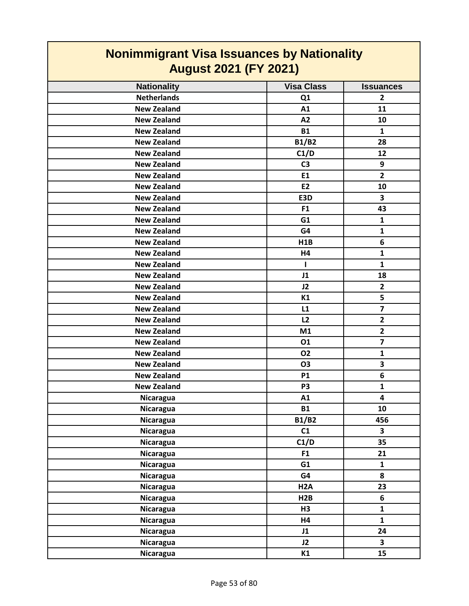| <b>Nonimmigrant Visa Issuances by Nationality</b> |                   |                         |
|---------------------------------------------------|-------------------|-------------------------|
| <b>August 2021 (FY 2021)</b>                      |                   |                         |
| <b>Nationality</b>                                | <b>Visa Class</b> | <b>Issuances</b>        |
| <b>Netherlands</b>                                | Q1                | $\overline{2}$          |
| <b>New Zealand</b>                                | A1                | 11                      |
| <b>New Zealand</b>                                | A2                | 10                      |
| <b>New Zealand</b>                                | <b>B1</b>         | $\mathbf{1}$            |
| <b>New Zealand</b>                                | <b>B1/B2</b>      | 28                      |
| <b>New Zealand</b>                                | C1/D              | 12                      |
| <b>New Zealand</b>                                | C <sub>3</sub>    | 9                       |
| <b>New Zealand</b>                                | E1                | $\overline{\mathbf{2}}$ |
| <b>New Zealand</b>                                | <b>E2</b>         | 10                      |
| <b>New Zealand</b>                                | E3D               | 3                       |
| <b>New Zealand</b>                                | F <sub>1</sub>    | 43                      |
| <b>New Zealand</b>                                | G <sub>1</sub>    | $\mathbf{1}$            |
| <b>New Zealand</b>                                | G4                | $\mathbf{1}$            |
| <b>New Zealand</b>                                | <b>H1B</b>        | 6                       |
| <b>New Zealand</b>                                | H4                | 1                       |
| <b>New Zealand</b>                                |                   | 1                       |
| <b>New Zealand</b>                                | J1                | 18                      |
| <b>New Zealand</b>                                | J2                | $\overline{2}$          |
| <b>New Zealand</b>                                | K1                | 5                       |
| <b>New Zealand</b>                                | L1                | $\overline{\mathbf{z}}$ |
| <b>New Zealand</b>                                | L2                | $\overline{2}$          |
| <b>New Zealand</b>                                | M1                | $\mathbf{2}$            |
| <b>New Zealand</b>                                | 01                | $\overline{\mathbf{z}}$ |
| <b>New Zealand</b>                                | <b>O2</b>         | 1                       |
| <b>New Zealand</b>                                | O3                | 3                       |
| <b>New Zealand</b>                                | <b>P1</b>         | 6                       |
| <b>New Zealand</b>                                | P <sub>3</sub>    | $\mathbf{1}$            |
| Nicaragua                                         | A1                | 4                       |
| <b>Nicaragua</b>                                  | <b>B1</b>         | 10                      |
| Nicaragua                                         | <b>B1/B2</b>      | 456                     |
| Nicaragua                                         | C1                | $\overline{\mathbf{3}}$ |
| <b>Nicaragua</b>                                  | C1/D              | 35                      |
| <b>Nicaragua</b>                                  | F1                | 21                      |
| Nicaragua                                         | G1                | $\mathbf{1}$            |
| <b>Nicaragua</b>                                  | G4                | 8                       |
| Nicaragua                                         | H <sub>2</sub> A  | 23                      |
| <b>Nicaragua</b>                                  | H2B               | 6                       |
| <b>Nicaragua</b>                                  | H3                | $\mathbf{1}$            |
| Nicaragua                                         | <b>H4</b>         | $\mathbf{1}$            |
| Nicaragua                                         | J1                | 24                      |
| Nicaragua                                         | J2                | $\overline{\mathbf{3}}$ |
| <b>Nicaragua</b>                                  | K1                | 15                      |

 $\overline{\phantom{a}}$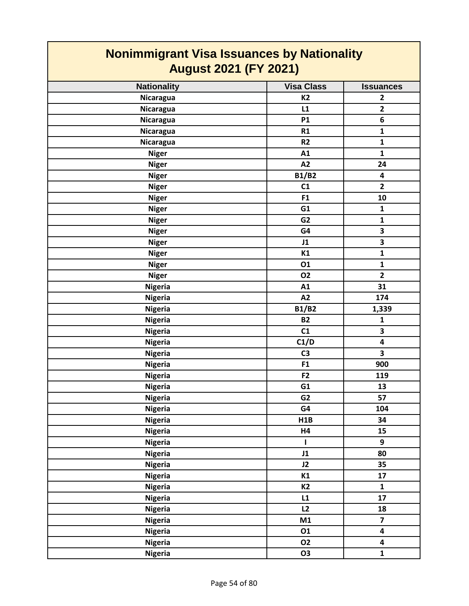| <b>Nonimmigrant Visa Issuances by Nationality</b><br><b>August 2021 (FY 2021)</b> |                   |                         |
|-----------------------------------------------------------------------------------|-------------------|-------------------------|
| <b>Nationality</b>                                                                | <b>Visa Class</b> | <b>Issuances</b>        |
| <b>Nicaragua</b>                                                                  | <b>K2</b>         | $\mathbf{2}$            |
| Nicaragua                                                                         | L1                | $\mathbf{2}$            |
| Nicaragua                                                                         | <b>P1</b>         | 6                       |
| Nicaragua                                                                         | R1                | $\mathbf 1$             |
| <b>Nicaragua</b>                                                                  | R <sub>2</sub>    | $\mathbf{1}$            |
| <b>Niger</b>                                                                      | A1                | $\mathbf{1}$            |
| <b>Niger</b>                                                                      | A2                | 24                      |
| <b>Niger</b>                                                                      | <b>B1/B2</b>      | $\overline{\mathbf{4}}$ |
| <b>Niger</b>                                                                      | C1                | $\overline{2}$          |
| <b>Niger</b>                                                                      | F1                | 10                      |
| <b>Niger</b>                                                                      | G1                | $\mathbf{1}$            |
| <b>Niger</b>                                                                      | G <sub>2</sub>    | $\mathbf{1}$            |
| <b>Niger</b>                                                                      | G4                | 3                       |
| <b>Niger</b>                                                                      | J1                | 3                       |
| <b>Niger</b>                                                                      | K1                | $\mathbf 1$             |
| <b>Niger</b>                                                                      | 01                | $\mathbf{1}$            |
| <b>Niger</b>                                                                      | <b>O2</b>         | $\mathbf{2}$            |
| <b>Nigeria</b>                                                                    | A1                | 31                      |
| <b>Nigeria</b>                                                                    | A2                | 174                     |
| <b>Nigeria</b>                                                                    | <b>B1/B2</b>      | 1,339                   |
| <b>Nigeria</b>                                                                    | <b>B2</b>         | $\mathbf{1}$            |
| <b>Nigeria</b>                                                                    | C1                | 3                       |
| <b>Nigeria</b>                                                                    | C1/D              | 4                       |
| <b>Nigeria</b>                                                                    | C <sub>3</sub>    | 3                       |
| <b>Nigeria</b>                                                                    | F <sub>1</sub>    | 900                     |
| <b>Nigeria</b>                                                                    | F <sub>2</sub>    | 119                     |
| <b>Nigeria</b>                                                                    | G1                | 13                      |
| <b>Nigeria</b>                                                                    | G <sub>2</sub>    | 57                      |
| <b>Nigeria</b>                                                                    | G4                | 104                     |
| <b>Nigeria</b>                                                                    | H1B               | 34                      |
| <b>Nigeria</b>                                                                    | H4                | 15                      |
| <b>Nigeria</b>                                                                    | L                 | 9                       |
| <b>Nigeria</b>                                                                    | J1                | 80                      |
| <b>Nigeria</b>                                                                    | J2                | 35                      |
| <b>Nigeria</b>                                                                    | K1                | 17                      |
| <b>Nigeria</b>                                                                    | <b>K2</b>         | $\mathbf{1}$            |
| <b>Nigeria</b>                                                                    | L1                | 17                      |
| <b>Nigeria</b>                                                                    | L2                | 18                      |
| <b>Nigeria</b>                                                                    | M1                | $\overline{7}$          |
| <b>Nigeria</b>                                                                    | 01                | 4                       |
| <b>Nigeria</b>                                                                    | <b>O2</b>         | 4                       |
| <b>Nigeria</b>                                                                    | O <sub>3</sub>    | $\mathbf{1}$            |

 $\overline{\phantom{a}}$ 

 $\overline{\phantom{a}}$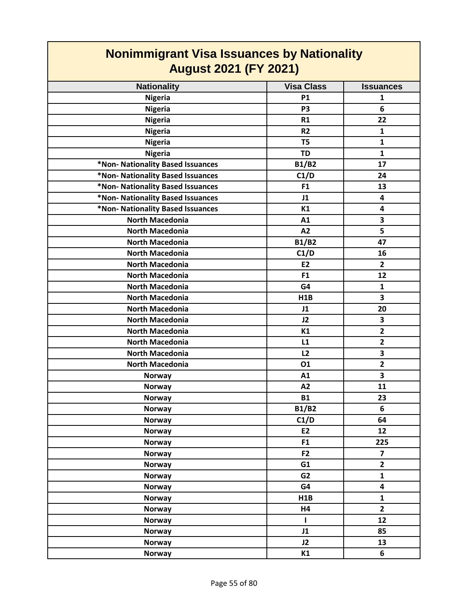| <b>Nonimmigrant Visa Issuances by Nationality</b><br><b>August 2021 (FY 2021)</b> |                   |                         |
|-----------------------------------------------------------------------------------|-------------------|-------------------------|
| <b>Nationality</b>                                                                | <b>Visa Class</b> | <b>Issuances</b>        |
| <b>Nigeria</b>                                                                    | <b>P1</b>         | $\mathbf{1}$            |
| <b>Nigeria</b>                                                                    | P <sub>3</sub>    | 6                       |
| <b>Nigeria</b>                                                                    | R1                | 22                      |
| <b>Nigeria</b>                                                                    | R <sub>2</sub>    | $\mathbf{1}$            |
| <b>Nigeria</b>                                                                    | T <sub>5</sub>    | $\mathbf{1}$            |
| <b>Nigeria</b>                                                                    | <b>TD</b>         | $\mathbf{1}$            |
| *Non- Nationality Based Issuances                                                 | <b>B1/B2</b>      | 17                      |
| *Non- Nationality Based Issuances                                                 | C1/D              | 24                      |
| *Non- Nationality Based Issuances                                                 | F <sub>1</sub>    | 13                      |
| *Non- Nationality Based Issuances                                                 | J1                | 4                       |
| *Non- Nationality Based Issuances                                                 | K1                | 4                       |
| <b>North Macedonia</b>                                                            | A1                | 3                       |
| <b>North Macedonia</b>                                                            | A2                | 5                       |
| <b>North Macedonia</b>                                                            | <b>B1/B2</b>      | 47                      |
| <b>North Macedonia</b>                                                            | C1/D              | 16                      |
| <b>North Macedonia</b>                                                            | <b>E2</b>         | $\mathbf{2}$            |
| <b>North Macedonia</b>                                                            | F <sub>1</sub>    | 12                      |
| <b>North Macedonia</b>                                                            | G4                | $\mathbf{1}$            |
| <b>North Macedonia</b>                                                            | H <sub>1</sub> B  | 3                       |
| <b>North Macedonia</b>                                                            | J1                | 20                      |
| <b>North Macedonia</b>                                                            | J2                | 3                       |
| <b>North Macedonia</b>                                                            | К1                | $\mathbf{2}$            |
| <b>North Macedonia</b>                                                            | L1                | $\overline{2}$          |
| <b>North Macedonia</b>                                                            | L2                | 3                       |
| <b>North Macedonia</b>                                                            | 01                | $\overline{2}$          |
| <b>Norway</b>                                                                     | A1                | 3                       |
| Norway                                                                            | A <sub>2</sub>    | 11                      |
| <b>Norway</b>                                                                     | <b>B1</b>         | 23                      |
| <b>Norway</b>                                                                     | <b>B1/B2</b>      | 6                       |
| <b>Norway</b>                                                                     | C1/D              | 64                      |
| <b>Norway</b>                                                                     | E2                | 12                      |
| <b>Norway</b>                                                                     | F <sub>1</sub>    | 225                     |
| <b>Norway</b>                                                                     | F <sub>2</sub>    | $\overline{\mathbf{z}}$ |
| <b>Norway</b>                                                                     | G1                | $\mathbf{2}$            |
| <b>Norway</b>                                                                     | G <sub>2</sub>    | $\mathbf{1}$            |
| <b>Norway</b>                                                                     | G4                | 4                       |
| <b>Norway</b>                                                                     | H1B               | $\mathbf{1}$            |
| <b>Norway</b>                                                                     | H4                | $\overline{2}$          |
| <b>Norway</b>                                                                     | T                 | 12                      |
| <b>Norway</b>                                                                     | J1                | 85                      |
| <b>Norway</b>                                                                     | J2                | 13                      |
| <b>Norway</b>                                                                     | K1                | 6                       |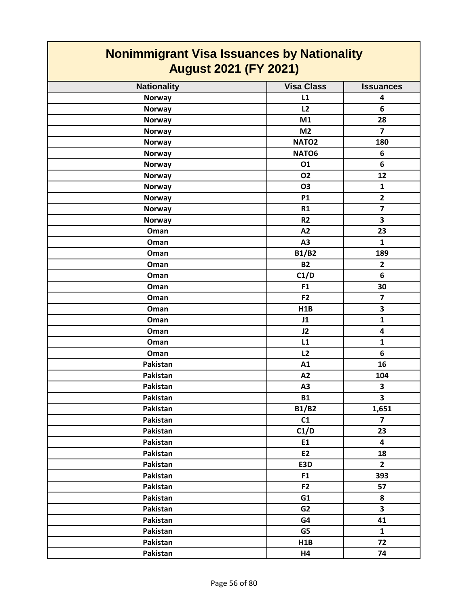| <b>Nonimmigrant Visa Issuances by Nationality</b><br><b>August 2021 (FY 2021)</b> |                   |                         |
|-----------------------------------------------------------------------------------|-------------------|-------------------------|
| <b>Nationality</b>                                                                | <b>Visa Class</b> | <b>Issuances</b>        |
| <b>Norway</b>                                                                     | L1                | 4                       |
| <b>Norway</b>                                                                     | L2                | 6                       |
| <b>Norway</b>                                                                     | M1                | 28                      |
| <b>Norway</b>                                                                     | M <sub>2</sub>    | $\overline{7}$          |
| <b>Norway</b>                                                                     | NATO <sub>2</sub> | 180                     |
| <b>Norway</b>                                                                     | NATO6             | 6                       |
| <b>Norway</b>                                                                     | 01                | 6                       |
| <b>Norway</b>                                                                     | <b>O2</b>         | 12                      |
| <b>Norway</b>                                                                     | <b>O3</b>         | $\mathbf{1}$            |
| <b>Norway</b>                                                                     | <b>P1</b>         | $\overline{2}$          |
| <b>Norway</b>                                                                     | R1                | $\overline{\mathbf{z}}$ |
| <b>Norway</b>                                                                     | R <sub>2</sub>    | 3                       |
| Oman                                                                              | A2                | 23                      |
| Oman                                                                              | A3                | $\mathbf{1}$            |
| Oman                                                                              | <b>B1/B2</b>      | 189                     |
| Oman                                                                              | <b>B2</b>         | $\overline{\mathbf{2}}$ |
| Oman                                                                              | C1/D              | 6                       |
| Oman                                                                              | F <sub>1</sub>    | 30                      |
| Oman                                                                              | F <sub>2</sub>    | $\overline{\mathbf{z}}$ |
| Oman                                                                              | H1B               | 3                       |
| Oman                                                                              | J1                | $\mathbf{1}$            |
| Oman                                                                              | J2                | 4                       |
| Oman                                                                              | L1                | $\mathbf{1}$            |
| Oman                                                                              | L2                | 6                       |
| Pakistan                                                                          | A1                | 16                      |
| Pakistan                                                                          | A2                | 104                     |
| Pakistan                                                                          | A <sub>3</sub>    | 3                       |
| Pakistan                                                                          | <b>B1</b>         | $\overline{\mathbf{3}}$ |
| Pakistan                                                                          | <b>B1/B2</b>      | 1,651                   |
| Pakistan                                                                          | C1                | $\overline{7}$          |
| Pakistan                                                                          | C1/D              | 23                      |
| Pakistan                                                                          | E1                | 4                       |
| Pakistan                                                                          | E2                | 18                      |
| Pakistan                                                                          | E3D               | $\overline{2}$          |
| Pakistan                                                                          | F <sub>1</sub>    | 393                     |
| Pakistan                                                                          | F <sub>2</sub>    | 57                      |
| Pakistan                                                                          | G1                | 8                       |
| Pakistan                                                                          | G <sub>2</sub>    | $\overline{\mathbf{3}}$ |
| Pakistan                                                                          | G4                | 41                      |
| Pakistan                                                                          | G5                | $\mathbf{1}$            |
| Pakistan                                                                          | H1B               | 72                      |
| Pakistan                                                                          | H4                | 74                      |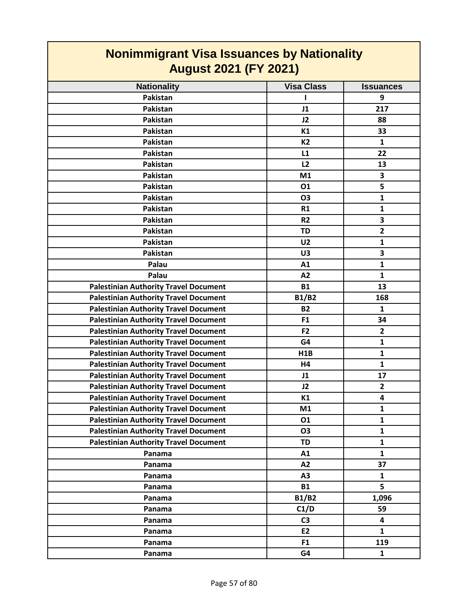| <b>Nonimmigrant Visa Issuances by Nationality</b><br><b>August 2021 (FY 2021)</b> |                   |                  |
|-----------------------------------------------------------------------------------|-------------------|------------------|
| <b>Nationality</b>                                                                | <b>Visa Class</b> | <b>Issuances</b> |
| Pakistan                                                                          |                   | 9                |
| Pakistan                                                                          | J1                | 217              |
| Pakistan                                                                          | J2                | 88               |
| Pakistan                                                                          | K1                | 33               |
| Pakistan                                                                          | <b>K2</b>         | 1                |
| Pakistan                                                                          | L1                | 22               |
| Pakistan                                                                          | L2                | 13               |
| Pakistan                                                                          | M1                | 3                |
| Pakistan                                                                          | 01                | 5                |
| Pakistan                                                                          | <b>O3</b>         | $\mathbf{1}$     |
| Pakistan                                                                          | R1                | $\mathbf{1}$     |
| Pakistan                                                                          | R <sub>2</sub>    | 3                |
| Pakistan                                                                          | <b>TD</b>         | $\overline{2}$   |
| Pakistan                                                                          | U <sub>2</sub>    | $\mathbf{1}$     |
| Pakistan                                                                          | U3                | 3                |
| Palau                                                                             | A1                | $\mathbf{1}$     |
| Palau                                                                             | A2                | $\mathbf{1}$     |
| <b>Palestinian Authority Travel Document</b>                                      | <b>B1</b>         | 13               |
| <b>Palestinian Authority Travel Document</b>                                      | <b>B1/B2</b>      | 168              |
| <b>Palestinian Authority Travel Document</b>                                      | <b>B2</b>         | $\mathbf{1}$     |
| <b>Palestinian Authority Travel Document</b>                                      | F <sub>1</sub>    | 34               |
| <b>Palestinian Authority Travel Document</b>                                      | F <sub>2</sub>    | $\overline{2}$   |
| <b>Palestinian Authority Travel Document</b>                                      | G4                | $\mathbf{1}$     |
| <b>Palestinian Authority Travel Document</b>                                      | H1B               | $\mathbf{1}$     |
| <b>Palestinian Authority Travel Document</b>                                      | H4                | $\mathbf{1}$     |
| <b>Palestinian Authority Travel Document</b>                                      | J1                | 17               |
| <b>Palestinian Authority Travel Document</b>                                      | J2                | $\overline{2}$   |
| <b>Palestinian Authority Travel Document</b>                                      | K1                | 4                |
| <b>Palestinian Authority Travel Document</b>                                      | M1                | 1                |
| <b>Palestinian Authority Travel Document</b>                                      | 01                | $\mathbf{1}$     |
| <b>Palestinian Authority Travel Document</b>                                      | <b>O3</b>         | $\mathbf{1}$     |
| <b>Palestinian Authority Travel Document</b>                                      | <b>TD</b>         | $\mathbf{1}$     |
| Panama                                                                            | A1                | $\mathbf{1}$     |
| Panama                                                                            | A2                | 37               |
| Panama                                                                            | A <sub>3</sub>    | 1                |
| Panama                                                                            | <b>B1</b>         | 5                |
| Panama                                                                            | <b>B1/B2</b>      | 1,096            |
| Panama                                                                            | C1/D              | 59               |
| Panama                                                                            | C <sub>3</sub>    | 4                |
| Panama                                                                            | E2                | $\mathbf{1}$     |
| Panama                                                                            | F <sub>1</sub>    | 119              |
| Panama                                                                            | G4                | $\mathbf{1}$     |

 $\Box$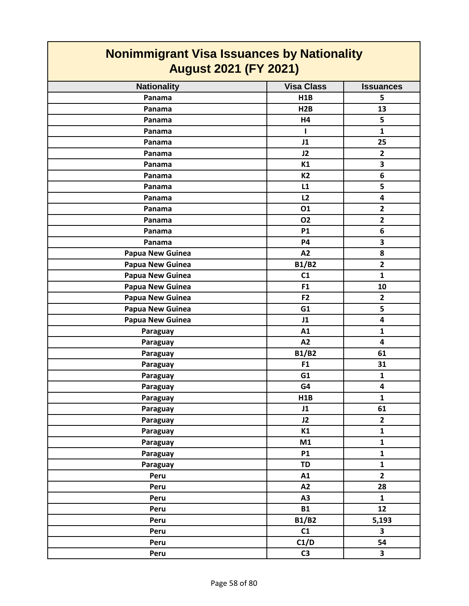| <b>Nonimmigrant Visa Issuances by Nationality</b><br><b>August 2021 (FY 2021)</b> |                   |                         |
|-----------------------------------------------------------------------------------|-------------------|-------------------------|
| <b>Nationality</b>                                                                | <b>Visa Class</b> | <b>Issuances</b>        |
| Panama                                                                            | H1B               | 5                       |
| Panama                                                                            | H2B               | 13                      |
| Panama                                                                            | H4                | 5                       |
| Panama                                                                            | L                 | $\mathbf{1}$            |
| Panama                                                                            | J1                | 25                      |
| Panama                                                                            | J2                | $\overline{2}$          |
| Panama                                                                            | K1                | 3                       |
| Panama                                                                            | <b>K2</b>         | 6                       |
| Panama                                                                            | L1                | 5                       |
| Panama                                                                            | L2                | 4                       |
| Panama                                                                            | 01                | $\overline{2}$          |
| Panama                                                                            | <b>O2</b>         | $\overline{2}$          |
| Panama                                                                            | <b>P1</b>         | 6                       |
| Panama                                                                            | P4                | 3                       |
| Papua New Guinea                                                                  | A2                | 8                       |
| Papua New Guinea                                                                  | <b>B1/B2</b>      | $\overline{2}$          |
| Papua New Guinea                                                                  | C1                | $\mathbf{1}$            |
| Papua New Guinea                                                                  | F <sub>1</sub>    | 10                      |
| Papua New Guinea                                                                  | F <sub>2</sub>    | $\overline{2}$          |
| Papua New Guinea                                                                  | G1                | 5                       |
| Papua New Guinea                                                                  | J1                | 4                       |
| Paraguay                                                                          | A1                | 1                       |
| Paraguay                                                                          | A2                | 4                       |
| Paraguay                                                                          | <b>B1/B2</b>      | 61                      |
| Paraguay                                                                          | F <sub>1</sub>    | 31                      |
| Paraguay                                                                          | G <sub>1</sub>    | $\mathbf{1}$            |
| Paraguay                                                                          | G4                | $\overline{\mathbf{4}}$ |
| Paraguay                                                                          | H1B               | $\mathbf{1}$            |
| Paraguay                                                                          | J1                | 61                      |
| Paraguay                                                                          | J2                | $\overline{2}$          |
| Paraguay                                                                          | K1                | $\mathbf{1}$            |
| Paraguay                                                                          | M1                | $\mathbf{1}$            |
| Paraguay                                                                          | <b>P1</b>         | $\mathbf{1}$            |
| Paraguay                                                                          | TD                | $\mathbf{1}$            |
| Peru                                                                              | A1                | $\overline{2}$          |
| Peru                                                                              | A2                | 28                      |
| Peru                                                                              | A3                | $\mathbf{1}$            |
| Peru                                                                              | <b>B1</b>         | 12                      |
| Peru                                                                              | <b>B1/B2</b>      | 5,193                   |
| Peru                                                                              | C1                | 3                       |
| Peru                                                                              | C1/D              | 54                      |
| Peru                                                                              | C <sub>3</sub>    | $\overline{\mathbf{3}}$ |

 $\Box$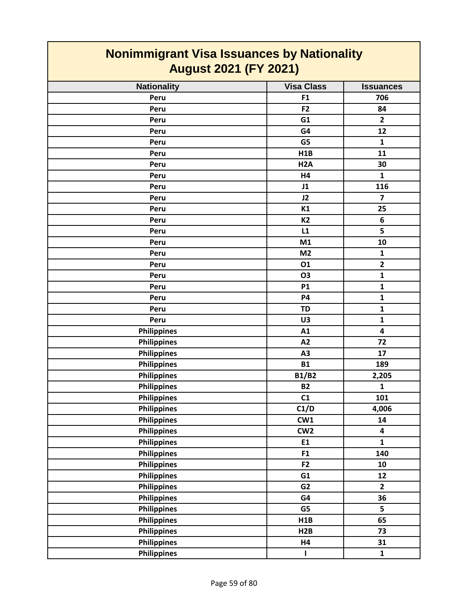| Nonimmigrant visa issuances by Nationality<br><b>August 2021 (FY 2021)</b> |                   |                         |
|----------------------------------------------------------------------------|-------------------|-------------------------|
| <b>Nationality</b>                                                         | <b>Visa Class</b> | <b>Issuances</b>        |
| Peru                                                                       | F1                | 706                     |
| Peru                                                                       | F <sub>2</sub>    | 84                      |
| Peru                                                                       | G1                | $\overline{2}$          |
| Peru                                                                       | G4                | 12                      |
| Peru                                                                       | G5                | $\mathbf{1}$            |
| Peru                                                                       | H1B               | 11                      |
| Peru                                                                       | H <sub>2</sub> A  | 30                      |
| Peru                                                                       | H4                | $\mathbf{1}$            |
| Peru                                                                       | J1                | 116                     |
| Peru                                                                       | J2                | $\overline{\mathbf{z}}$ |
| Peru                                                                       | K1                | 25                      |
| Peru                                                                       | K <sub>2</sub>    | 6                       |
| Peru                                                                       | L1                | 5                       |
| Peru                                                                       | M1                | 10                      |
| Peru                                                                       | M <sub>2</sub>    | $\mathbf{1}$            |
| Peru                                                                       | 01                | $\mathbf{2}$            |
| Peru                                                                       | O3                | $\mathbf{1}$            |
| Peru                                                                       | <b>P1</b>         | $\mathbf{1}$            |
| Peru                                                                       | <b>P4</b>         | $\mathbf{1}$            |
| Peru                                                                       | <b>TD</b>         | $\mathbf{1}$            |
| Peru                                                                       | U3                | $\mathbf{1}$            |
| <b>Philippines</b>                                                         | A1                | 4                       |
| <b>Philippines</b>                                                         | A2                | 72                      |
| <b>Philippines</b>                                                         | A3                | 17                      |
| <b>Philippines</b>                                                         | <b>B1</b>         | 189                     |
| <b>Philippines</b>                                                         | <b>B1/B2</b>      | 2,205                   |
| <b>Philippines</b>                                                         | <b>B2</b>         | $\mathbf{1}$            |
| <b>Philippines</b>                                                         | C <sub>1</sub>    | 101                     |
| <b>Philippines</b>                                                         | C1/D              | 4,006                   |
| <b>Philippines</b>                                                         | CW1               | 14                      |
| <b>Philippines</b>                                                         | CW <sub>2</sub>   | 4                       |
| <b>Philippines</b>                                                         | E1                | $\mathbf{1}$            |
| <b>Philippines</b>                                                         | F <sub>1</sub>    | 140                     |
| <b>Philippines</b>                                                         | F2                | 10                      |
| <b>Philippines</b>                                                         | G1                | 12                      |
| <b>Philippines</b>                                                         | G <sub>2</sub>    | $\overline{2}$          |
| <b>Philippines</b>                                                         | G4                | 36                      |
| <b>Philippines</b>                                                         | G5                | 5                       |
| <b>Philippines</b>                                                         | H1B               | 65                      |
| <b>Philippines</b>                                                         | H2B               | 73                      |
| <b>Philippines</b>                                                         | <b>H4</b>         | 31                      |
| <b>Philippines</b>                                                         | T                 | $\mathbf{1}$            |

 $\mathsf{I}$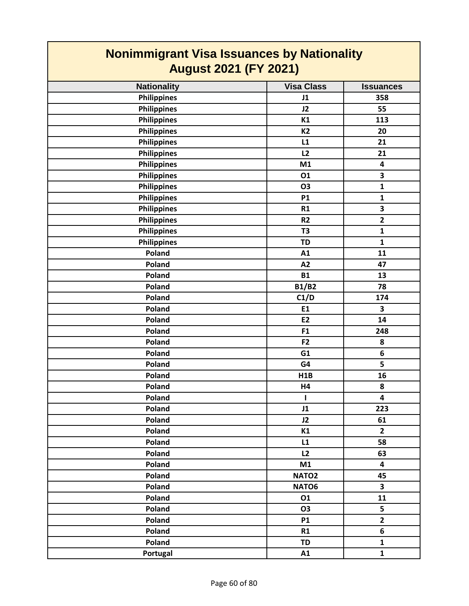| <b>Nonimmigrant Visa Issuances by Nationality</b> |                   |                         |
|---------------------------------------------------|-------------------|-------------------------|
| <b>August 2021 (FY 2021)</b>                      |                   |                         |
| <b>Nationality</b>                                | <b>Visa Class</b> | <b>Issuances</b>        |
| <b>Philippines</b>                                | J1                | 358                     |
| <b>Philippines</b>                                | J2                | 55                      |
| <b>Philippines</b>                                | K1                | 113                     |
| <b>Philippines</b>                                | K <sub>2</sub>    | 20                      |
| <b>Philippines</b>                                | L1                | 21                      |
| <b>Philippines</b>                                | L2                | 21                      |
| <b>Philippines</b>                                | M1                | 4                       |
| <b>Philippines</b>                                | 01                | 3                       |
| <b>Philippines</b>                                | <b>O3</b>         | $\mathbf{1}$            |
| <b>Philippines</b>                                | <b>P1</b>         | $\mathbf{1}$            |
| <b>Philippines</b>                                | R1                | 3                       |
| <b>Philippines</b>                                | R <sub>2</sub>    | $\overline{2}$          |
| <b>Philippines</b>                                | T <sub>3</sub>    | $\mathbf{1}$            |
| <b>Philippines</b>                                | <b>TD</b>         | $\mathbf{1}$            |
| Poland                                            | A1                | 11                      |
| Poland                                            | A2                | 47                      |
| Poland                                            | <b>B1</b>         | 13                      |
| Poland                                            | <b>B1/B2</b>      | 78                      |
| Poland                                            | C1/D              | 174                     |
| Poland                                            | E1                | 3                       |
| Poland                                            | E <sub>2</sub>    | 14                      |
| Poland                                            | F <sub>1</sub>    | 248                     |
| Poland                                            | F <sub>2</sub>    | 8                       |
| Poland                                            | G1                | 6                       |
| Poland                                            | G4                | 5                       |
| Poland                                            | H1B               | 16                      |
| Poland                                            | H4                | 8                       |
| Poland                                            | ı                 | 4                       |
| Poland                                            | J1                | 223                     |
| Poland                                            | J2                | 61                      |
| Poland                                            | K1                | $\overline{2}$          |
| Poland                                            | L1                | 58                      |
| Poland                                            | L2                | 63                      |
| Poland                                            | M1                | $\overline{\mathbf{4}}$ |
| Poland                                            | NATO <sub>2</sub> | 45                      |
| Poland                                            | NATO6             | 3                       |
| Poland                                            | 01                | 11                      |
| Poland                                            | <b>O3</b>         | 5                       |
| Poland                                            | <b>P1</b>         | $\mathbf{2}$            |
| Poland                                            | R1                | 6                       |
| Poland                                            | <b>TD</b>         | $\mathbf{1}$            |
| Portugal                                          | A1                | $\mathbf{1}$            |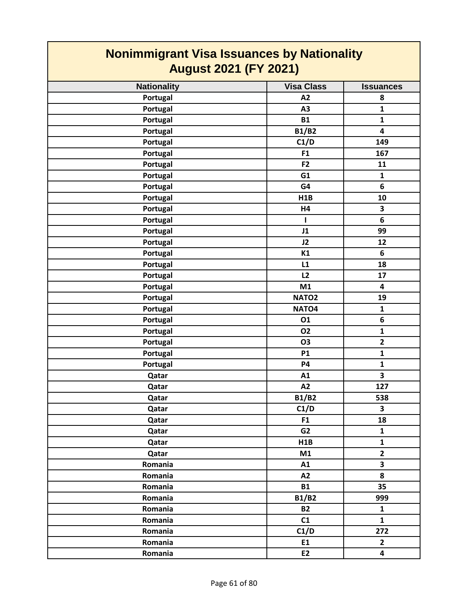| <b>Nonimmigrant Visa Issuances by Nationality</b><br><b>August 2021 (FY 2021)</b> |                   |                         |
|-----------------------------------------------------------------------------------|-------------------|-------------------------|
| <b>Nationality</b>                                                                | <b>Visa Class</b> | <b>Issuances</b>        |
| Portugal                                                                          | A2                | 8                       |
| Portugal                                                                          | A3                | $\mathbf{1}$            |
| Portugal                                                                          | <b>B1</b>         | $\mathbf{1}$            |
| Portugal                                                                          | <b>B1/B2</b>      | $\overline{\mathbf{4}}$ |
| Portugal                                                                          | C1/D              | 149                     |
| Portugal                                                                          | F <sub>1</sub>    | 167                     |
| Portugal                                                                          | F <sub>2</sub>    | 11                      |
| Portugal                                                                          | G1                | $\mathbf{1}$            |
| Portugal                                                                          | G4                | 6                       |
| Portugal                                                                          | H1B               | 10                      |
| Portugal                                                                          | H4                | 3                       |
| Portugal                                                                          | L                 | 6                       |
| Portugal                                                                          | J1                | 99                      |
| Portugal                                                                          | J2                | 12                      |
| Portugal                                                                          | K1                | 6                       |
| Portugal                                                                          | L1                | 18                      |
| Portugal                                                                          | L2                | 17                      |
| Portugal                                                                          | M1                | 4                       |
| Portugal                                                                          | NATO <sub>2</sub> | 19                      |
| Portugal                                                                          | NATO <sub>4</sub> | $\mathbf{1}$            |
| Portugal                                                                          | 01                | 6                       |
| Portugal                                                                          | <b>O2</b>         | $\mathbf{1}$            |
| Portugal                                                                          | <b>O3</b>         | $\overline{\mathbf{2}}$ |
| Portugal                                                                          | <b>P1</b>         | $\mathbf{1}$            |
| Portugal                                                                          | <b>P4</b>         | $\mathbf{1}$            |
| Qatar                                                                             | A1                | 3                       |
| Qatar                                                                             | A2                | 127                     |
| Qatar                                                                             | <b>B1/B2</b>      | 538                     |
| Qatar                                                                             | C1/D              | $\overline{\mathbf{3}}$ |
| Qatar                                                                             | F <sub>1</sub>    | 18                      |
| Qatar                                                                             | G2                | $\mathbf{1}$            |
| Qatar                                                                             | H1B               | $\mathbf{1}$            |
| Qatar                                                                             | M1                | $\mathbf{2}$            |
| Romania                                                                           | A1                | $\overline{\mathbf{3}}$ |
| Romania                                                                           | A2                | 8                       |
| Romania                                                                           | <b>B1</b>         | 35                      |
| Romania                                                                           | <b>B1/B2</b>      | 999                     |
| Romania                                                                           | <b>B2</b>         | $\mathbf{1}$            |
| Romania                                                                           | C1                | $\mathbf{1}$            |
| Romania                                                                           | C1/D              | 272                     |
| Romania                                                                           | E1                | $\mathbf{2}$            |
| Romania                                                                           | E2                | 4                       |

┑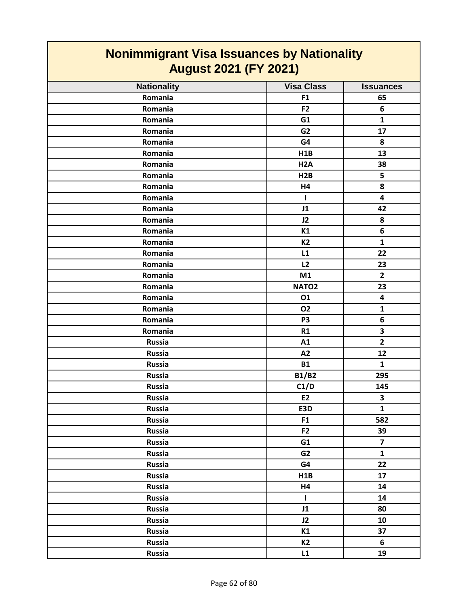| <b>Nonimmigrant Visa Issuances by Nationality</b> |                   |                         |
|---------------------------------------------------|-------------------|-------------------------|
| <b>August 2021 (FY 2021)</b>                      |                   |                         |
| <b>Nationality</b>                                | <b>Visa Class</b> | <b>Issuances</b>        |
| Romania                                           | F <sub>1</sub>    | 65                      |
| Romania                                           | F <sub>2</sub>    | 6                       |
| Romania                                           | G1                | $\mathbf{1}$            |
| Romania                                           | G <sub>2</sub>    | 17                      |
| Romania                                           | G4                | 8                       |
| Romania                                           | H1B               | 13                      |
| Romania                                           | H <sub>2</sub> A  | 38                      |
| Romania                                           | H2B               | 5                       |
| Romania                                           | H4                | 8                       |
| Romania                                           | ш                 | 4                       |
| Romania                                           | J1                | 42                      |
| Romania                                           | J2                | 8                       |
| Romania                                           | K1                | 6                       |
| Romania                                           | <b>K2</b>         | $\mathbf{1}$            |
| Romania                                           | L1                | 22                      |
| Romania                                           | L2                | 23                      |
| Romania                                           | M1                | $\overline{2}$          |
| Romania                                           | NATO <sub>2</sub> | 23                      |
| Romania                                           | 01                | 4                       |
| Romania                                           | <b>O2</b>         | 1                       |
| Romania                                           | P <sub>3</sub>    | 6                       |
| Romania                                           | R1                | 3                       |
| <b>Russia</b>                                     | A1                | $\overline{\mathbf{2}}$ |
| <b>Russia</b>                                     | A2                | 12                      |
| <b>Russia</b>                                     | <b>B1</b>         | 1                       |
| <b>Russia</b>                                     | <b>B1/B2</b>      | 295                     |
| <b>Russia</b>                                     | C1/D              | 145                     |
| Russia                                            | E2                | 3                       |
| <b>Russia</b>                                     | E3D               | $\mathbf{1}$            |
| Russia                                            | F <sub>1</sub>    | 582                     |
| <b>Russia</b>                                     | F <sub>2</sub>    | 39                      |
| <b>Russia</b>                                     | G1                | $\overline{7}$          |
| <b>Russia</b>                                     | G2                | $\mathbf{1}$            |
| <b>Russia</b>                                     | G4                | 22                      |
| <b>Russia</b>                                     | H1B               | 17                      |
| <b>Russia</b>                                     | H4                | 14                      |
| Russia                                            | $\mathbf{I}$      | 14                      |
| <b>Russia</b>                                     | J1                | 80                      |
| Russia                                            | J2                | 10                      |
| Russia                                            | K1                | 37                      |
| Russia                                            | <b>K2</b>         | 6                       |
| Russia                                            | L1                | 19                      |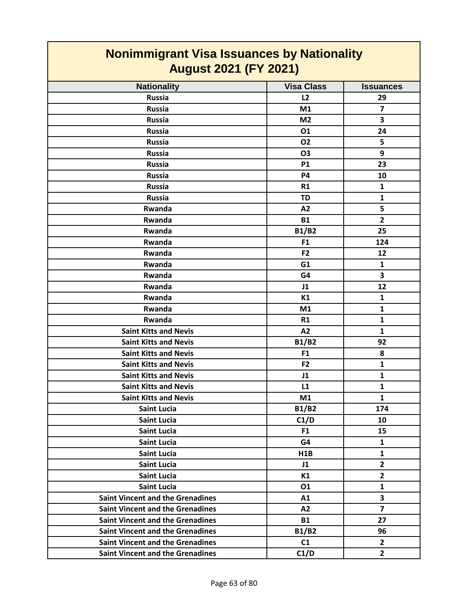| <b>Nonimmigrant Visa Issuances by Nationality</b>                                                                                                                                                                                                                                                                                                                  |  |  |
|--------------------------------------------------------------------------------------------------------------------------------------------------------------------------------------------------------------------------------------------------------------------------------------------------------------------------------------------------------------------|--|--|
| <b>August 2021 (FY 2021)</b>                                                                                                                                                                                                                                                                                                                                       |  |  |
| <b>Issuances</b>                                                                                                                                                                                                                                                                                                                                                   |  |  |
| 29                                                                                                                                                                                                                                                                                                                                                                 |  |  |
|                                                                                                                                                                                                                                                                                                                                                                    |  |  |
|                                                                                                                                                                                                                                                                                                                                                                    |  |  |
| 24                                                                                                                                                                                                                                                                                                                                                                 |  |  |
|                                                                                                                                                                                                                                                                                                                                                                    |  |  |
|                                                                                                                                                                                                                                                                                                                                                                    |  |  |
| 23                                                                                                                                                                                                                                                                                                                                                                 |  |  |
| 10                                                                                                                                                                                                                                                                                                                                                                 |  |  |
|                                                                                                                                                                                                                                                                                                                                                                    |  |  |
|                                                                                                                                                                                                                                                                                                                                                                    |  |  |
|                                                                                                                                                                                                                                                                                                                                                                    |  |  |
|                                                                                                                                                                                                                                                                                                                                                                    |  |  |
| 25                                                                                                                                                                                                                                                                                                                                                                 |  |  |
| 124                                                                                                                                                                                                                                                                                                                                                                |  |  |
| 12                                                                                                                                                                                                                                                                                                                                                                 |  |  |
|                                                                                                                                                                                                                                                                                                                                                                    |  |  |
|                                                                                                                                                                                                                                                                                                                                                                    |  |  |
| 12                                                                                                                                                                                                                                                                                                                                                                 |  |  |
|                                                                                                                                                                                                                                                                                                                                                                    |  |  |
|                                                                                                                                                                                                                                                                                                                                                                    |  |  |
|                                                                                                                                                                                                                                                                                                                                                                    |  |  |
|                                                                                                                                                                                                                                                                                                                                                                    |  |  |
| 92                                                                                                                                                                                                                                                                                                                                                                 |  |  |
|                                                                                                                                                                                                                                                                                                                                                                    |  |  |
|                                                                                                                                                                                                                                                                                                                                                                    |  |  |
|                                                                                                                                                                                                                                                                                                                                                                    |  |  |
|                                                                                                                                                                                                                                                                                                                                                                    |  |  |
|                                                                                                                                                                                                                                                                                                                                                                    |  |  |
| 174                                                                                                                                                                                                                                                                                                                                                                |  |  |
| 10                                                                                                                                                                                                                                                                                                                                                                 |  |  |
| 15                                                                                                                                                                                                                                                                                                                                                                 |  |  |
|                                                                                                                                                                                                                                                                                                                                                                    |  |  |
|                                                                                                                                                                                                                                                                                                                                                                    |  |  |
| $\overline{2}$                                                                                                                                                                                                                                                                                                                                                     |  |  |
|                                                                                                                                                                                                                                                                                                                                                                    |  |  |
|                                                                                                                                                                                                                                                                                                                                                                    |  |  |
|                                                                                                                                                                                                                                                                                                                                                                    |  |  |
|                                                                                                                                                                                                                                                                                                                                                                    |  |  |
| 27                                                                                                                                                                                                                                                                                                                                                                 |  |  |
| 96                                                                                                                                                                                                                                                                                                                                                                 |  |  |
|                                                                                                                                                                                                                                                                                                                                                                    |  |  |
|                                                                                                                                                                                                                                                                                                                                                                    |  |  |
| $\overline{7}$<br>3<br>5<br>9<br>1<br>$\mathbf{1}$<br>5<br>$\overline{2}$<br>1<br>3<br>$\mathbf{1}$<br>$\mathbf{1}$<br>$\mathbf{1}$<br>$\mathbf{1}$<br>8<br>$\mathbf{1}$<br>$\mathbf{1}$<br>$\mathbf{1}$<br>$\mathbf{1}$<br>$\mathbf{1}$<br>$\overline{2}$<br>$\mathbf{1}$<br>$\overline{\mathbf{3}}$<br>$\overline{\mathbf{z}}$<br>$\overline{2}$<br>$\mathbf{2}$ |  |  |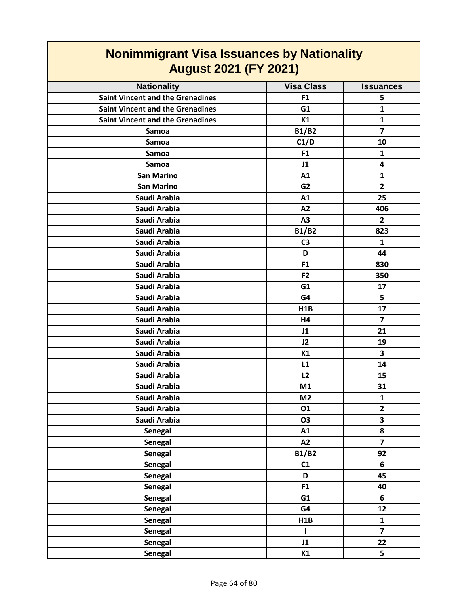| <b>August 2021 (FY 2021)</b>            |                   |                  |
|-----------------------------------------|-------------------|------------------|
| <b>Nationality</b>                      | <b>Visa Class</b> | <b>Issuances</b> |
| <b>Saint Vincent and the Grenadines</b> | F <sub>1</sub>    | 5                |
| <b>Saint Vincent and the Grenadines</b> | G1                | $\mathbf{1}$     |
| <b>Saint Vincent and the Grenadines</b> | K1                | $\mathbf{1}$     |
| Samoa                                   | <b>B1/B2</b>      | $\overline{7}$   |
| Samoa                                   | C1/D              | 10               |
| Samoa                                   | F <sub>1</sub>    | $\mathbf{1}$     |
| Samoa                                   | J1                | 4                |
| <b>San Marino</b>                       | A1                | $\mathbf{1}$     |
| <b>San Marino</b>                       | G <sub>2</sub>    | $\overline{2}$   |
| Saudi Arabia                            | A1                | 25               |
| Saudi Arabia                            | A2                | 406              |
| Saudi Arabia                            | A3                | $\overline{2}$   |
| Saudi Arabia                            | <b>B1/B2</b>      | 823              |
| Saudi Arabia                            | C <sub>3</sub>    | $\mathbf{1}$     |
| Saudi Arabia                            | D                 | 44               |
| Saudi Arabia                            | F <sub>1</sub>    | 830              |
| Saudi Arabia                            | F <sub>2</sub>    | 350              |
| Saudi Arabia                            | G1                | 17               |
| Saudi Arabia                            | G4                | 5                |
| Saudi Arabia                            | H1B               | 17               |
| Saudi Arabia                            | H4                | $\overline{7}$   |
| Saudi Arabia                            | J1                | 21               |
| Saudi Arabia                            | J2                | 19               |
| Saudi Arabia                            | K1                | 3                |
| Saudi Arabia                            | L1                | 14               |
| Saudi Arabia                            | L2                | 15               |
| Saudi Arabia                            | M1                | 31               |
| Saudi Arabia                            | M <sub>2</sub>    | $\mathbf{1}$     |
| Saudi Arabia                            | 01                | $\mathbf{2}$     |
| Saudi Arabia                            | O <sub>3</sub>    | 3                |
| Senegal                                 | A1                | 8                |
| <b>Senegal</b>                          | A2                | $\overline{7}$   |
| <b>Senegal</b>                          | <b>B1/B2</b>      | 92               |
| <b>Senegal</b>                          | C1                | 6                |
| <b>Senegal</b>                          | D                 | 45               |
| <b>Senegal</b>                          | F1                | 40               |
| <b>Senegal</b>                          | G1                | 6                |
| <b>Senegal</b>                          | G4                | 12               |
| <b>Senegal</b>                          | H1B               | $\mathbf 1$      |
| <b>Senegal</b>                          | L                 | $\overline{7}$   |
| Senegal                                 | J1                | 22               |
| Senegal                                 | K1                | 5                |

#### **Nonimmigrant Visa Issuances by Nationality August 2021 (FY 2021)**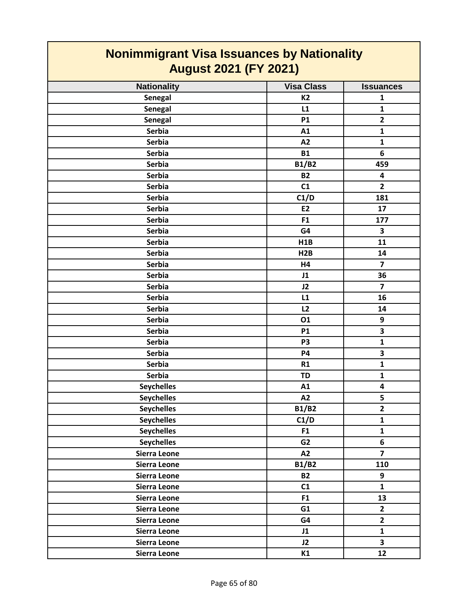| <b>Nonimmigrant Visa Issuances by Nationality</b><br><b>August 2021 (FY 2021)</b> |                   |                         |
|-----------------------------------------------------------------------------------|-------------------|-------------------------|
| <b>Nationality</b>                                                                | <b>Visa Class</b> | <b>Issuances</b>        |
| Senegal                                                                           | <b>K2</b>         | 1                       |
| Senegal                                                                           | L1                | 1                       |
| Senegal                                                                           | <b>P1</b>         | $\overline{2}$          |
| <b>Serbia</b>                                                                     | A1                | $\mathbf{1}$            |
| <b>Serbia</b>                                                                     | A2                | 1                       |
| <b>Serbia</b>                                                                     | <b>B1</b>         | 6                       |
| <b>Serbia</b>                                                                     | <b>B1/B2</b>      | 459                     |
| <b>Serbia</b>                                                                     | <b>B2</b>         | $\overline{\mathbf{4}}$ |
| <b>Serbia</b>                                                                     | C1                | $\overline{2}$          |
| <b>Serbia</b>                                                                     | C1/D              | 181                     |
| <b>Serbia</b>                                                                     | E <sub>2</sub>    | 17                      |
| <b>Serbia</b>                                                                     | F <sub>1</sub>    | 177                     |
| <b>Serbia</b>                                                                     | G4                | 3                       |
| <b>Serbia</b>                                                                     | H1B               | 11                      |
| <b>Serbia</b>                                                                     | H2B               | 14                      |
| <b>Serbia</b>                                                                     | H <sub>4</sub>    | $\overline{7}$          |
| <b>Serbia</b>                                                                     | J1                | 36                      |
| <b>Serbia</b>                                                                     | J2                | $\overline{7}$          |
| <b>Serbia</b>                                                                     | L1                | 16                      |
| <b>Serbia</b>                                                                     | L2                | 14                      |
| <b>Serbia</b>                                                                     | 01                | 9                       |
| <b>Serbia</b>                                                                     | <b>P1</b>         | 3                       |
| <b>Serbia</b>                                                                     | P <sub>3</sub>    | $\mathbf{1}$            |
| <b>Serbia</b>                                                                     | <b>P4</b>         | 3                       |
| <b>Serbia</b>                                                                     | R1                | 1                       |
| <b>Serbia</b>                                                                     | <b>TD</b>         | $\mathbf{1}$            |
| <b>Seychelles</b>                                                                 | A1                | $\overline{\mathbf{4}}$ |
| <b>Seychelles</b>                                                                 | A2                | 5                       |
| <b>Seychelles</b>                                                                 | <b>B1/B2</b>      | $\overline{2}$          |
| <b>Seychelles</b>                                                                 | C1/D              | $\mathbf{1}$            |
| <b>Seychelles</b>                                                                 | F <sub>1</sub>    | $\mathbf{1}$            |
| <b>Seychelles</b>                                                                 | G2                | 6                       |
| Sierra Leone                                                                      | A2                | $\overline{7}$          |
| Sierra Leone                                                                      | <b>B1/B2</b>      | 110                     |
| Sierra Leone                                                                      | <b>B2</b>         | 9                       |
| Sierra Leone                                                                      | C1                | $\mathbf{1}$            |
| Sierra Leone                                                                      | F1                | 13                      |
| Sierra Leone                                                                      | G1                | $\mathbf{2}$            |
| Sierra Leone                                                                      | G4                | $\mathbf{2}$            |
| Sierra Leone                                                                      | J1                | $\mathbf{1}$            |
| Sierra Leone                                                                      | J2                | $\overline{\mathbf{3}}$ |
| Sierra Leone                                                                      | K1                | 12                      |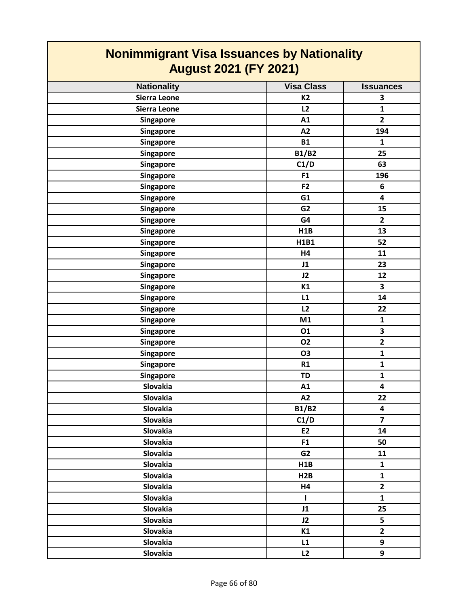| <b>Nonimmigrant Visa Issuances by Nationality</b><br><b>August 2021 (FY 2021)</b> |                   |                         |
|-----------------------------------------------------------------------------------|-------------------|-------------------------|
| <b>Nationality</b>                                                                | <b>Visa Class</b> | <b>Issuances</b>        |
| Sierra Leone                                                                      | <b>K2</b>         | 3                       |
| Sierra Leone                                                                      | L2                | $\mathbf{1}$            |
| Singapore                                                                         | A1                | $\overline{2}$          |
| Singapore                                                                         | A2                | 194                     |
| <b>Singapore</b>                                                                  | <b>B1</b>         | $\mathbf{1}$            |
| Singapore                                                                         | <b>B1/B2</b>      | 25                      |
| <b>Singapore</b>                                                                  | C1/D              | 63                      |
| Singapore                                                                         | F1                | 196                     |
| <b>Singapore</b>                                                                  | F <sub>2</sub>    | 6                       |
| Singapore                                                                         | G1                | 4                       |
| Singapore                                                                         | G <sub>2</sub>    | 15                      |
| <b>Singapore</b>                                                                  | G4                | $\mathbf{2}$            |
| <b>Singapore</b>                                                                  | H1B               | 13                      |
| Singapore                                                                         | H1B1              | 52                      |
| Singapore                                                                         | H4                | 11                      |
| Singapore                                                                         | J1                | 23                      |
| Singapore                                                                         | J2                | 12                      |
| Singapore                                                                         | K1                | 3                       |
| <b>Singapore</b>                                                                  | L1                | 14                      |
| <b>Singapore</b>                                                                  | L2                | 22                      |
| <b>Singapore</b>                                                                  | M1                | $\mathbf{1}$            |
| <b>Singapore</b>                                                                  | 01                | 3                       |
| Singapore                                                                         | <b>O2</b>         | $\overline{\mathbf{2}}$ |
| Singapore                                                                         | <b>O3</b>         | $\mathbf{1}$            |
| Singapore                                                                         | R1                | $\mathbf{1}$            |
| <b>Singapore</b>                                                                  | <b>TD</b>         | 1                       |
| Slovakia                                                                          | A1                | 4                       |
| Slovakia                                                                          | A2                | 22                      |
| Slovakia                                                                          | <b>B1/B2</b>      | 4                       |
| <b>Slovakia</b>                                                                   | C1/D              | $\overline{7}$          |
| Slovakia                                                                          | E2                | 14                      |
| <b>Slovakia</b>                                                                   | F <sub>1</sub>    | 50                      |
| <b>Slovakia</b>                                                                   | G <sub>2</sub>    | 11                      |
| <b>Slovakia</b>                                                                   | H1B               | $\mathbf{1}$            |
| Slovakia                                                                          | H2B               | $\mathbf{1}$            |
| Slovakia                                                                          | H4                | $\overline{2}$          |
| <b>Slovakia</b>                                                                   | T                 | $\mathbf{1}$            |
| Slovakia                                                                          | J1                | 25                      |
| <b>Slovakia</b>                                                                   | J2                | 5                       |
| <b>Slovakia</b>                                                                   | K1                | $\overline{\mathbf{2}}$ |
| Slovakia                                                                          | L1                | 9                       |
| <b>Slovakia</b>                                                                   | L2                | 9                       |

**The Co**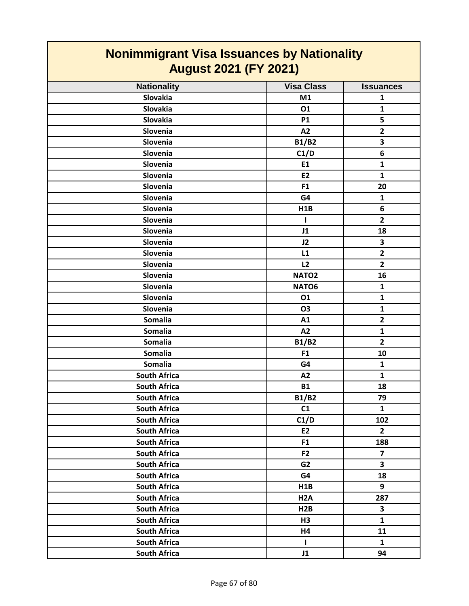| <b>Nonimmigrant Visa Issuances by Nationality</b><br><b>August 2021 (FY 2021)</b> |                   |                         |
|-----------------------------------------------------------------------------------|-------------------|-------------------------|
| <b>Nationality</b>                                                                | <b>Visa Class</b> | <b>Issuances</b>        |
| <b>Slovakia</b>                                                                   | M1                | 1                       |
| Slovakia                                                                          | 01                | $\mathbf{1}$            |
| Slovakia                                                                          | <b>P1</b>         | 5                       |
| Slovenia                                                                          | A2                | $\overline{\mathbf{2}}$ |
| Slovenia                                                                          | <b>B1/B2</b>      | 3                       |
| Slovenia                                                                          | C1/D              | 6                       |
| Slovenia                                                                          | E1                | $\mathbf{1}$            |
| Slovenia                                                                          | E <sub>2</sub>    | $\mathbf{1}$            |
| Slovenia                                                                          | F <sub>1</sub>    | 20                      |
| Slovenia                                                                          | G4                | $\mathbf{1}$            |
| Slovenia                                                                          | H1B               | 6                       |
| Slovenia                                                                          | 1                 | $\overline{2}$          |
| Slovenia                                                                          | J1                | 18                      |
| Slovenia                                                                          | J2                | 3                       |
| Slovenia                                                                          | L1                | $\overline{2}$          |
| Slovenia                                                                          | L2                | $\overline{2}$          |
| Slovenia                                                                          | NATO <sub>2</sub> | 16                      |
| Slovenia                                                                          | NATO6             | $\mathbf{1}$            |
| Slovenia                                                                          | 01                | $\mathbf{1}$            |
| Slovenia                                                                          | <b>O3</b>         | $\mathbf{1}$            |
| Somalia                                                                           | A1                | $\overline{2}$          |
| <b>Somalia</b>                                                                    | A2                | $\mathbf{1}$            |
| Somalia                                                                           | <b>B1/B2</b>      | $\overline{2}$          |
| <b>Somalia</b>                                                                    | F <sub>1</sub>    | 10                      |
| Somalia                                                                           | G4                | $\mathbf{1}$            |
| <b>South Africa</b>                                                               | A2                | $\mathbf{1}$            |
| <b>South Africa</b>                                                               | <b>B1</b>         | 18                      |
| <b>South Africa</b>                                                               | <b>B1/B2</b>      | 79                      |
| <b>South Africa</b>                                                               | C1                | $\mathbf{1}$            |
| <b>South Africa</b>                                                               | C1/D              | 102                     |
| <b>South Africa</b>                                                               | E2                | $\overline{2}$          |
| <b>South Africa</b>                                                               | F <sub>1</sub>    | 188                     |
| <b>South Africa</b>                                                               | F2                | $\overline{7}$          |
| <b>South Africa</b>                                                               | G <sub>2</sub>    | $\overline{\mathbf{3}}$ |
| <b>South Africa</b>                                                               | G4                | 18                      |
| <b>South Africa</b>                                                               | H1B               | 9                       |
| <b>South Africa</b>                                                               | H <sub>2</sub> A  | 287                     |
| <b>South Africa</b>                                                               | H2B               | 3                       |
| <b>South Africa</b>                                                               | H3                | $\mathbf{1}$            |
| <b>South Africa</b>                                                               | H4                | 11                      |
| <b>South Africa</b>                                                               | L.                | $\mathbf{1}$            |
| <b>South Africa</b>                                                               | J1                | 94                      |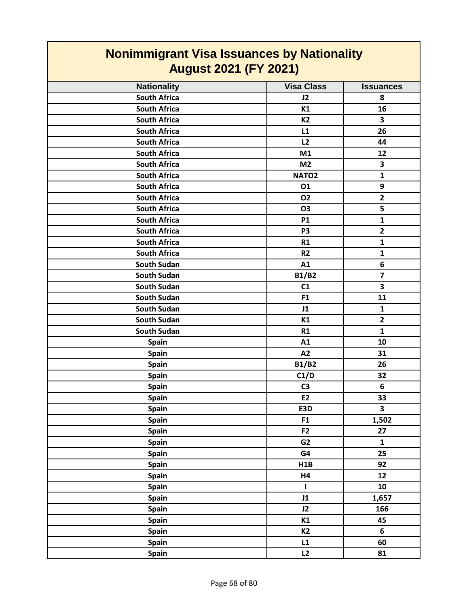| <b>Nonimmigrant Visa Issuances by Nationality</b><br><b>August 2021 (FY 2021)</b> |                   |                         |
|-----------------------------------------------------------------------------------|-------------------|-------------------------|
| <b>Nationality</b>                                                                | <b>Visa Class</b> | <b>Issuances</b>        |
| <b>South Africa</b>                                                               | J2                | 8                       |
| <b>South Africa</b>                                                               | K1                | 16                      |
| <b>South Africa</b>                                                               | <b>K2</b>         | 3                       |
| <b>South Africa</b>                                                               | L1                | 26                      |
| <b>South Africa</b>                                                               | L2                | 44                      |
| <b>South Africa</b>                                                               | M1                | 12                      |
| <b>South Africa</b>                                                               | M <sub>2</sub>    | 3                       |
| <b>South Africa</b>                                                               | NATO <sub>2</sub> | $\mathbf{1}$            |
| <b>South Africa</b>                                                               | 01                | 9                       |
| <b>South Africa</b>                                                               | 02                | $\overline{2}$          |
| <b>South Africa</b>                                                               | <b>O3</b>         | 5                       |
| <b>South Africa</b>                                                               | <b>P1</b>         | $\mathbf{1}$            |
| <b>South Africa</b>                                                               | P <sub>3</sub>    | $\overline{\mathbf{2}}$ |
| <b>South Africa</b>                                                               | R1                | $\mathbf{1}$            |
| <b>South Africa</b>                                                               | R <sub>2</sub>    | $\mathbf{1}$            |
| <b>South Sudan</b>                                                                | A1                | 6                       |
| <b>South Sudan</b>                                                                | <b>B1/B2</b>      | $\overline{7}$          |
| <b>South Sudan</b>                                                                | C1                | 3                       |
| <b>South Sudan</b>                                                                | F <sub>1</sub>    | 11                      |
| <b>South Sudan</b>                                                                | J1                | $\mathbf{1}$            |
| <b>South Sudan</b>                                                                | K1                | $\mathbf{2}$            |
| South Sudan                                                                       | R1                | $\mathbf{1}$            |
| Spain                                                                             | A1                | 10                      |
| Spain                                                                             | A2                | 31                      |
| <b>Spain</b>                                                                      | <b>B1/B2</b>      | 26                      |
| Spain                                                                             | C1/D              | 32                      |
| <b>Spain</b>                                                                      | C <sub>3</sub>    | 6                       |
| Spain                                                                             | E <sub>2</sub>    | 33                      |
| Spain                                                                             | E3D               | $\overline{\mathbf{3}}$ |
| Spain                                                                             | F1                | 1,502                   |
| Spain                                                                             | F <sub>2</sub>    | 27                      |
| Spain                                                                             | G <sub>2</sub>    | $\mathbf{1}$            |
| Spain                                                                             | G4                | 25                      |
| Spain                                                                             | H1B               | 92                      |
| Spain                                                                             | H4                | 12                      |
| Spain                                                                             | L                 | 10                      |
| Spain                                                                             | J1                | 1,657                   |
| Spain                                                                             | J2                | 166                     |
| Spain                                                                             | K1                | 45                      |
| Spain                                                                             | K <sub>2</sub>    | 6                       |
| Spain                                                                             | L1                | 60                      |
| Spain                                                                             | L2                | 81                      |

┑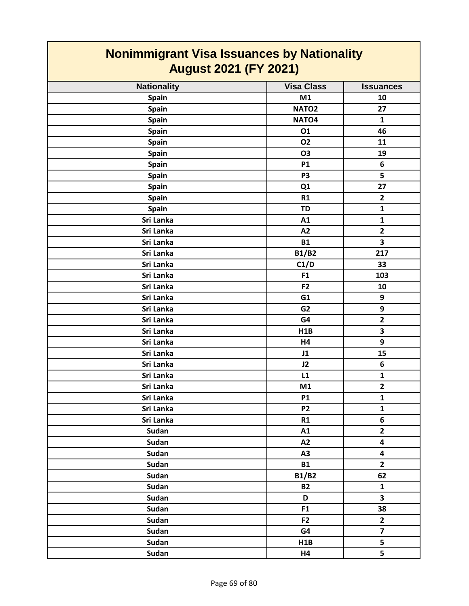| <b>Nonimmigrant Visa Issuances by Nationality</b><br><b>August 2021 (FY 2021)</b> |                   |                         |
|-----------------------------------------------------------------------------------|-------------------|-------------------------|
| <b>Nationality</b>                                                                | <b>Visa Class</b> | <b>Issuances</b>        |
| Spain                                                                             | M1                | 10                      |
| <b>Spain</b>                                                                      | NATO <sub>2</sub> | 27                      |
| <b>Spain</b>                                                                      | NATO4             | $\mathbf{1}$            |
| <b>Spain</b>                                                                      | 01                | 46                      |
| <b>Spain</b>                                                                      | <b>O2</b>         | 11                      |
| <b>Spain</b>                                                                      | <b>O3</b>         | 19                      |
| <b>Spain</b>                                                                      | <b>P1</b>         | 6                       |
| <b>Spain</b>                                                                      | P <sub>3</sub>    | 5                       |
| Spain                                                                             | Q1                | 27                      |
| <b>Spain</b>                                                                      | R1                | $\overline{2}$          |
| <b>Spain</b>                                                                      | <b>TD</b>         | 1                       |
| Sri Lanka                                                                         | A1                | $\mathbf{1}$            |
| Sri Lanka                                                                         | A2                | $\overline{2}$          |
| <b>Sri Lanka</b>                                                                  | <b>B1</b>         | 3                       |
| Sri Lanka                                                                         | <b>B1/B2</b>      | 217                     |
| Sri Lanka                                                                         | C1/D              | 33                      |
| Sri Lanka                                                                         | F <sub>1</sub>    | 103                     |
| Sri Lanka                                                                         | F <sub>2</sub>    | 10                      |
| Sri Lanka                                                                         | G1                | 9                       |
| Sri Lanka                                                                         | G <sub>2</sub>    | 9                       |
| Sri Lanka                                                                         | G4                | $\overline{2}$          |
| Sri Lanka                                                                         | H1B               | 3                       |
| Sri Lanka                                                                         | H4                | 9                       |
| Sri Lanka                                                                         | J1                | 15                      |
| Sri Lanka                                                                         | J2                | 6                       |
| Sri Lanka                                                                         | L1                | $\mathbf{1}$            |
| Sri Lanka                                                                         | M1                | $\mathbf{2}$            |
| Sri Lanka                                                                         | <b>P1</b>         | $\mathbf{1}$            |
| Sri Lanka                                                                         | P <sub>2</sub>    | $\mathbf{1}$            |
| Sri Lanka                                                                         | R1                | 6                       |
| <b>Sudan</b>                                                                      | A1                | $\overline{2}$          |
| <b>Sudan</b>                                                                      | A2                | $\overline{\mathbf{4}}$ |
| Sudan                                                                             | A3                | $\overline{\mathbf{4}}$ |
| <b>Sudan</b>                                                                      | <b>B1</b>         | $\overline{2}$          |
| Sudan                                                                             | <b>B1/B2</b>      | 62                      |
| Sudan                                                                             | <b>B2</b>         | $\mathbf{1}$            |
| <b>Sudan</b>                                                                      | D                 | 3                       |
| Sudan                                                                             | F <sub>1</sub>    | 38                      |
| Sudan                                                                             | F2                | $\mathbf{2}$            |
| <b>Sudan</b>                                                                      | G4                | $\overline{7}$          |
| <b>Sudan</b>                                                                      | H1B               | 5                       |
| <b>Sudan</b>                                                                      | H4                | 5                       |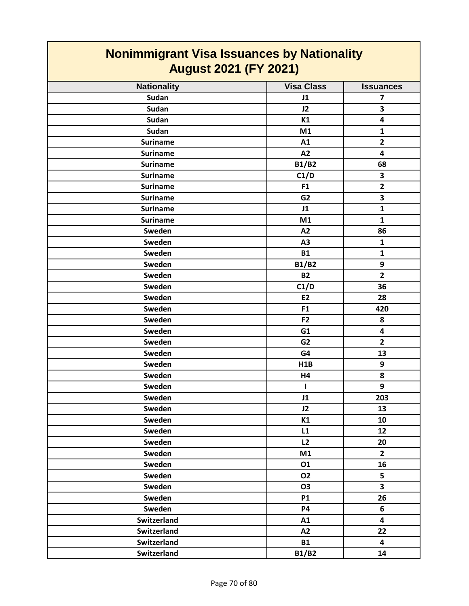| <u>NUMMUNIS AND VISA ISSUANCES BY NATIONALLY</u><br><b>August 2021 (FY 2021)</b> |                   |                         |
|----------------------------------------------------------------------------------|-------------------|-------------------------|
| <b>Nationality</b>                                                               | <b>Visa Class</b> | <b>Issuances</b>        |
| Sudan                                                                            | J1                | 7                       |
| Sudan                                                                            | J2                | 3                       |
| <b>Sudan</b>                                                                     | K1                | 4                       |
| <b>Sudan</b>                                                                     | M1                | $\mathbf{1}$            |
| <b>Suriname</b>                                                                  | A1                | $\overline{\mathbf{2}}$ |
| <b>Suriname</b>                                                                  | A2                | 4                       |
| <b>Suriname</b>                                                                  | <b>B1/B2</b>      | 68                      |
| <b>Suriname</b>                                                                  | C1/D              | 3                       |
| <b>Suriname</b>                                                                  | F1                | $\overline{\mathbf{2}}$ |
| <b>Suriname</b>                                                                  | G <sub>2</sub>    | 3                       |
| <b>Suriname</b>                                                                  | J1                | $\mathbf{1}$            |
| <b>Suriname</b>                                                                  | M1                | $\mathbf{1}$            |
| Sweden                                                                           | A2                | 86                      |
| Sweden                                                                           | A3                | $\mathbf{1}$            |
| Sweden                                                                           | <b>B1</b>         | 1                       |
| Sweden                                                                           | <b>B1/B2</b>      | 9                       |
| Sweden                                                                           | <b>B2</b>         | $\overline{\mathbf{2}}$ |
| Sweden                                                                           | C1/D              | 36                      |
| Sweden                                                                           | E2                | 28                      |
| Sweden                                                                           | F <sub>1</sub>    | 420                     |
| Sweden                                                                           | F <sub>2</sub>    | 8                       |
| Sweden                                                                           | G1                | $\overline{\mathbf{4}}$ |
| Sweden                                                                           | G <sub>2</sub>    | $\overline{2}$          |
| Sweden                                                                           | G4                | 13                      |
| Sweden                                                                           | H1B               | 9                       |
| Sweden                                                                           | H4                | 8                       |
| Sweden                                                                           |                   | 9                       |
| Sweden                                                                           | J1                | 203                     |
| Sweden                                                                           | J2                | 13                      |
| Sweden                                                                           | K1                | 10                      |
| Sweden                                                                           | L1                | 12                      |
| Sweden                                                                           | L2                | 20                      |
| Sweden                                                                           | M1                | $\overline{2}$          |
| Sweden                                                                           | 01                | 16                      |
| Sweden                                                                           | 02                | 5                       |
| Sweden                                                                           | <b>O3</b>         | $\overline{\mathbf{3}}$ |
| Sweden                                                                           | <b>P1</b>         | 26                      |
| Sweden                                                                           | <b>P4</b>         | 6                       |
| Switzerland                                                                      | A1                | 4                       |
| Switzerland                                                                      | A2                | 22                      |
| Switzerland                                                                      | <b>B1</b>         | $\overline{\mathbf{4}}$ |
| Switzerland                                                                      | <b>B1/B2</b>      | 14                      |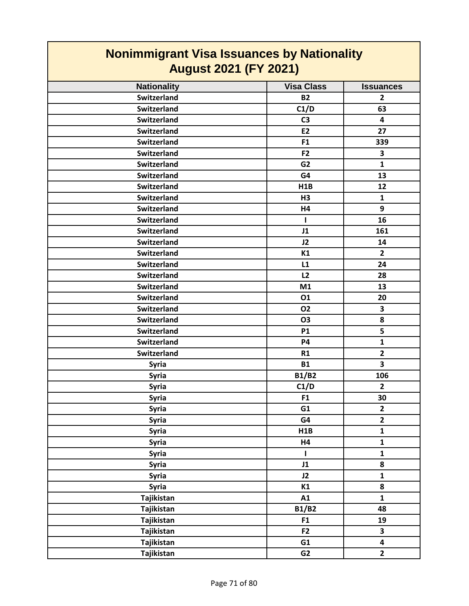| <b>Nonimmigrant Visa Issuances by Nationality</b><br><b>August 2021 (FY 2021)</b> |                   |                         |
|-----------------------------------------------------------------------------------|-------------------|-------------------------|
| <b>Nationality</b>                                                                | <b>Visa Class</b> | <b>Issuances</b>        |
| Switzerland                                                                       | <b>B2</b>         | $\mathbf{2}$            |
| Switzerland                                                                       | C1/D              | 63                      |
| Switzerland                                                                       | C <sub>3</sub>    | 4                       |
| <b>Switzerland</b>                                                                | E <sub>2</sub>    | 27                      |
| <b>Switzerland</b>                                                                | F <sub>1</sub>    | 339                     |
| Switzerland                                                                       | F <sub>2</sub>    | 3                       |
| <b>Switzerland</b>                                                                | G <sub>2</sub>    | $\mathbf{1}$            |
| <b>Switzerland</b>                                                                | G4                | 13                      |
| Switzerland                                                                       | H <sub>1</sub> B  | 12                      |
| <b>Switzerland</b>                                                                | H <sub>3</sub>    | $\mathbf{1}$            |
| Switzerland                                                                       | H4                | 9                       |
| Switzerland                                                                       |                   | 16                      |
| <b>Switzerland</b>                                                                | J1                | 161                     |
| Switzerland                                                                       | J2                | 14                      |
| Switzerland                                                                       | K1                | $\mathbf{2}$            |
| <b>Switzerland</b>                                                                | L1                | 24                      |
| <b>Switzerland</b>                                                                | L2                | 28                      |
| <b>Switzerland</b>                                                                | M1                | 13                      |
| <b>Switzerland</b>                                                                | 01                | 20                      |
| <b>Switzerland</b>                                                                | 02                | 3                       |
| Switzerland                                                                       | <b>O3</b>         | 8                       |
| Switzerland                                                                       | <b>P1</b>         | 5                       |
| <b>Switzerland</b>                                                                | <b>P4</b>         | $\mathbf{1}$            |
| <b>Switzerland</b>                                                                | R1                | $\overline{2}$          |
| <b>Syria</b>                                                                      | <b>B1</b>         | 3                       |
| <b>Syria</b>                                                                      | <b>B1/B2</b>      | 106                     |
| <b>Syria</b>                                                                      | C1/D              | $\overline{2}$          |
| Syria                                                                             | F <sub>1</sub>    | 30                      |
| <b>Syria</b>                                                                      | G1                | $\mathbf{2}$            |
| Syria                                                                             | G4                | $\overline{2}$          |
| Syria                                                                             | H1B               | $\mathbf{1}$            |
| Syria                                                                             | H4                | $\mathbf{1}$            |
| <b>Syria</b>                                                                      | Ι.                | $\mathbf{1}$            |
| Syria                                                                             | J1                | 8                       |
| Syria                                                                             | J2                | $\mathbf{1}$            |
| Syria                                                                             | K1                | 8                       |
| Tajikistan                                                                        | A1                | $\mathbf{1}$            |
| Tajikistan                                                                        | <b>B1/B2</b>      | 48                      |
| Tajikistan                                                                        | F <sub>1</sub>    | 19                      |
| Tajikistan                                                                        | F <sub>2</sub>    | $\overline{\mathbf{3}}$ |
| Tajikistan                                                                        | G1                | $\overline{\mathbf{4}}$ |
| Tajikistan                                                                        | G <sub>2</sub>    | $\mathbf{2}$            |
|                                                                                   |                   |                         |

Г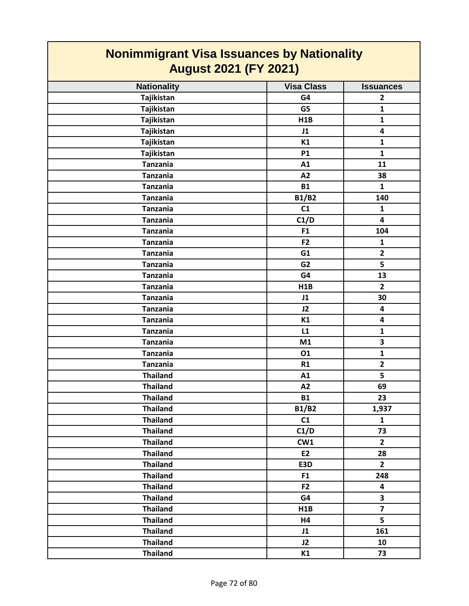| <b>Nonimmigrant Visa Issuances by Nationality</b><br><b>August 2021 (FY 2021)</b> |                   |                         |
|-----------------------------------------------------------------------------------|-------------------|-------------------------|
| <b>Nationality</b>                                                                | <b>Visa Class</b> | <b>Issuances</b>        |
| Tajikistan                                                                        | G4                | $\overline{2}$          |
| Tajikistan                                                                        | G5                | $\mathbf{1}$            |
| Tajikistan                                                                        | H1B               | $\mathbf{1}$            |
| Tajikistan                                                                        | J1                | 4                       |
| Tajikistan                                                                        | K1                | $\mathbf{1}$            |
| Tajikistan                                                                        | <b>P1</b>         | $\mathbf{1}$            |
| <b>Tanzania</b>                                                                   | A1                | 11                      |
| <b>Tanzania</b>                                                                   | A2                | 38                      |
| <b>Tanzania</b>                                                                   | <b>B1</b>         | $\mathbf{1}$            |
| <b>Tanzania</b>                                                                   | B1/B2             | 140                     |
| <b>Tanzania</b>                                                                   | C1                | $\mathbf{1}$            |
| <b>Tanzania</b>                                                                   | C1/D              | 4                       |
| <b>Tanzania</b>                                                                   | F <sub>1</sub>    | 104                     |
| <b>Tanzania</b>                                                                   | F <sub>2</sub>    | $\mathbf{1}$            |
| <b>Tanzania</b>                                                                   | G1                | $\mathbf{2}$            |
| <b>Tanzania</b>                                                                   | G <sub>2</sub>    | 5                       |
| <b>Tanzania</b>                                                                   | G4                | 13                      |
| <b>Tanzania</b>                                                                   | H <sub>1</sub> B  | $\overline{2}$          |
| <b>Tanzania</b>                                                                   | J1                | 30                      |
| <b>Tanzania</b>                                                                   | J2                | 4                       |
| <b>Tanzania</b>                                                                   | K1                | 4                       |
| <b>Tanzania</b>                                                                   | L1                | $\mathbf{1}$            |
| <b>Tanzania</b>                                                                   | M1                | 3                       |
| <b>Tanzania</b>                                                                   | 01                | $\mathbf{1}$            |
| <b>Tanzania</b>                                                                   | R1                | $\overline{2}$          |
| <b>Thailand</b>                                                                   | A1                | 5                       |
| <b>Thailand</b>                                                                   | A2                | 69                      |
| <b>Thailand</b>                                                                   | <b>B1</b>         | 23                      |
| <b>Thailand</b>                                                                   | <b>B1/B2</b>      | 1,937                   |
| <b>Thailand</b>                                                                   | C1                | $\mathbf{1}$            |
| <b>Thailand</b>                                                                   | C1/D              | 73                      |
| <b>Thailand</b>                                                                   | CW1               | $\overline{2}$          |
| <b>Thailand</b>                                                                   | E2                | 28                      |
| <b>Thailand</b>                                                                   | E3D               | $\mathbf{2}$            |
| <b>Thailand</b>                                                                   | F <sub>1</sub>    | 248                     |
| <b>Thailand</b>                                                                   | F <sub>2</sub>    | 4                       |
| <b>Thailand</b>                                                                   | G4                | $\overline{\mathbf{3}}$ |
| <b>Thailand</b>                                                                   | H1B               | $\overline{7}$          |
| <b>Thailand</b>                                                                   | H4                | 5                       |
| <b>Thailand</b>                                                                   | J1                | 161                     |
| <b>Thailand</b>                                                                   | J2                | 10                      |
| <b>Thailand</b>                                                                   | K1                | 73                      |

┓

 $\mathcal{L}(\mathcal{A})$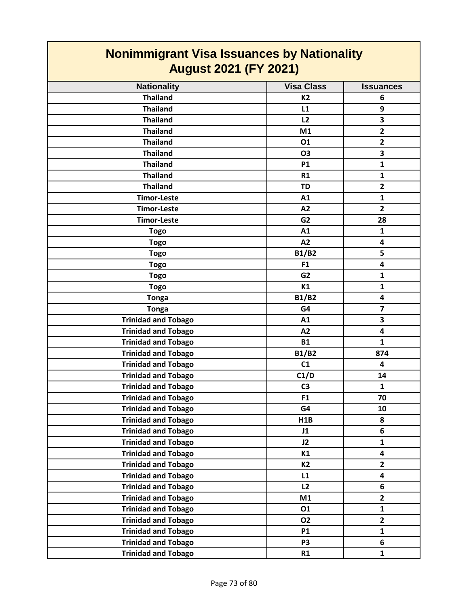| <b>Nonimmigrant Visa Issuances by Nationality</b><br><b>August 2021 (FY 2021)</b> |                   |                  |
|-----------------------------------------------------------------------------------|-------------------|------------------|
| <b>Nationality</b>                                                                | <b>Visa Class</b> | <b>Issuances</b> |
| <b>Thailand</b>                                                                   | <b>K2</b>         | 6                |
| <b>Thailand</b>                                                                   | L1                | 9                |
| <b>Thailand</b>                                                                   | L2                | 3                |
| <b>Thailand</b>                                                                   | M1                | $\overline{2}$   |
| <b>Thailand</b>                                                                   | 01                | $\overline{2}$   |
| <b>Thailand</b>                                                                   | <b>O3</b>         | 3                |
| <b>Thailand</b>                                                                   | <b>P1</b>         | $\mathbf{1}$     |
| <b>Thailand</b>                                                                   | R1                | $\mathbf{1}$     |
| <b>Thailand</b>                                                                   | <b>TD</b>         | $\overline{2}$   |
| <b>Timor-Leste</b>                                                                | A1                | $\mathbf{1}$     |
| <b>Timor-Leste</b>                                                                | A2                | $\overline{2}$   |
| <b>Timor-Leste</b>                                                                | G <sub>2</sub>    | 28               |
| <b>Togo</b>                                                                       | A1                | 1                |
| <b>Togo</b>                                                                       | A2                | 4                |
| <b>Togo</b>                                                                       | <b>B1/B2</b>      | 5                |
| <b>Togo</b>                                                                       | F <sub>1</sub>    | 4                |
| <b>Togo</b>                                                                       | G <sub>2</sub>    | $\mathbf{1}$     |
| <b>Togo</b>                                                                       | K1                | $\mathbf{1}$     |
| <b>Tonga</b>                                                                      | <b>B1/B2</b>      | 4                |
| <b>Tonga</b>                                                                      | G4                | $\overline{7}$   |
| <b>Trinidad and Tobago</b>                                                        | A1                | 3                |
| <b>Trinidad and Tobago</b>                                                        | A2                | 4                |
| <b>Trinidad and Tobago</b>                                                        | <b>B1</b>         | $\mathbf{1}$     |
| <b>Trinidad and Tobago</b>                                                        | <b>B1/B2</b>      | 874              |
| <b>Trinidad and Tobago</b>                                                        | C1                | 4                |
| <b>Trinidad and Tobago</b>                                                        | C1/D              | 14               |
| <b>Trinidad and Tobago</b>                                                        | C <sub>3</sub>    | $\mathbf{1}$     |
| <b>Trinidad and Tobago</b>                                                        | F <sub>1</sub>    | 70               |
| <b>Trinidad and Tobago</b>                                                        | G4                | 10               |
| <b>Trinidad and Tobago</b>                                                        | H1B               | 8                |
| <b>Trinidad and Tobago</b>                                                        | J1                | 6                |
| <b>Trinidad and Tobago</b>                                                        | J2                | $\mathbf{1}$     |
| <b>Trinidad and Tobago</b>                                                        | K1                | 4                |
| <b>Trinidad and Tobago</b>                                                        | <b>K2</b>         | $\mathbf{2}$     |
| <b>Trinidad and Tobago</b>                                                        | L1                | 4                |
| <b>Trinidad and Tobago</b>                                                        | L2                | 6                |
| <b>Trinidad and Tobago</b>                                                        | M1                | $\overline{2}$   |
| <b>Trinidad and Tobago</b>                                                        | 01                | $\mathbf{1}$     |
| <b>Trinidad and Tobago</b>                                                        | 02                | $\overline{2}$   |
| <b>Trinidad and Tobago</b>                                                        | <b>P1</b>         | $\mathbf{1}$     |
| <b>Trinidad and Tobago</b>                                                        | P <sub>3</sub>    | 6                |
| <b>Trinidad and Tobago</b>                                                        | R1                | $\mathbf{1}$     |

**The Company**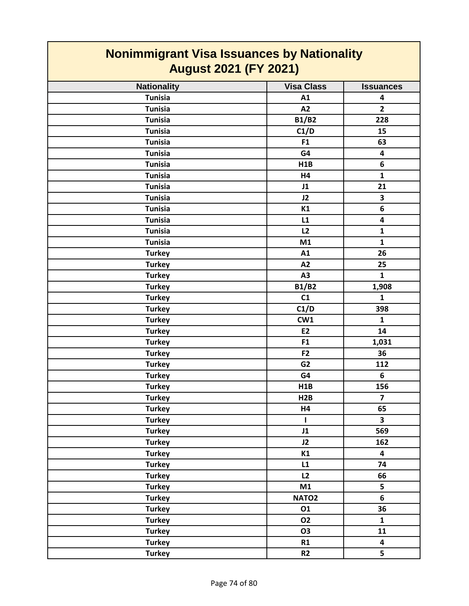| <b>Nonimmigrant Visa Issuances by Nationality</b><br><b>August 2021 (FY 2021)</b> |                   |                         |
|-----------------------------------------------------------------------------------|-------------------|-------------------------|
| <b>Nationality</b>                                                                | <b>Visa Class</b> | <b>Issuances</b>        |
| <b>Tunisia</b>                                                                    | A1                | 4                       |
| <b>Tunisia</b>                                                                    | A2                | $\overline{2}$          |
| <b>Tunisia</b>                                                                    | <b>B1/B2</b>      | 228                     |
| <b>Tunisia</b>                                                                    | C1/D              | 15                      |
| <b>Tunisia</b>                                                                    | F <sub>1</sub>    | 63                      |
| <b>Tunisia</b>                                                                    | G4                | 4                       |
| <b>Tunisia</b>                                                                    | H1B               | 6                       |
| <b>Tunisia</b>                                                                    | <b>H4</b>         | $\mathbf{1}$            |
| <b>Tunisia</b>                                                                    | J1                | 21                      |
| <b>Tunisia</b>                                                                    | J2                | 3                       |
| <b>Tunisia</b>                                                                    | K1                | 6                       |
| <b>Tunisia</b>                                                                    | L1                | 4                       |
| <b>Tunisia</b>                                                                    | L2                | $\mathbf{1}$            |
| <b>Tunisia</b>                                                                    | M1                | $\mathbf{1}$            |
| <b>Turkey</b>                                                                     | A1                | 26                      |
| <b>Turkey</b>                                                                     | A2                | 25                      |
| <b>Turkey</b>                                                                     | A3                | $\mathbf{1}$            |
| <b>Turkey</b>                                                                     | <b>B1/B2</b>      | 1,908                   |
| <b>Turkey</b>                                                                     | C1                | $\mathbf{1}$            |
| <b>Turkey</b>                                                                     | C1/D              | 398                     |
| <b>Turkey</b>                                                                     | CW1               | $\mathbf{1}$            |
| <b>Turkey</b>                                                                     | E <sub>2</sub>    | 14                      |
| <b>Turkey</b>                                                                     | F <sub>1</sub>    | 1,031                   |
| <b>Turkey</b>                                                                     | F <sub>2</sub>    | 36                      |
| <b>Turkey</b>                                                                     | G <sub>2</sub>    | 112                     |
| <b>Turkey</b>                                                                     | G4                | 6                       |
| <b>Turkey</b>                                                                     | H1B               | 156                     |
| <b>Turkey</b>                                                                     | H2B               | $\overline{\mathbf{z}}$ |
| <b>Turkey</b>                                                                     | H4                | 65                      |
| <b>Turkey</b>                                                                     | $\mathbf{I}$      | $\overline{\mathbf{3}}$ |
| <b>Turkey</b>                                                                     | J1                | 569                     |
| <b>Turkey</b>                                                                     | J2                | 162                     |
| <b>Turkey</b>                                                                     | K1                | $\overline{\mathbf{4}}$ |
| <b>Turkey</b>                                                                     | L1                | 74                      |
| <b>Turkey</b>                                                                     | L2                | 66                      |
| <b>Turkey</b>                                                                     | M1                | 5                       |
| <b>Turkey</b>                                                                     | NATO <sub>2</sub> | 6                       |
| <b>Turkey</b>                                                                     | 01                | 36                      |
| <b>Turkey</b>                                                                     | <b>O2</b>         | $\mathbf{1}$            |
| <b>Turkey</b>                                                                     | <b>O3</b>         | 11                      |
| <b>Turkey</b>                                                                     | R1                | $\overline{\mathbf{4}}$ |
| <b>Turkey</b>                                                                     | R <sub>2</sub>    | 5                       |

 $\overline{\phantom{a}}$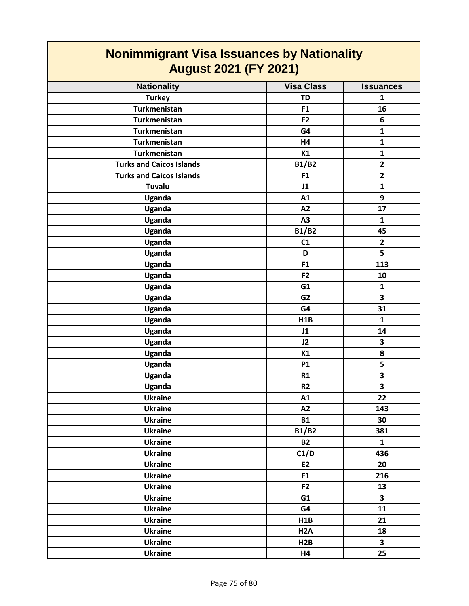| <b>Nonimmigrant Visa Issuances by Nationality</b><br><b>August 2021 (FY 2021)</b> |                  |                         |
|-----------------------------------------------------------------------------------|------------------|-------------------------|
|                                                                                   |                  |                         |
| <b>Turkey</b>                                                                     | <b>TD</b>        | 1                       |
| <b>Turkmenistan</b>                                                               | F <sub>1</sub>   | 16                      |
| <b>Turkmenistan</b>                                                               | F <sub>2</sub>   | 6                       |
| <b>Turkmenistan</b>                                                               | G4               | $\mathbf{1}$            |
| <b>Turkmenistan</b>                                                               | H4               | $\mathbf{1}$            |
| <b>Turkmenistan</b>                                                               | K1               | $\mathbf 1$             |
| <b>Turks and Caicos Islands</b>                                                   | <b>B1/B2</b>     | $\overline{\mathbf{2}}$ |
| <b>Turks and Caicos Islands</b>                                                   | F1               | $\mathbf{2}$            |
| Tuvalu                                                                            | J1               | $\mathbf{1}$            |
| Uganda                                                                            | A1               | 9                       |
| Uganda                                                                            | A2               | 17                      |
| Uganda                                                                            | A3               | $\mathbf{1}$            |
| Uganda                                                                            | <b>B1/B2</b>     | 45                      |
| Uganda                                                                            | C1               | $\overline{2}$          |
| Uganda                                                                            | D                | 5                       |
| Uganda                                                                            | F <sub>1</sub>   | 113                     |
| Uganda                                                                            | F <sub>2</sub>   | 10                      |
| Uganda                                                                            | G1               | $\mathbf{1}$            |
| Uganda                                                                            | G <sub>2</sub>   | 3                       |
| Uganda                                                                            | G4               | 31                      |
| Uganda                                                                            | H1B              | $\mathbf{1}$            |
| Uganda                                                                            | J1               | 14                      |
| Uganda                                                                            | J2               | 3                       |
| Uganda                                                                            | K1               | 8                       |
| Uganda                                                                            | <b>P1</b>        | 5                       |
| Uganda                                                                            | R1               | 3                       |
| Uganda                                                                            | R <sub>2</sub>   | 3                       |
| <b>Ukraine</b>                                                                    | A1               | 22                      |
| <b>Ukraine</b>                                                                    | A2               | 143                     |
| <b>Ukraine</b>                                                                    | <b>B1</b>        | 30                      |
| <b>Ukraine</b>                                                                    | <b>B1/B2</b>     | 381                     |
| <b>Ukraine</b>                                                                    | <b>B2</b>        | $\mathbf{1}$            |
| <b>Ukraine</b>                                                                    | C1/D             | 436                     |
| <b>Ukraine</b>                                                                    | E2               | 20                      |
| <b>Ukraine</b>                                                                    | F <sub>1</sub>   | 216                     |
| <b>Ukraine</b>                                                                    | F <sub>2</sub>   | 13                      |
| <b>Ukraine</b>                                                                    | G1               | $\overline{\mathbf{3}}$ |
| <b>Ukraine</b>                                                                    | G4               | 11                      |
| <b>Ukraine</b>                                                                    | H1B              | 21                      |
| <b>Ukraine</b>                                                                    | H <sub>2</sub> A | 18                      |
| <b>Ukraine</b>                                                                    | H2B              | $\overline{\mathbf{3}}$ |
| <b>Ukraine</b>                                                                    | H4               | 25                      |
|                                                                                   |                  |                         |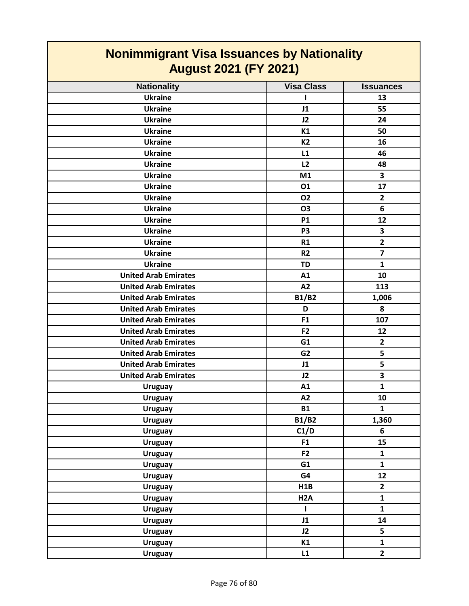| <b>Nonimmigrant Visa Issuances by Nationality</b><br><b>August 2021 (FY 2021)</b> |                   |                         |
|-----------------------------------------------------------------------------------|-------------------|-------------------------|
| <b>Nationality</b>                                                                | <b>Visa Class</b> | <b>Issuances</b>        |
| <b>Ukraine</b>                                                                    | ı                 | 13                      |
| <b>Ukraine</b>                                                                    | J1                | 55                      |
| <b>Ukraine</b>                                                                    | J2                | 24                      |
| <b>Ukraine</b>                                                                    | K1                | 50                      |
| <b>Ukraine</b>                                                                    | K2                | 16                      |
| <b>Ukraine</b>                                                                    | L1                | 46                      |
| <b>Ukraine</b>                                                                    | L2                | 48                      |
| <b>Ukraine</b>                                                                    | M1                | 3                       |
| <b>Ukraine</b>                                                                    | 01                | 17                      |
| <b>Ukraine</b>                                                                    | 02                | $\overline{2}$          |
| <b>Ukraine</b>                                                                    | <b>O3</b>         | 6                       |
| <b>Ukraine</b>                                                                    | <b>P1</b>         | 12                      |
| <b>Ukraine</b>                                                                    | P <sub>3</sub>    | 3                       |
| <b>Ukraine</b>                                                                    | <b>R1</b>         | $\overline{\mathbf{2}}$ |
| <b>Ukraine</b>                                                                    | <b>R2</b>         | $\overline{\mathbf{z}}$ |
| <b>Ukraine</b>                                                                    | <b>TD</b>         | $\mathbf{1}$            |
| <b>United Arab Emirates</b>                                                       | A1                | 10                      |
| <b>United Arab Emirates</b>                                                       | A2                | 113                     |
| <b>United Arab Emirates</b>                                                       | <b>B1/B2</b>      | 1,006                   |
| <b>United Arab Emirates</b>                                                       | D                 | 8                       |
| <b>United Arab Emirates</b>                                                       | F <sub>1</sub>    | 107                     |
| <b>United Arab Emirates</b>                                                       | F <sub>2</sub>    | 12                      |
| <b>United Arab Emirates</b>                                                       | G1                | $\overline{2}$          |
| <b>United Arab Emirates</b>                                                       | G <sub>2</sub>    | 5                       |
| <b>United Arab Emirates</b>                                                       | J1                | 5                       |
| <b>United Arab Emirates</b>                                                       | J2                | 3                       |
| <b>Uruguay</b>                                                                    | A1                | $\mathbf{1}$            |
| <b>Uruguay</b>                                                                    | A2                | 10                      |
| <b>Uruguay</b>                                                                    | <b>B1</b>         | $\mathbf{1}$            |
| <b>Uruguay</b>                                                                    | <b>B1/B2</b>      | 1,360                   |
| <b>Uruguay</b>                                                                    | C1/D              | $\boldsymbol{6}$        |
| <b>Uruguay</b>                                                                    | F1                | 15                      |
| <b>Uruguay</b>                                                                    | F <sub>2</sub>    | $\mathbf{1}$            |
| <b>Uruguay</b>                                                                    | G1                | $\mathbf{1}$            |
| <b>Uruguay</b>                                                                    | G4                | 12                      |
| <b>Uruguay</b>                                                                    | H1B               | $\mathbf{2}$            |
| <b>Uruguay</b>                                                                    | H <sub>2</sub> A  | $\mathbf{1}$            |
| <b>Uruguay</b>                                                                    | L                 | $\mathbf{1}$            |
| <b>Uruguay</b>                                                                    | J1                | 14                      |
| <b>Uruguay</b>                                                                    | J2                | 5                       |
| <b>Uruguay</b>                                                                    | K1                | $\mathbf{1}$            |
| <b>Uruguay</b>                                                                    | L1                | $\overline{2}$          |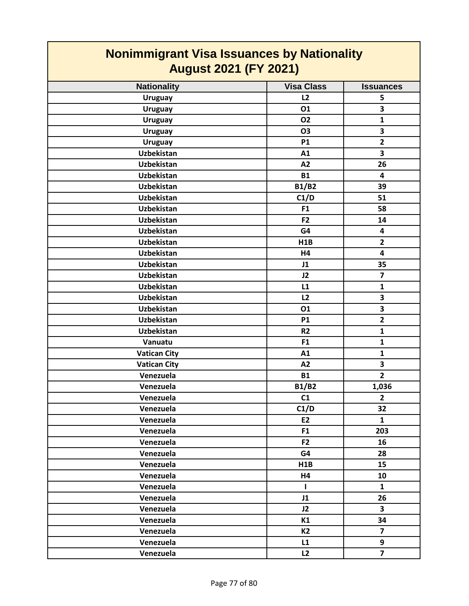| <b>Nonimmigrant Visa Issuances by Nationality</b><br><b>August 2021 (FY 2021)</b> |                   |                         |
|-----------------------------------------------------------------------------------|-------------------|-------------------------|
| <b>Nationality</b>                                                                | <b>Visa Class</b> | <b>Issuances</b>        |
| <b>Uruguay</b>                                                                    | L <sub>2</sub>    | 5                       |
| <b>Uruguay</b>                                                                    | 01                | 3                       |
| <b>Uruguay</b>                                                                    | 02                | $\mathbf{1}$            |
| <b>Uruguay</b>                                                                    | <b>O3</b>         | 3                       |
| <b>Uruguay</b>                                                                    | <b>P1</b>         | $\overline{\mathbf{2}}$ |
| <b>Uzbekistan</b>                                                                 | A1                | 3                       |
| <b>Uzbekistan</b>                                                                 | A2                | 26                      |
| <b>Uzbekistan</b>                                                                 | <b>B1</b>         | $\overline{\mathbf{4}}$ |
| <b>Uzbekistan</b>                                                                 | <b>B1/B2</b>      | 39                      |
| <b>Uzbekistan</b>                                                                 | C1/D              | 51                      |
| <b>Uzbekistan</b>                                                                 | F <sub>1</sub>    | 58                      |
| <b>Uzbekistan</b>                                                                 | F <sub>2</sub>    | 14                      |
| <b>Uzbekistan</b>                                                                 | G4                | 4                       |
| <b>Uzbekistan</b>                                                                 | <b>H1B</b>        | $\mathbf{2}$            |
| <b>Uzbekistan</b>                                                                 | <b>H4</b>         | 4                       |
| <b>Uzbekistan</b>                                                                 | J1                | 35                      |
| <b>Uzbekistan</b>                                                                 | J2                | $\overline{7}$          |
| <b>Uzbekistan</b>                                                                 | L1                | $\mathbf{1}$            |
| Uzbekistan                                                                        | L <sub>2</sub>    | 3                       |
| <b>Uzbekistan</b>                                                                 | <b>O1</b>         | 3                       |
| <b>Uzbekistan</b>                                                                 | <b>P1</b>         | $\overline{\mathbf{2}}$ |
| <b>Uzbekistan</b>                                                                 | R <sub>2</sub>    | $\mathbf{1}$            |
| Vanuatu                                                                           | F <sub>1</sub>    | $\mathbf{1}$            |
| <b>Vatican City</b>                                                               | A1                | $\mathbf{1}$            |
| <b>Vatican City</b>                                                               | A2                | 3                       |
| Venezuela                                                                         | <b>B1</b>         | $\overline{2}$          |
| Venezuela                                                                         | <b>B1/B2</b>      | 1,036                   |
| Venezuela                                                                         | C1                | $\mathbf{2}$            |
| Venezuela                                                                         | C1/D              | 32                      |
| Venezuela                                                                         | E2                | $\mathbf{1}$            |
| Venezuela                                                                         | F <sub>1</sub>    | 203                     |
| Venezuela                                                                         | F <sub>2</sub>    | 16                      |
| Venezuela                                                                         | G4                | 28                      |
| Venezuela                                                                         | H1B               | 15                      |
| Venezuela                                                                         | H4                | 10                      |
| Venezuela                                                                         | $\mathbf{I}$      | $\mathbf{1}$            |
| Venezuela                                                                         | J1                | 26                      |
| Venezuela                                                                         | J2                | $\overline{\mathbf{3}}$ |
| Venezuela                                                                         | K1                | 34                      |
| Venezuela                                                                         | <b>K2</b>         | $\overline{\mathbf{z}}$ |
| Venezuela                                                                         | L1                | 9                       |
| Venezuela                                                                         | L2                | $\overline{7}$          |

 $\mathcal{L}_{\mathcal{A}}$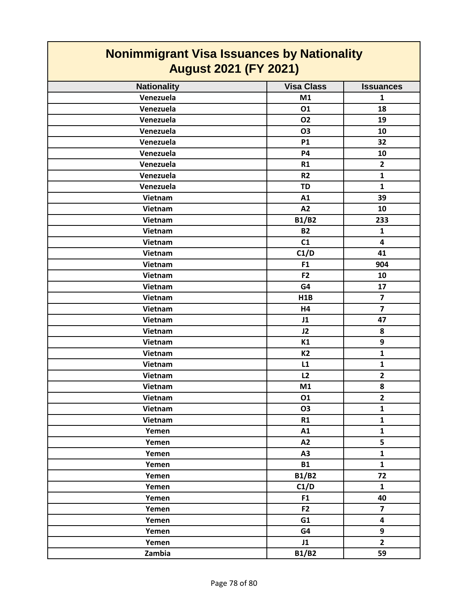| <b>Nonimmigrant Visa Issuances by Nationality</b><br><b>August 2021 (FY 2021)</b> |                   |                         |
|-----------------------------------------------------------------------------------|-------------------|-------------------------|
| <b>Nationality</b>                                                                | <b>Visa Class</b> | <b>Issuances</b>        |
| Venezuela                                                                         | M1                | 1                       |
| Venezuela                                                                         | 01                | 18                      |
| Venezuela                                                                         | 02                | 19                      |
| Venezuela                                                                         | <b>O3</b>         | 10                      |
| Venezuela                                                                         | <b>P1</b>         | 32                      |
| Venezuela                                                                         | <b>P4</b>         | 10                      |
| Venezuela                                                                         | R1                | $\overline{2}$          |
| Venezuela                                                                         | R <sub>2</sub>    | $\mathbf{1}$            |
| Venezuela                                                                         | <b>TD</b>         | $\mathbf{1}$            |
| Vietnam                                                                           | A1                | 39                      |
| Vietnam                                                                           | A2                | 10                      |
| Vietnam                                                                           | <b>B1/B2</b>      | 233                     |
| Vietnam                                                                           | <b>B2</b>         | $\mathbf{1}$            |
| Vietnam                                                                           | C1                | $\overline{\mathbf{4}}$ |
| Vietnam                                                                           | C1/D              | 41                      |
| Vietnam                                                                           | F <sub>1</sub>    | 904                     |
| Vietnam                                                                           | F <sub>2</sub>    | 10                      |
| Vietnam                                                                           | G4                | 17                      |
| Vietnam                                                                           | H1B               | $\overline{\mathbf{z}}$ |
| Vietnam                                                                           | H <sub>4</sub>    | $\overline{7}$          |
| Vietnam                                                                           | J1                | 47                      |
| Vietnam                                                                           | J2                | 8                       |
| Vietnam                                                                           | K1                | 9                       |
| Vietnam                                                                           | <b>K2</b>         | $\mathbf{1}$            |
| Vietnam                                                                           | L1                | $\mathbf{1}$            |
| Vietnam                                                                           | L2                | $\overline{2}$          |
| Vietnam                                                                           | M1                | 8                       |
| Vietnam                                                                           | 01                | $\overline{2}$          |
| Vietnam                                                                           | <b>O3</b>         | $\mathbf{1}$            |
| Vietnam                                                                           | R1                | $\mathbf{1}$            |
| Yemen                                                                             | A1                | $\mathbf{1}$            |
| Yemen                                                                             | A2                | 5                       |
| Yemen                                                                             | A3                | $\mathbf{1}$            |
| Yemen                                                                             | <b>B1</b>         | $\mathbf{1}$            |
| Yemen                                                                             | <b>B1/B2</b>      | 72                      |
| Yemen                                                                             | C1/D              | $\mathbf{1}$            |
| Yemen                                                                             | F1                | 40                      |
| Yemen                                                                             | F <sub>2</sub>    | $\overline{\mathbf{z}}$ |
| Yemen                                                                             | G1                | $\overline{\mathbf{4}}$ |
| Yemen                                                                             | G4                | 9                       |
| Yemen                                                                             | J1                | $\overline{2}$          |
| Zambia                                                                            | <b>B1/B2</b>      | 59                      |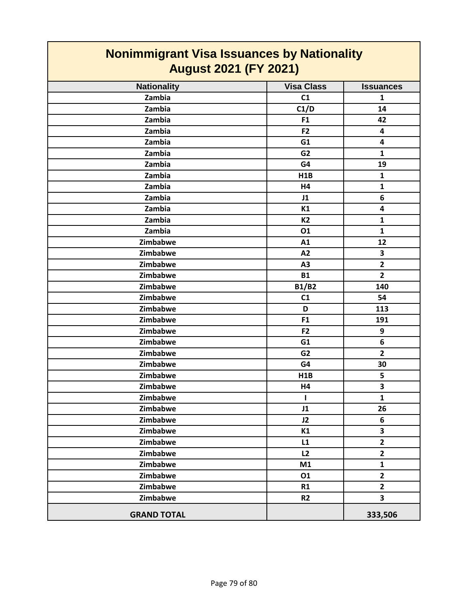| <u>11011111111191 and 110a 100aanooo by Hadonamy</u><br><b>August 2021 (FY 2021)</b> |                   |                         |
|--------------------------------------------------------------------------------------|-------------------|-------------------------|
| <b>Nationality</b>                                                                   | <b>Visa Class</b> | <b>Issuances</b>        |
| Zambia                                                                               | C1                | $\mathbf{1}$            |
| Zambia                                                                               | C1/D              | 14                      |
| Zambia                                                                               | F <sub>1</sub>    | 42                      |
| Zambia                                                                               | F <sub>2</sub>    | 4                       |
| Zambia                                                                               | G1                | 4                       |
| Zambia                                                                               | G <sub>2</sub>    | $\mathbf{1}$            |
| Zambia                                                                               | G4                | 19                      |
| Zambia                                                                               | H1B               | $\mathbf{1}$            |
| Zambia                                                                               | H4                | $\mathbf{1}$            |
| Zambia                                                                               | J1                | 6                       |
| Zambia                                                                               | K1                | 4                       |
| Zambia                                                                               | <b>K2</b>         | $\mathbf{1}$            |
| Zambia                                                                               | 01                | $\mathbf{1}$            |
| Zimbabwe                                                                             | A1                | 12                      |
| Zimbabwe                                                                             | A2                | 3                       |
| Zimbabwe                                                                             | A3                | $\overline{2}$          |
| Zimbabwe                                                                             | <b>B1</b>         | $\overline{2}$          |
| Zimbabwe                                                                             | <b>B1/B2</b>      | 140                     |
| Zimbabwe                                                                             | C1                | 54                      |
| Zimbabwe                                                                             | D                 | 113                     |
| Zimbabwe                                                                             | F1                | 191                     |
| Zimbabwe                                                                             | F <sub>2</sub>    | 9                       |
| Zimbabwe                                                                             | G1                | 6                       |
| Zimbabwe                                                                             | G <sub>2</sub>    | $\overline{2}$          |
| Zimbabwe                                                                             | G4                | 30                      |
| Zimbabwe                                                                             | H1B               | 5                       |
| Zimbabwe                                                                             | H4                | 3                       |
| Zimbabwe                                                                             | 1                 | $\mathbf{1}$            |
| Zimbabwe                                                                             | J1                | 26                      |
| Zimbabwe                                                                             | J2                | 6                       |
| Zimbabwe                                                                             | K1                | $\overline{\mathbf{3}}$ |
| Zimbabwe                                                                             | L1                | $\mathbf{2}$            |
| Zimbabwe                                                                             | L2                | $\mathbf{2}$            |
| Zimbabwe                                                                             | M1                | $\mathbf{1}$            |
| Zimbabwe                                                                             | 01                | $\mathbf{2}$            |
| Zimbabwe                                                                             | R1                | $\overline{2}$          |
| Zimbabwe                                                                             | R <sub>2</sub>    | $\overline{\mathbf{3}}$ |
| <b>GRAND TOTAL</b>                                                                   |                   | 333,506                 |

## **Nonimmigrant Visa Issuances by Nationality**

 $\mathbf l$